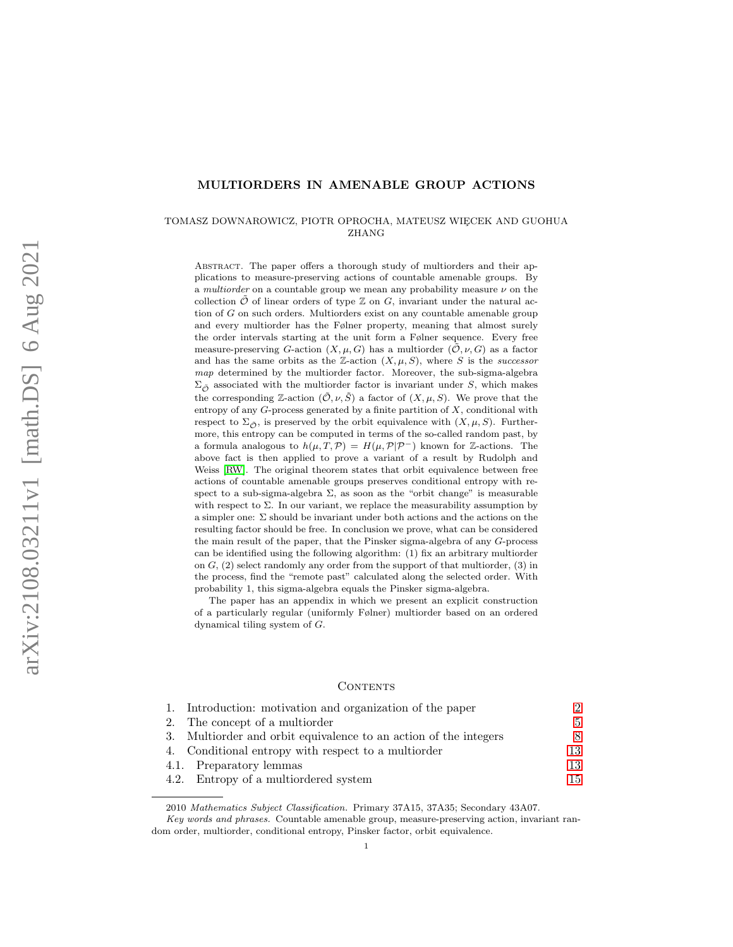# MULTIORDERS IN AMENABLE GROUP ACTIONS

### TOMASZ DOWNAROWICZ, PIOTR OPROCHA, MATEUSZ WIECEK AND GUOHUA ZHANG

Abstract. The paper offers a thorough study of multiorders and their applications to measure-preserving actions of countable amenable groups. By a multiorder on a countable group we mean any probability measure  $\nu$  on the collection  $\tilde{\mathcal{O}}$  of linear orders of type  $\mathbb Z$  on  $G$ , invariant under the natural action of G on such orders. Multiorders exist on any countable amenable group and every multiorder has the Følner property, meaning that almost surely the order intervals starting at the unit form a Følner sequence. Every free measure-preserving G-action  $(X, \mu, G)$  has a multiorder  $(0, \nu, G)$  as a factor and has the same orbits as the Z-action  $(X, \mu, S)$ , where S is the successor map determined by the multiorder factor. Moreover, the sub-sigma-algebra  $\Sigma_{\tilde{O}}$  associated with the multiorder factor is invariant under S, which makes the corresponding Z-action  $(\tilde{\mathcal{O}}, \nu, \tilde{S})$  a factor of  $(X, \mu, S)$ . We prove that the entropy of any  $G$ -process generated by a finite partition of  $X$ , conditional with respect to  $\Sigma_{\tilde{\mathcal{O}}}$ , is preserved by the orbit equivalence with  $(X, \mu, S)$ . Furthermore, this entropy can be computed in terms of the so-called random past, by a formula analogous to  $h(\mu, T, \mathcal{P}) = H(\mu, \mathcal{P}|\mathcal{P}^{-})$  known for Z-actions. The above fact is then applied to prove a variant of a result by Rudolph and Weiss [\[RW\]](#page-34-0). The original theorem states that orbit equivalence between free actions of countable amenable groups preserves conditional entropy with respect to a sub-sigma-algebra  $\Sigma$ , as soon as the "orbit change" is measurable with respect to  $\Sigma$ . In our variant, we replace the measurability assumption by a simpler one: Σ should be invariant under both actions and the actions on the resulting factor should be free. In conclusion we prove, what can be considered the main result of the paper, that the Pinsker sigma-algebra of any G-process can be identified using the following algorithm: (1) fix an arbitrary multiorder on  $G<sub>1</sub>(2)$  select randomly any order from the support of that multiorder,  $(3)$  in the process, find the "remote past" calculated along the selected order. With probability 1, this sigma-algebra equals the Pinsker sigma-algebra.

The paper has an appendix in which we present an explicit construction of a particularly regular (uniformly Følner) multiorder based on an ordered dynamical tiling system of G.

#### CONTENTS

| 1. Introduction: motivation and organization of the paper        |    |
|------------------------------------------------------------------|----|
| 2. The concept of a multiorder                                   | 5. |
| 3. Multiorder and orbit equivalence to an action of the integers |    |
| 4. Conditional entropy with respect to a multiorder              | 13 |
| 4.1. Preparatory lemmas                                          | 13 |
| 4.2. Entropy of a multiordered system                            | 15 |

<sup>2010</sup> Mathematics Subject Classification. Primary 37A15, 37A35; Secondary 43A07.

Key words and phrases. Countable amenable group, measure-preserving action, invariant random order, multiorder, conditional entropy, Pinsker factor, orbit equivalence.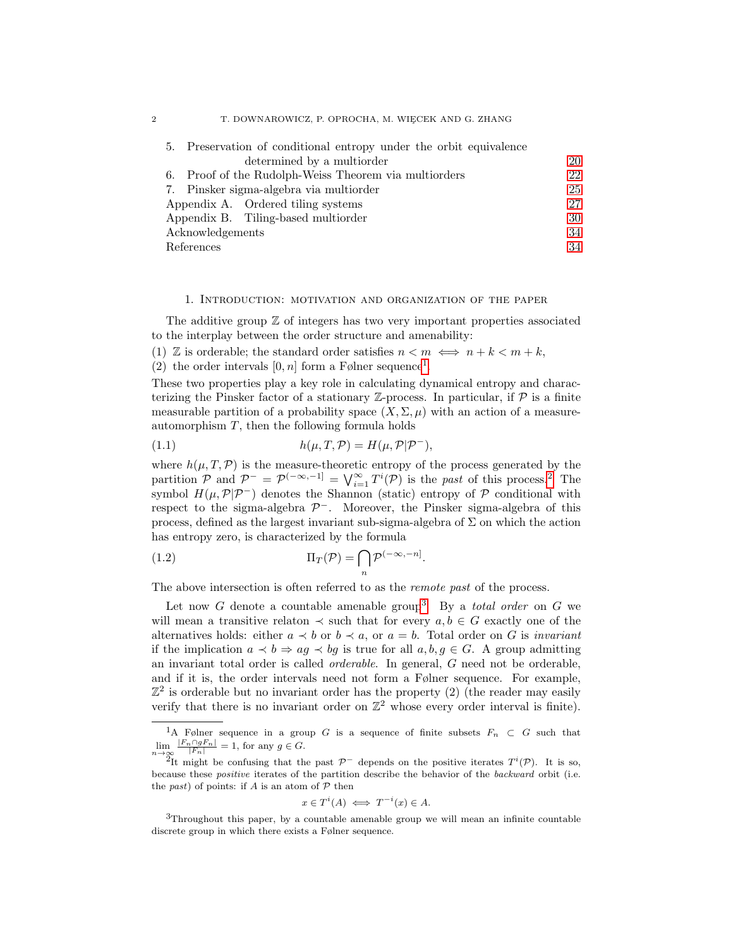| 5. Preservation of conditional entropy under the orbit equivalence |    |
|--------------------------------------------------------------------|----|
| determined by a multiorder                                         | 20 |
| 6. Proof of the Rudolph-Weiss Theorem via multiorders              | 22 |
| 7. Pinsker sigma-algebra via multiorder                            | 25 |
| Appendix A. Ordered tiling systems                                 | 27 |
| Appendix B. Tiling-based multiorder                                |    |
| Acknowledgements                                                   |    |
| References                                                         |    |

### 1. Introduction: motivation and organization of the paper

<span id="page-1-0"></span>The additive group  $Z$  of integers has two very important properties associated to the interplay between the order structure and amenability:

(1)  $\mathbb{Z}$  is orderable; the standard order satisfies  $n < m \iff n + k < m + k$ ,

(2) the order intervals  $[0, n]$  form a Følner sequence<sup>[1](#page-1-1)</sup>.

These two properties play a key role in calculating dynamical entropy and characterizing the Pinsker factor of a stationary  $\mathbb{Z}$ -process. In particular, if  $\mathcal P$  is a finite measurable partition of a probability space  $(X, \Sigma, \mu)$  with an action of a measureautomorphism  $T$ , then the following formula holds

<span id="page-1-4"></span>(1.1) 
$$
h(\mu, T, \mathcal{P}) = H(\mu, \mathcal{P} | \mathcal{P}^{-}),
$$

where  $h(\mu, T, \mathcal{P})$  is the measure-theoretic entropy of the process generated by the partition  $\mathcal{P}$  and  $\mathcal{P}^- = \mathcal{P}^{(-\infty,-1]} = \bigvee_{i=1}^{\infty} T^i(\mathcal{P})$  is the past of this process.<sup>[2](#page-1-2)</sup> The symbol  $H(\mu, \mathcal{P}|\mathcal{P}^-)$  denotes the Shannon (static) entropy of P conditional with respect to the sigma-algebra  $\mathcal{P}^-$ . Moreover, the Pinsker sigma-algebra of this process, defined as the largest invariant sub-sigma-algebra of  $\Sigma$  on which the action has entropy zero, is characterized by the formula

<span id="page-1-5"></span>(1.2) 
$$
\Pi_T(\mathcal{P}) = \bigcap_n \mathcal{P}^{(-\infty, -n]}.
$$

The above intersection is often referred to as the remote past of the process.

Let now G denote a countable amenable group<sup>[3](#page-1-3)</sup>. By a *total order* on G we will mean a transitive relaton  $\prec$  such that for every  $a, b \in G$  exactly one of the alternatives holds: either  $a \prec b$  or  $b \prec a$ , or  $a = b$ . Total order on G is *invariant* if the implication  $a \prec b \Rightarrow aq \prec bq$  is true for all  $a, b, q \in G$ . A group admitting an invariant total order is called orderable. In general, G need not be orderable, and if it is, the order intervals need not form a Følner sequence. For example,  $\mathbb{Z}^2$  is orderable but no invariant order has the property (2) (the reader may easily verify that there is no invariant order on  $\mathbb{Z}^2$  whose every order interval is finite).

$$
x \in T^i(A) \iff T^{-i}(x) \in A.
$$

<span id="page-1-3"></span><sup>3</sup>Throughout this paper, by a countable amenable group we will mean an infinite countable discrete group in which there exists a Følner sequence.

<span id="page-1-1"></span><sup>&</sup>lt;sup>1</sup>A Følner sequence in a group G is a sequence of finite subsets  $F_n \subset G$  such that  $\lim_{n\to\infty} \frac{|F_n \cap gF_n|}{|F_n|} = 1$ , for any  $g \in G$ .

<span id="page-1-2"></span><sup>&</sup>lt;sup>2</sup>It might be confusing that the past  $\mathcal{P}^-$  depends on the positive iterates  $T^i(\mathcal{P})$ . It is so, because these positive iterates of the partition describe the behavior of the backward orbit (i.e. the past) of points: if A is an atom of  $P$  then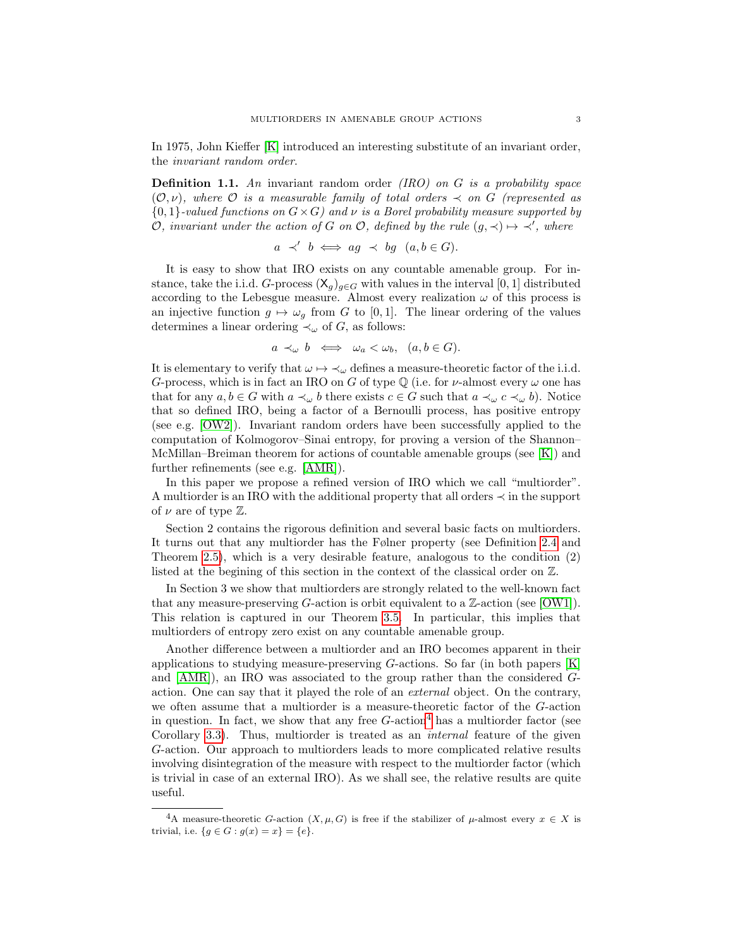In 1975, John Kieffer [\[K\]](#page-33-2) introduced an interesting substitute of an invariant order, the invariant random order.

**Definition 1.1.** An invariant random order  $(IRO)$  on G is a probability space  $(\mathcal{O}, \nu)$ , where  $\mathcal O$  is a measurable family of total orders  $\prec$  on G (represented as  ${0,1}$ -valued functions on  $G\times G$  and  $\nu$  is a Borel probability measure supported by O, invariant under the action of G on O, defined by the rule  $(g, \prec) \mapsto \prec'$ , where

$$
a \prec' b \iff ag \prec bg \ (a, b \in G).
$$

It is easy to show that IRO exists on any countable amenable group. For instance, take the i.i.d. G-process  $(\mathsf{X}_g)_{g \in G}$  with values in the interval [0, 1] distributed according to the Lebesgue measure. Almost every realization  $\omega$  of this process is an injective function  $g \mapsto \omega_q$  from G to [0, 1]. The linear ordering of the values determines a linear ordering  $\prec_{\omega}$  of G, as follows:

$$
a \prec_{\omega} b \iff \omega_a < \omega_b, \ \ (a, b \in G).
$$

It is elementary to verify that  $\omega \mapsto \prec_{\omega}$  defines a measure-theoretic factor of the i.i.d. G-process, which is in fact an IRO on G of type  $\mathbb Q$  (i.e. for  $\nu$ -almost every  $\omega$  one has that for any  $a, b \in G$  with  $a \prec_{\omega} b$  there exists  $c \in G$  such that  $a \prec_{\omega} c \prec_{\omega} b$ . Notice that so defined IRO, being a factor of a Bernoulli process, has positive entropy (see e.g. [\[OW2\]](#page-34-1)). Invariant random orders have been successfully applied to the computation of Kolmogorov–Sinai entropy, for proving a version of the Shannon– McMillan–Breiman theorem for actions of countable amenable groups (see [\[K\]](#page-33-2)) and further refinements (see e.g. [\[AMR\]](#page-33-3)).

In this paper we propose a refined version of IRO which we call "multiorder". A multiorder is an IRO with the additional property that all orders ≺ in the support of  $\nu$  are of type  $\mathbb{Z}$ .

Section 2 contains the rigorous definition and several basic facts on multiorders. It turns out that any multiorder has the Følner property (see Definition [2.4](#page-5-0) and Theorem [2.5\)](#page-5-1), which is a very desirable feature, analogous to the condition (2) listed at the begining of this section in the context of the classical order on Z.

In Section 3 we show that multiorders are strongly related to the well-known fact that any measure-preserving  $G$ -action is orbit equivalent to a  $\mathbb{Z}$ -action (see [\[OW1\]](#page-34-2)). This relation is captured in our Theorem [3.5.](#page-9-0) In particular, this implies that multiorders of entropy zero exist on any countable amenable group.

Another difference between a multiorder and an IRO becomes apparent in their applications to studying measure-preserving  $G$ -actions. So far (in both papers  $[K]$ ) and [\[AMR\]](#page-33-3)), an IRO was associated to the group rather than the considered Gaction. One can say that it played the role of an external object. On the contrary, we often assume that a multiorder is a measure-theoretic factor of the G-action in question. In fact, we show that any free  $G$ -action<sup>[4](#page-2-0)</sup> has a multiorder factor (see Corollary [3.3\)](#page-9-1). Thus, multiorder is treated as an internal feature of the given G-action. Our approach to multiorders leads to more complicated relative results involving disintegration of the measure with respect to the multiorder factor (which is trivial in case of an external IRO). As we shall see, the relative results are quite useful.

<span id="page-2-0"></span><sup>&</sup>lt;sup>4</sup>A measure-theoretic G-action  $(X, \mu, G)$  is free if the stabilizer of  $\mu$ -almost every  $x \in X$  is trivial, i.e.  ${g \in G : g(x) = x} = {e}.$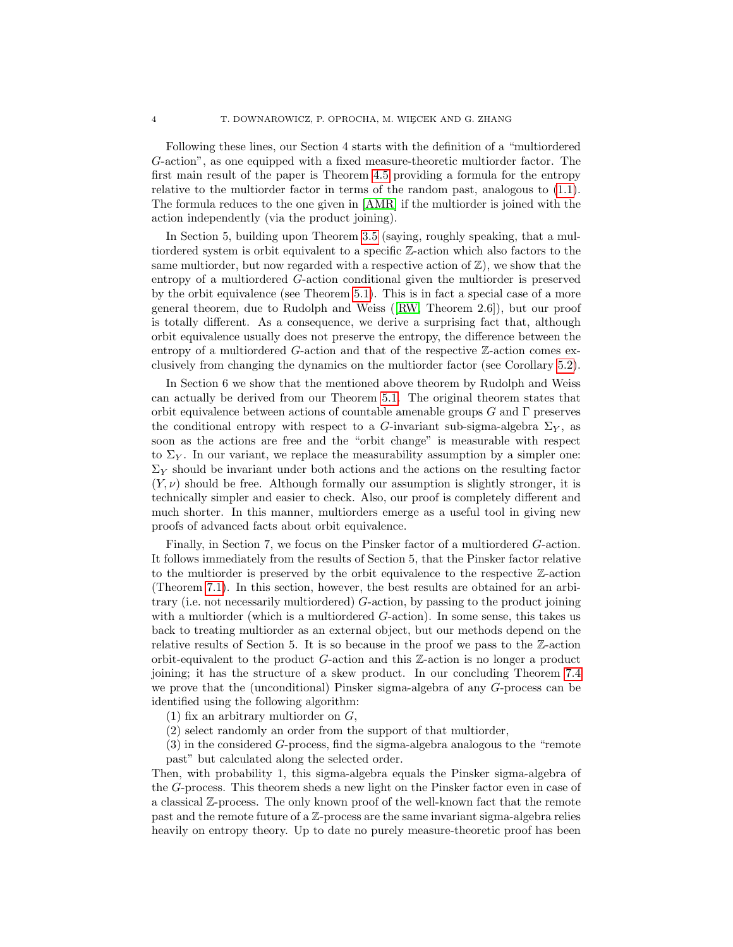Following these lines, our Section 4 starts with the definition of a "multiordered G-action", as one equipped with a fixed measure-theoretic multiorder factor. The first main result of the paper is Theorem [4.5](#page-15-0) providing a formula for the entropy relative to the multiorder factor in terms of the random past, analogous to [\(1.1\)](#page-1-4). The formula reduces to the one given in [\[AMR\]](#page-33-3) if the multiorder is joined with the action independently (via the product joining).

In Section 5, building upon Theorem [3.5](#page-9-0) (saying, roughly speaking, that a multiordered system is orbit equivalent to a specific Z-action which also factors to the same multiorder, but now regarded with a respective action of  $\mathbb{Z}$ ), we show that the entropy of a multiordered G-action conditional given the multiorder is preserved by the orbit equivalence (see Theorem [5.1\)](#page-20-0). This is in fact a special case of a more general theorem, due to Rudolph and Weiss([\[RW,](#page-34-0) Theorem 2.6]), but our proof is totally different. As a consequence, we derive a surprising fact that, although orbit equivalence usually does not preserve the entropy, the difference between the entropy of a multiordered G-action and that of the respective Z-action comes exclusively from changing the dynamics on the multiorder factor (see Corollary [5.2\)](#page-21-1).

In Section 6 we show that the mentioned above theorem by Rudolph and Weiss can actually be derived from our Theorem [5.1.](#page-20-0) The original theorem states that orbit equivalence between actions of countable amenable groups  $G$  and  $\Gamma$  preserves the conditional entropy with respect to a G-invariant sub-sigma-algebra  $\Sigma_Y$ , as soon as the actions are free and the "orbit change" is measurable with respect to  $\Sigma_Y$ . In our variant, we replace the measurability assumption by a simpler one:  $\Sigma_Y$  should be invariant under both actions and the actions on the resulting factor  $(Y, \nu)$  should be free. Although formally our assumption is slightly stronger, it is technically simpler and easier to check. Also, our proof is completely different and much shorter. In this manner, multiorders emerge as a useful tool in giving new proofs of advanced facts about orbit equivalence.

Finally, in Section 7, we focus on the Pinsker factor of a multiordered G-action. It follows immediately from the results of Section 5, that the Pinsker factor relative to the multiorder is preserved by the orbit equivalence to the respective Z-action (Theorem [7.1\)](#page-24-1). In this section, however, the best results are obtained for an arbitrary (i.e. not necessarily multiordered) G-action, by passing to the product joining with a multiorder (which is a multiordered G-action). In some sense, this takes us back to treating multiorder as an external object, but our methods depend on the relative results of Section 5. It is so because in the proof we pass to the Z-action orbit-equivalent to the product G-action and this Z-action is no longer a product joining; it has the structure of a skew product. In our concluding Theorem [7.4](#page-25-0) we prove that the (unconditional) Pinsker sigma-algebra of any G-process can be identified using the following algorithm:

- (1) fix an arbitrary multiorder on  $G$ ,
- (2) select randomly an order from the support of that multiorder,

(3) in the considered G-process, find the sigma-algebra analogous to the "remote past" but calculated along the selected order.

Then, with probability 1, this sigma-algebra equals the Pinsker sigma-algebra of the G-process. This theorem sheds a new light on the Pinsker factor even in case of a classical Z-process. The only known proof of the well-known fact that the remote past and the remote future of a Z-process are the same invariant sigma-algebra relies heavily on entropy theory. Up to date no purely measure-theoretic proof has been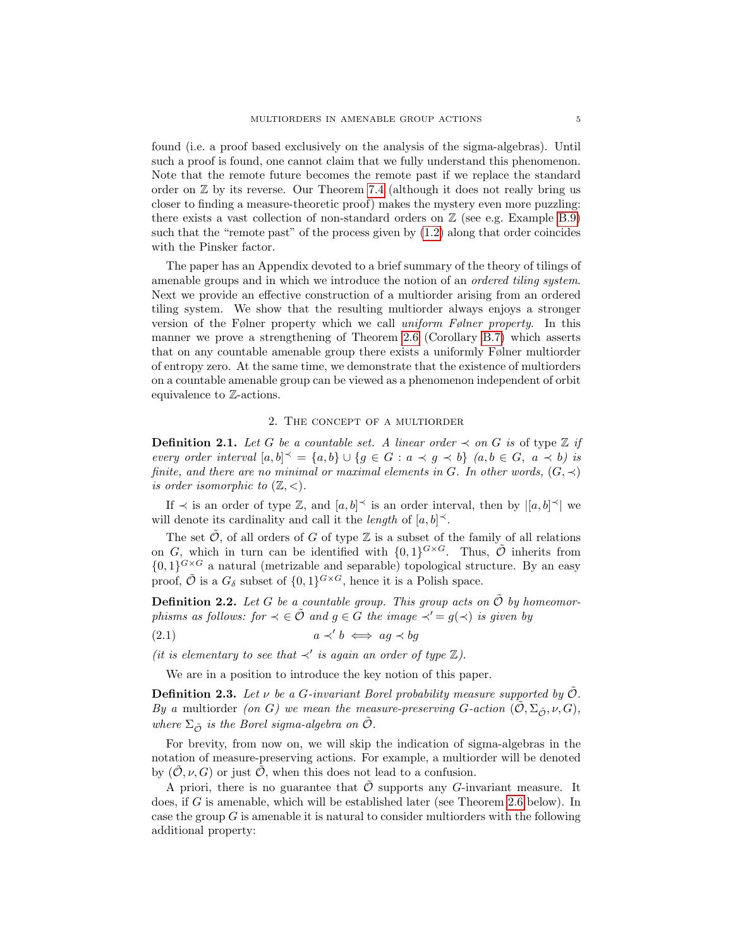found (i.e. a proof based exclusively on the analysis of the sigma-algebras). Until such a proof is found, one cannot claim that we fully understand this phenomenon. Note that the remote future becomes the remote past if we replace the standard order on  $\mathbb Z$  by its reverse. Our Theorem [7.4](#page-25-0) (although it does not really bring us closer to finding a measure-theoretic proof) makes the mystery even more puzzling: there exists a vast collection of non-standard orders on  $\mathbb Z$  (see e.g. Example [B.9\)](#page-32-0) such that the "remote past" of the process given by [\(1.2\)](#page-1-5) along that order coincides with the Pinsker factor.

The paper has an Appendix devoted to a brief summary of the theory of tilings of amenable groups and in which we introduce the notion of an ordered tiling system. Next we provide an effective construction of a multiorder arising from an ordered tiling system. We show that the resulting multiorder always enjoys a stronger version of the Følner property which we call uniform Følner property. In this manner we prove a strengthening of Theorem [2.6](#page-5-2) (Corollary [B.7\)](#page-31-0) which asserts that on any countable amenable group there exists a uniformly Følner multiorder of entropy zero. At the same time, we demonstrate that the existence of multiorders on a countable amenable group can be viewed as a phenomenon independent of orbit equivalence to Z-actions.

## 2. The concept of a multiorder

<span id="page-4-0"></span>**Definition 2.1.** Let G be a countable set. A linear order  $\prec$  on G is of type Z if every order interval  $[a,b]^\prec = \{a,b\} \cup \{g \in G : a \prec g \prec b\}$   $(a,b \in G, a \prec b)$  is finite, and there are no minimal or maximal elements in G. In other words,  $(G, \prec)$ is order isomorphic to  $(\mathbb{Z}, \langle \rangle)$ .

If  $\prec$  is an order of type Z, and  $[a, b] \preceq$  is an order interval, then by  $|[a, b] \preceq |$  we will denote its cardinality and call it the *length* of  $[a, b]^\prec$ .

The set  $\tilde{\mathcal{O}}$ , of all orders of G of type  $\mathbb Z$  is a subset of the family of all relations on G, which in turn can be identified with  $\{0,1\}^{G \times G}$ . Thus,  $\tilde{\mathcal{O}}$  inherits from  ${0,1}^{G\times G}$  a natural (metrizable and separable) topological structure. By an easy proof,  $\tilde{\mathcal{O}}$  is a  $G_{\delta}$  subset of  $\{0,1\}^{G \times G}$ , hence it is a Polish space.

<span id="page-4-2"></span>**Definition 2.2.** Let G be a countable group. This group acts on  $\tilde{\mathcal{O}}$  by homeomorphisms as follows: for  $\prec \in \tilde{\mathcal{O}}$  and  $g \in G$  the image  $\prec' = g(\prec)$  is given by

$$
(2.1) \t\t a \prec' b \iff ag \prec bg
$$

(it is elementary to see that  $\prec'$  is again an order of type  $\mathbb{Z}$ ).

<span id="page-4-1"></span>We are in a position to introduce the key notion of this paper.

**Definition 2.3.** Let  $\nu$  be a G-invariant Borel probability measure supported by  $\hat{\mathcal{O}}$ . By a multiorder (on G) we mean the measure-preserving G-action  $(\mathcal{O}, \Sigma_{\tilde{O}}, \nu, G)$ , where  $\Sigma_{\tilde{\mathcal{O}}}$  is the Borel sigma-algebra on  $\tilde{\mathcal{O}}$ .

For brevity, from now on, we will skip the indication of sigma-algebras in the notation of measure-preserving actions. For example, a multiorder will be denoted by  $(O, \nu, G)$  or just  $O$ , when this does not lead to a confusion.

A priori, there is no guarantee that  $\tilde{\mathcal{O}}$  supports any G-invariant measure. It does, if G is amenable, which will be established later (see Theorem [2.6](#page-5-2) below). In case the group  $G$  is amenable it is natural to consider multiorders with the following additional property: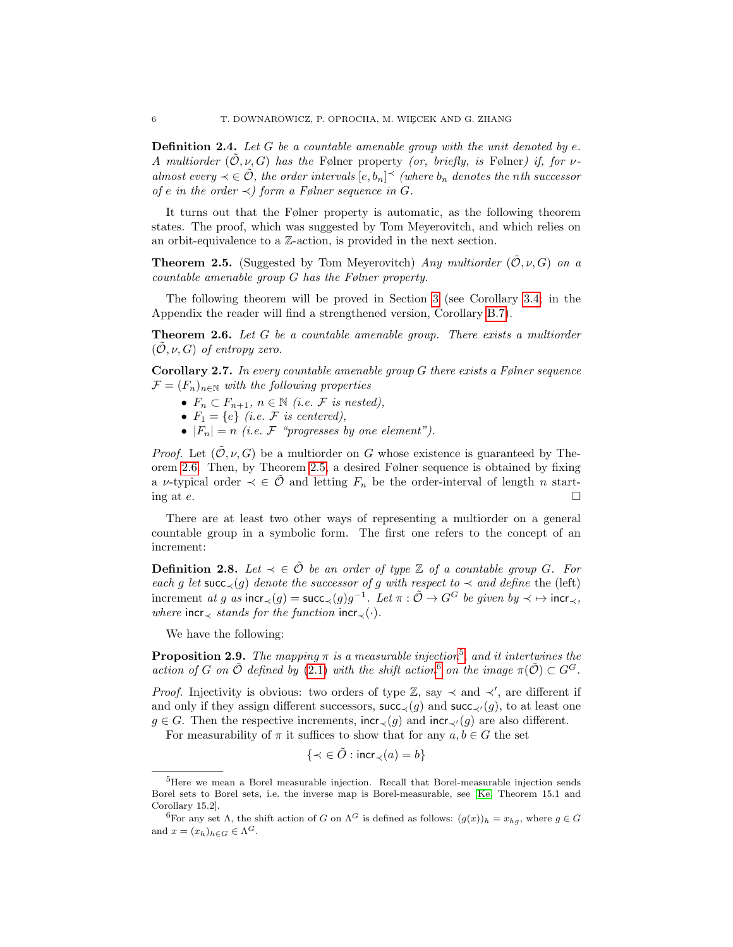<span id="page-5-0"></span>**Definition 2.4.** Let  $G$  be a countable amenable group with the unit denoted by  $e$ . A multiorder  $(\mathcal{O}, \nu, G)$  has the Følner property (or, briefly, is Følner) if, for  $\nu$ almost every  $\prec \in \tilde{\mathcal{O}}$ , the order intervals  $[e, b_n] \prec$  (where  $b_n$  denotes the nth successor of e in the order  $\prec$ ) form a Følner sequence in G.

It turns out that the Følner property is automatic, as the following theorem states. The proof, which was suggested by Tom Meyerovitch, and which relies on an orbit-equivalence to a Z-action, is provided in the next section.

<span id="page-5-1"></span>**Theorem 2.5.** (Suggested by Tom Meyerovitch) Any multiorder  $(\tilde{O}, \nu, G)$  on a countable amenable group G has the Følner property.

The following theorem will be proved in Section [3](#page-7-0) (see Corollary [3.4;](#page-9-2) in the Appendix the reader will find a strengthened version, Corollary [B.7\)](#page-31-0).

<span id="page-5-2"></span>**Theorem 2.6.** Let  $G$  be a countable amenable group. There exists a multiorder  $(\mathcal{O}, \nu, G)$  of entropy zero.

**Corollary 2.7.** In every countable amenable group  $G$  there exists a Følner sequence  $\mathcal{F} = (F_n)_{n \in \mathbb{N}}$  with the following properties

- $F_n \subset F_{n+1}, n \in \mathbb{N}$  (i.e. F is nested),
- $F_1 = \{e\}$  (i.e. F is centered),
- $|F_n| = n$  (i.e. F "progresses by one element").

*Proof.* Let  $(\mathcal{O}, \nu, G)$  be a multiorder on G whose existence is guaranteed by Theorem [2.6.](#page-5-2) Then, by Theorem [2.5,](#page-5-1) a desired Følner sequence is obtained by fixing a v-typical order  $\prec \in \tilde{\mathcal{O}}$  and letting  $F_n$  be the order-interval of length n starting at  $e$ .

There are at least two other ways of representing a multiorder on a general countable group in a symbolic form. The first one refers to the concept of an increment:

**Definition 2.8.** Let  $\prec \in \mathcal{O}$  be an order of type  $\mathbb{Z}$  of a countable group G. For each g let succ $\langle g \rangle$  denote the successor of g with respect to  $\prec$  and define the (left) increment at g as incr $\prec$ (g) = succ $\prec$ (g)g<sup>-1</sup>. Let  $\pi : \tilde{\mathcal{O}} \to G^G$  be given by  $\prec \mapsto \mathsf{incr}_{\prec}$ , where incr $\prec$  stands for the function incr $\prec(\cdot)$ .

We have the following:

**Proposition 2.9.** The mapping  $\pi$  is a measurable injection<sup>[5](#page-5-3)</sup>, and it intertwines the action of G on  $\tilde{\mathcal{O}}$  defined by [\(2.1\)](#page-4-1) with the shift action<sup>[6](#page-5-4)</sup> on the image  $\pi(\tilde{\mathcal{O}}) \subset G^G$ .

*Proof.* Injectivity is obvious: two orders of type  $\mathbb{Z}$ , say  $\prec$  and  $\prec'$ , are different if and only if they assign different successors, succ<sub>≺</sub>(g) and succ<sub>≺</sub> $(g)$ , to at least one  $g \in G$ . Then the respective increments, incr<sub>≺</sub>(g) and incr<sub>≺</sub>(g) are also different.

For measurability of  $\pi$  it suffices to show that for any  $a, b \in G$  the set

$$
\{\prec\in\tilde{O}: \mathsf{incr}_\prec(a)=b\}
$$

<span id="page-5-3"></span><sup>&</sup>lt;sup>5</sup>Here we mean a Borel measurable injection. Recall that Borel-measurable injection sends Borel sets to Borel sets, i.e. the inverse map is Borel-measurable, see [\[Ke,](#page-33-4) Theorem 15.1 and Corollary 15.2].

<span id="page-5-4"></span><sup>&</sup>lt;sup>6</sup>For any set  $\Lambda$ , the shift action of G on  $\Lambda^G$  is defined as follows:  $(g(x))_h = x_{ha}$ , where  $g \in G$ and  $x = (x_h)_{h \in G} \in \Lambda^G$ .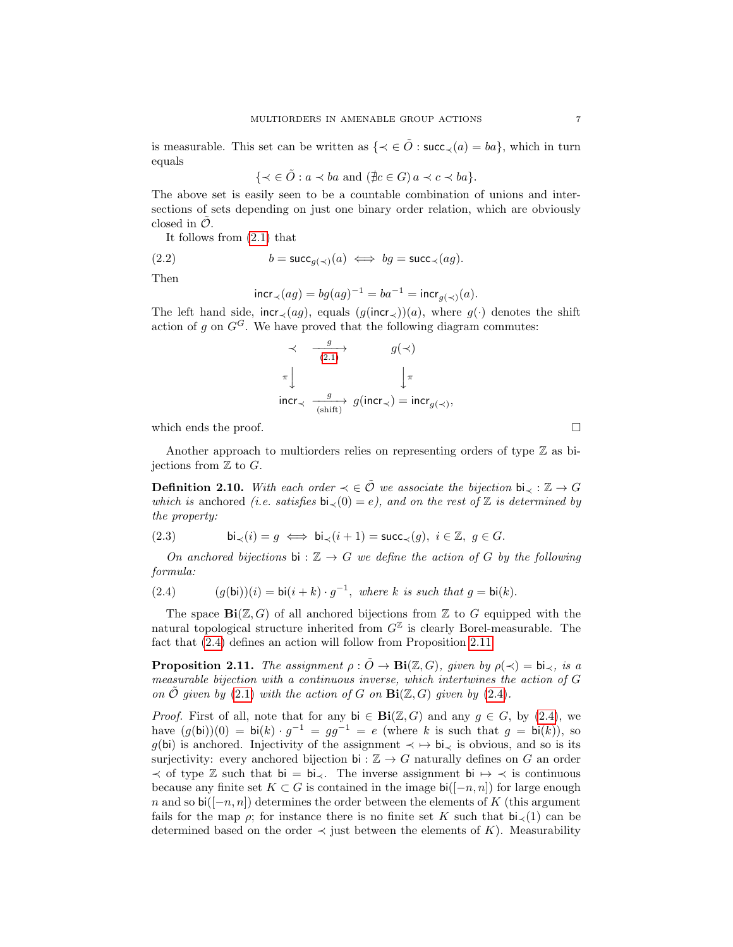is measurable. This set can be written as  $\{ \prec \in \tilde{O} : \text{succ}_{\prec}(a) = ba \}$ , which in turn equals

 $\{\prec \in \tilde{O} : a \prec ba \text{ and } (\nexists c \in G) a \prec c \prec ba\}.$ 

The above set is easily seen to be a countable combination of unions and intersections of sets depending on just one binary order relation, which are obviously closed in  $\ddot{\mathcal{O}}$ .

It follows from [\(2.1\)](#page-4-1) that

(2.2) 
$$
b = \mathsf{succ}_{g(\prec)}(a) \iff bg = \mathsf{succ}_{\prec}(ag).
$$

Then

$$
\text{incr}_{\prec}(ag) = bg(ag)^{-1} = ba^{-1} = \text{incr}_{g(\prec)}(a)
$$

The left hand side,  $\text{incr}_\prec(ag)$ , equals  $(g(\text{incr}_\prec))(a)$ , where  $g(\cdot)$  denotes the shift action of g on  $G^G$ . We have proved that the following diagram commutes:

$$
\begin{array}{ccc} \prec & \frac{g}{(2.1)} & & g(\prec) \\ \pi & & & \downarrow \pi \\ \text{incr} \prec & \frac{g}{(\text{shift})} & g(\text{incr} \prec) = \text{incr}_{g(\prec)}, \end{array}
$$

which ends the proof.  $\Box$ 

Another approach to multiorders relies on representing orders of type  $\mathbb Z$  as bijections from  $\mathbb Z$  to  $G$ .

**Definition 2.10.** With each order  $\prec \in \tilde{\mathcal{O}}$  we associate the bijection bi<sub> $\prec : \mathbb{Z} \to G$ </sub> which is anchored (i.e. satisfies bi<sub> $\prec$ </sub>(0) = e), and on the rest of  $\mathbb Z$  is determined by the property:

(2.3) bi≺(i) = g ⇐⇒ bi≺(i + 1) = succ≺(g), i ∈ Z, g ∈ G.

On anchored bijections bi :  $\mathbb{Z} \to G$  we define the action of G by the following formula:

<span id="page-6-0"></span>(2.4) 
$$
(g(\mathsf{bi}))(i) = \mathsf{bi}(i+k) \cdot g^{-1}, \text{ where } k \text{ is such that } g = \mathsf{bi}(k).
$$

The space  $\text{Bi}(\mathbb{Z}, G)$  of all anchored bijections from  $\mathbb Z$  to G equipped with the natural topological structure inherited from  $G^{\mathbb{Z}}$  is clearly Borel-measurable. The fact that [\(2.4\)](#page-6-0) defines an action will follow from Proposition [2.11.](#page-6-1)

<span id="page-6-1"></span>**Proposition 2.11.** The assignment  $\rho : \tilde{O} \to \textbf{Bi}(\mathbb{Z}, G)$ , given by  $\rho(\prec) = \text{bi}_{\prec}$ , is a measurable bijection with a continuous inverse, which intertwines the action of G on  $\hat{\mathcal{O}}$  given by [\(2.1\)](#page-4-1) with the action of G on  $\textbf{Bi}(\mathbb{Z}, G)$  given by [\(2.4\)](#page-6-0).

*Proof.* First of all, note that for any bi  $\in$  Bi( $\mathbb{Z}, G$ ) and any  $g \in G$ , by [\(2.4\)](#page-6-0), we have  $(g(bi))(0) = bi(k) \cdot g^{-1} = gg^{-1} = e$  (where k is such that  $g = bi(k)$ ), so  $q(bi)$  is anchored. Injectivity of the assignment  $\prec \rightarrow bi_{\prec}$  is obvious, and so is its surjectivity: every anchored bijection bi :  $\mathbb{Z} \to G$  naturally defines on G an order  $\prec$  of type Z such that bi = bi $\prec$ . The inverse assignment bi  $\mapsto \prec$  is continuous because any finite set  $K \subset G$  is contained in the image  $\mathsf{bi}([-n, n])$  for large enough n and so bi( $[-n, n]$ ) determines the order between the elements of K (this argument fails for the map  $\rho$ ; for instance there is no finite set K such that  $b\bar{l}_{\gamma}(1)$  can be determined based on the order  $\prec$  just between the elements of K). Measurability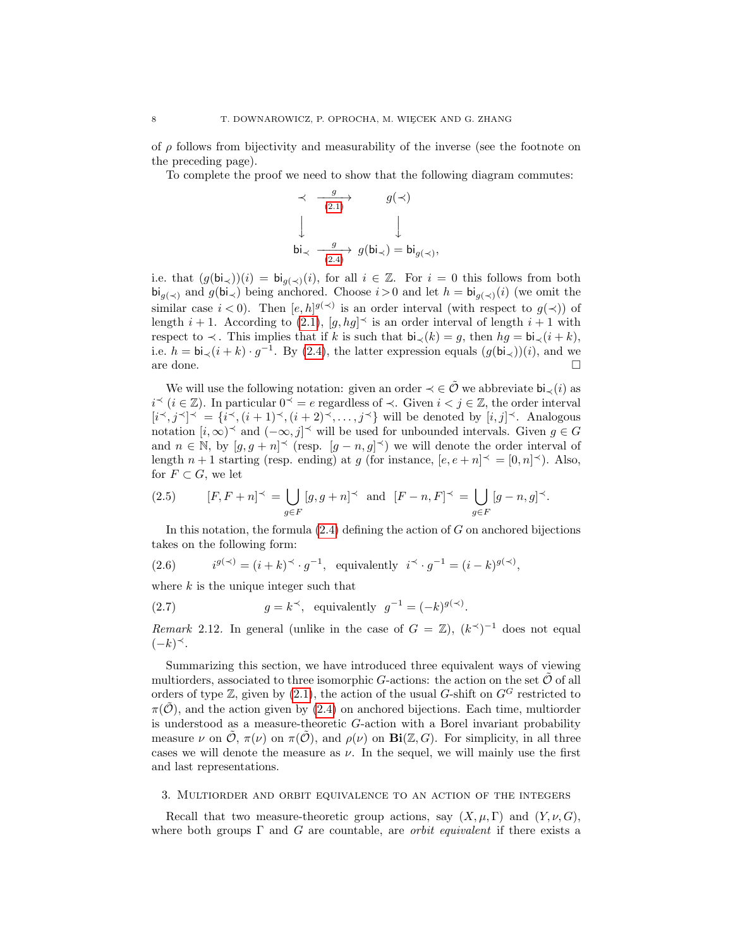of  $\rho$  follows from bijectivity and measurability of the inverse (see the footnote on the preceding page).

To complete the proof we need to show that the following diagram commutes:

$$
\begin{array}{ccc}\n\prec & \xrightarrow{g} & g(\prec) \\
\downarrow & & \downarrow \\
\downarrow & & \downarrow \\
\downarrow & & \downarrow \\
\downarrow & & \downarrow \\
\downarrow & & \downarrow \\
\downarrow & & \downarrow \\
\downarrow & & \downarrow \\
\downarrow & & \downarrow \\
\downarrow & & \downarrow \\
\downarrow & & \downarrow \\
\downarrow & & \downarrow \\
\downarrow & & \downarrow \\
\downarrow & & \downarrow \\
\downarrow & & \downarrow \\
\downarrow & & \downarrow \\
\downarrow & & \downarrow \\
\downarrow & & \downarrow \\
\downarrow & & \downarrow \\
\downarrow & & \downarrow \\
\downarrow & & \downarrow \\
\downarrow & & \downarrow \\
\downarrow & & \downarrow \\
\downarrow & & \downarrow \\
\downarrow & & \downarrow \\
\downarrow & & \downarrow \\
\downarrow & & \downarrow \\
\downarrow & & \downarrow \\
\downarrow & & \downarrow \\
\downarrow & & \downarrow \\
\downarrow & & \downarrow \\
\downarrow & & \downarrow \\
\downarrow & & \downarrow \\
\downarrow & & \downarrow \\
\downarrow & & \downarrow \\
\downarrow & & \downarrow \\
\downarrow & & \downarrow \\
\downarrow & & \downarrow \\
\downarrow & & \downarrow \\
\downarrow & & \downarrow \\
\downarrow & & \downarrow \\
\downarrow & & \downarrow \\
\downarrow & & \downarrow \\
\downarrow & & \downarrow \\
\downarrow & & \downarrow \\
\downarrow & & \downarrow \\
\downarrow & & \downarrow \\
\downarrow & & \downarrow \\
\downarrow & & \downarrow \\
\downarrow & & \downarrow \\
\downarrow & & \downarrow \\
\downarrow & & \downarrow \\
\downarrow & & \downarrow \\
\downarrow & & \downarrow \\
\downarrow & & \downarrow \\
\downarrow & & \downarrow \\
\downarrow & & \downarrow \\
\downarrow & & \downarrow \\
\downarrow & & \downarrow \\
\downarrow & & \downarrow \\
\downarrow & & \downarrow \\
\downarrow & & \downarrow \\
\downarrow & & \downarrow \\
\downarrow & & \downarrow \\
\downarrow & & \downarrow \\
\downarrow & & \downarrow \\
\downarrow & & \downarrow \\
\downarrow & & \downarrow \\
\downarrow & & \downarrow \\
\downarrow & & \downarrow \\
\downarrow & & \downarrow \\
\downarrow & & \downarrow \\
\downarrow & & \downarrow \\
\downarrow & & \downarrow \\
\downarrow & & \downarrow \\
\downarrow & & \downarrow \\
\downarrow & & \downarrow \\
\downarrow & & \downarrow \\
\downarrow & & \downarrow \\
\downarrow & & \downarrow \\
\downarrow & & \downarrow \\
\downarrow & & \downarrow \\
\downarrow & & \downarrow
$$

,

i.e. that  $(g(bi_{\prec}))(i) = bi_{g(\prec)}(i)$ , for all  $i \in \mathbb{Z}$ . For  $i = 0$  this follows from both  $\mathbf{bi}_{q(\prec)}$  and  $g(\mathbf{bi}_{\prec})$  being anchored. Choose  $i > 0$  and let  $h = \mathbf{bi}_{q(\prec)}(i)$  (we omit the similar case  $i < 0$ ). Then  $[e, h]^{g(\prec)}$  is an order interval (with respect to  $g(\prec)$ ) of length  $i + 1$ . According to [\(2.1\)](#page-4-1),  $[g, hg]^{\prec}$  is an order interval of length  $i + 1$  with respect to  $\prec$ . This implies that if k is such that  $\mathsf{bi}_{\prec}(k) = q$ , then  $hq = \mathsf{bi}_{\prec}(i + k)$ , i.e.  $h = bi \langle (i+k) \cdot g^{-1}$ . By [\(2.4\)](#page-6-0), the latter expression equals  $(g(bi \prec))(i)$ , and we are done.  $\Box$ 

We will use the following notation: given an order  $\prec \in \tilde{\mathcal{O}}$  we abbreviate  $\mathsf{bi}_{\prec}(i)$  as  $i^{\prec}$  ( $i \in \mathbb{Z}$ ). In particular  $0^{\prec} = e$  regardless of  $\prec$ . Given  $i < j \in \mathbb{Z}$ , the order interval  $[i^{\prec}, j^{\prec}]^{\prec} = \{i^{\prec}, (i+1)^{\prec}, (i+2)^{\prec}, \ldots, j^{\prec}\}$  will be denoted by  $[i, j]^{\prec}$ . Analogous notation  $[i, \infty)$ <sup> $\prec$ </sup> and  $(-\infty, j]$ <sup> $\prec$ </sup> will be used for unbounded intervals. Given  $g \in G$ and  $n \in \mathbb{N}$ , by  $[g, g + n]^\prec$  (resp.  $[g - n, g]^\prec$ ) we will denote the order interval of length  $n+1$  starting (resp. ending) at g (for instance,  $[e, e+n]^\prec = [0, n]^\prec$ ). Also, for  $F \subset G$ , we let

(2.5) 
$$
[F, F + n]^\prec = \bigcup_{g \in F} [g, g + n]^\prec \text{ and } [F - n, F]^\prec = \bigcup_{g \in F} [g - n, g]^\prec.
$$

In this notation, the formula  $(2.4)$  defining the action of G on anchored bijections takes on the following form:

<span id="page-7-1"></span>(2.6) 
$$
i^{g(\prec)} = (i+k)^{\prec} \cdot g^{-1}, \text{ equivalently } i^{\prec} \cdot g^{-1} = (i-k)^{g(\prec)},
$$

where  $k$  is the unique integer such that

<span id="page-7-2"></span>(2.7) 
$$
g = k^{\prec}, \text{ equivalently } g^{-1} = (-k)^{g(\prec)}.
$$

Remark 2.12. In general (unlike in the case of  $G = \mathbb{Z}$ ),  $(k<sup>1</sup>)<sup>-1</sup>$  does not equal  $(-k)$ <sup> $\prec$ </sup>.

Summarizing this section, we have introduced three equivalent ways of viewing multiorders, associated to three isomorphic G-actions: the action on the set  $\tilde{\mathcal{O}}$  of all orders of type  $\mathbb{Z}$ , given by [\(2.1\)](#page-4-1), the action of the usual G-shift on  $G^G$  restricted to  $\pi(\hat{\mathcal{O}})$ , and the action given by [\(2.4\)](#page-6-0) on anchored bijections. Each time, multiorder is understood as a measure-theoretic  $G$ -action with a Borel invariant probability measure  $\nu$  on  $\hat{\mathcal{O}}, \pi(\nu)$  on  $\pi(\hat{\mathcal{O}})$ , and  $\rho(\nu)$  on  $\textbf{Bi}(\mathbb{Z}, G)$ . For simplicity, in all three cases we will denote the measure as  $\nu$ . In the sequel, we will mainly use the first and last representations.

### <span id="page-7-0"></span>3. Multiorder and orbit equivalence to an action of the integers

Recall that two measure-theoretic group actions, say  $(X, \mu, \Gamma)$  and  $(Y, \nu, G)$ , where both groups  $\Gamma$  and G are countable, are *orbit equivalent* if there exists a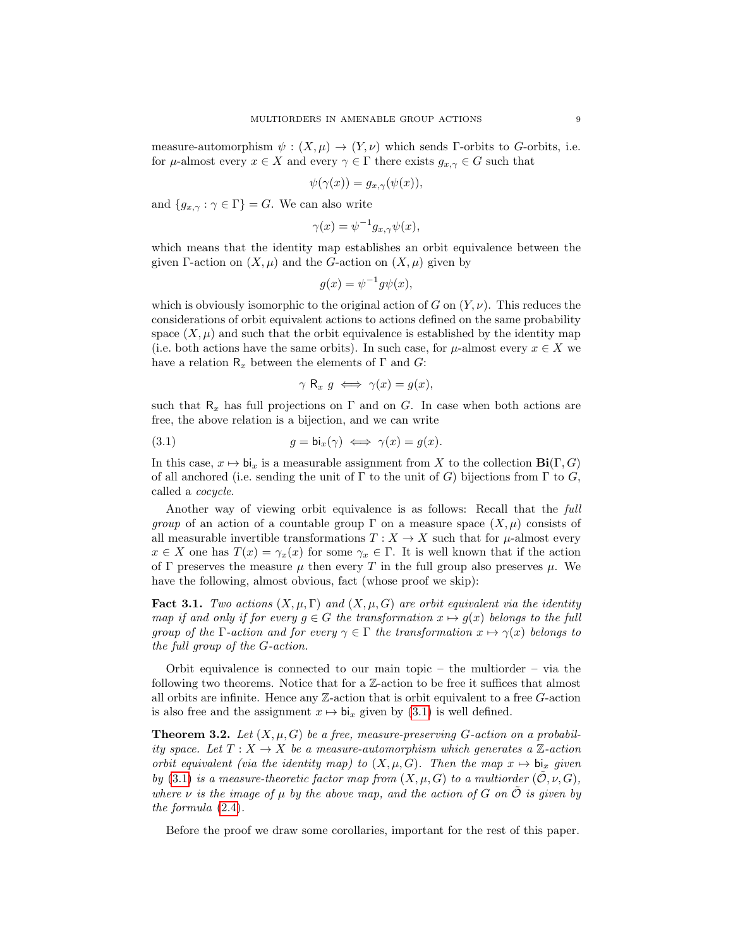measure-automorphism  $\psi : (X, \mu) \to (Y, \nu)$  which sends Γ-orbits to G-orbits, i.e. for  $\mu$ -almost every  $x \in X$  and every  $\gamma \in \Gamma$  there exists  $g_{x,\gamma} \in G$  such that

$$
\psi(\gamma(x)) = g_{x,\gamma}(\psi(x)),
$$

and  ${g_{x,y} : \gamma \in \Gamma} = G$ . We can also write

$$
\gamma(x) = \psi^{-1} g_{x,\gamma} \psi(x),
$$

which means that the identity map establishes an orbit equivalence between the given Γ-action on  $(X, \mu)$  and the G-action on  $(X, \mu)$  given by

$$
g(x) = \psi^{-1} g \psi(x),
$$

which is obviously isomorphic to the original action of G on  $(Y, \nu)$ . This reduces the considerations of orbit equivalent actions to actions defined on the same probability space  $(X, \mu)$  and such that the orbit equivalence is established by the identity map (i.e. both actions have the same orbits). In such case, for  $\mu$ -almost every  $x \in X$  we have a relation  $\mathsf{R}_x$  between the elements of  $\Gamma$  and  $G$ :

<span id="page-8-0"></span>
$$
\gamma \mathsf{R}_x \ g \iff \gamma(x) = g(x),
$$

such that  $R_x$  has full projections on  $\Gamma$  and on G. In case when both actions are free, the above relation is a bijection, and we can write

(3.1) 
$$
g = \mathsf{bi}_x(\gamma) \iff \gamma(x) = g(x).
$$

In this case,  $x \mapsto bi_x$  is a measurable assignment from X to the collection  $\text{Bi}(\Gamma, G)$ of all anchored (i.e. sending the unit of  $\Gamma$  to the unit of G) bijections from  $\Gamma$  to G, called a cocycle.

Another way of viewing orbit equivalence is as follows: Recall that the full *group* of an action of a countable group  $\Gamma$  on a measure space  $(X, \mu)$  consists of all measurable invertible transformations  $T : X \to X$  such that for  $\mu$ -almost every  $x \in X$  one has  $T(x) = \gamma_x(x)$  for some  $\gamma_x \in \Gamma$ . It is well known that if the action of Γ preserves the measure  $\mu$  then every T in the full group also preserves  $\mu$ . We have the following, almost obvious, fact (whose proof we skip):

**Fact 3.1.** Two actions  $(X, \mu, \Gamma)$  and  $(X, \mu, G)$  are orbit equivalent via the identity map if and only if for every  $g \in G$  the transformation  $x \mapsto g(x)$  belongs to the full group of the Γ-action and for every  $\gamma \in \Gamma$  the transformation  $x \mapsto \gamma(x)$  belongs to the full group of the G-action.

Orbit equivalence is connected to our main topic – the multiorder – via the following two theorems. Notice that for a Z-action to be free it suffices that almost all orbits are infinite. Hence any  $\mathbb{Z}$ -action that is orbit equivalent to a free  $G$ -action is also free and the assignment  $x \mapsto bi_x$  given by [\(3.1\)](#page-8-0) is well defined.

<span id="page-8-1"></span>**Theorem 3.2.** Let  $(X, \mu, G)$  be a free, measure-preserving G-action on a probability space. Let  $T : X \to X$  be a measure-automorphism which generates a Z-action orbit equivalent (via the identity map) to  $(X, \mu, G)$ . Then the map  $x \mapsto bi_x$  given by [\(3.1\)](#page-8-0) is a measure-theoretic factor map from  $(X, \mu, G)$  to a multiorder  $(\tilde{\mathcal{O}}, \nu, G)$ , where  $\nu$  is the image of  $\mu$  by the above map, and the action of G on  $\tilde{\mathcal{O}}$  is given by the formula [\(2.4\)](#page-6-0).

Before the proof we draw some corollaries, important for the rest of this paper.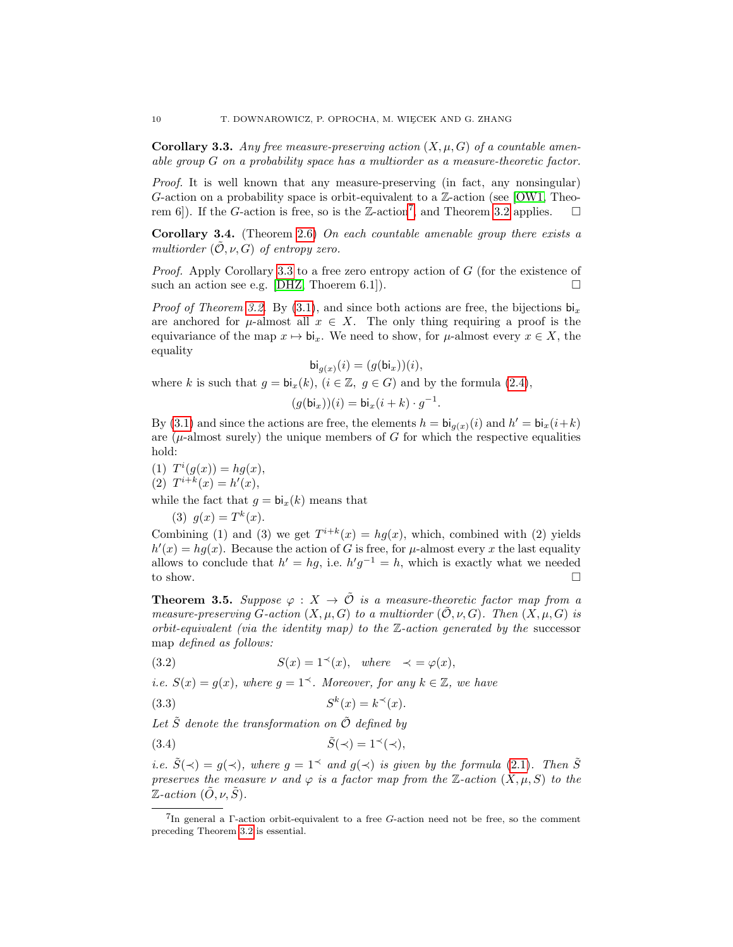<span id="page-9-1"></span>**Corollary 3.3.** Any free measure-preserving action  $(X, \mu, G)$  of a countable amenable group G on a probability space has a multiorder as a measure-theoretic factor.

Proof. It is well known that any measure-preserving (in fact, any nonsingular) G-action on a probability space is orbit-equivalent to a Z-action (see [\[OW1,](#page-34-2) Theo-rem 6]). If the G-action is free, so is the Z-action<sup>[7](#page-9-3)</sup>, and Theorem [3.2](#page-8-1) applies.  $\square$ 

<span id="page-9-2"></span>**Corollary 3.4.** (Theorem [2.6\)](#page-5-2) On each countable amenable group there exists a multiorder  $(0, \nu, G)$  of entropy zero.

*Proof.* Apply Corollary [3.3](#page-9-1) to a free zero entropy action of  $G$  (for the existence of such an action see e.g. [\[DHZ,](#page-33-5) Thoerem 6.1]).

*Proof of Theorem [3.2.](#page-8-1)* By [\(3.1\)](#page-8-0), and since both actions are free, the bijections  $\mathbf{b}i_x$ are anchored for  $\mu$ -almost all  $x \in X$ . The only thing requiring a proof is the equivariance of the map  $x \mapsto bi_x$ . We need to show, for  $\mu$ -almost every  $x \in X$ , the equality

$$
\mathsf{bi}_{g(x)}(i) = (g(\mathsf{bi}_x))(i),
$$

where k is such that  $g = \mathbf{bi}_x(k)$ ,  $(i \in \mathbb{Z}, g \in G)$  and by the formula [\(2.4\)](#page-6-0),

$$
(g(\mathsf{bi}_x))(i) = \mathsf{bi}_x(i+k) \cdot g^{-1}.
$$

By [\(3.1\)](#page-8-0) and since the actions are free, the elements  $h = \mathsf{bi}_{g(x)}(i)$  and  $h' = \mathsf{bi}_{x}(i+k)$ are  $(\mu$ -almost surely) the unique members of G for which the respective equalities hold:

(1) 
$$
T^{i}(g(x)) = hg(x),
$$
  
(2)  $T^{i+k}(x) = h'(x),$ 

while the fact that  $g = bi_x(k)$  means that

(3)  $g(x) = T^k(x)$ .

Combining (1) and (3) we get  $T^{i+k}(x) = hg(x)$ , which, combined with (2) yields  $h'(x) = hg(x)$ . Because the action of G is free, for  $\mu$ -almost every x the last equality allows to conclude that  $h' = hg$ , i.e.  $h'g^{-1} = h$ , which is exactly what we needed to show.  $\Box$ 

<span id="page-9-0"></span>**Theorem 3.5.** Suppose  $\varphi : X \to \tilde{\mathcal{O}}$  is a measure-theoretic factor map from a measure-preserving G-action  $(X, \mu, G)$  to a multiorder  $(\tilde{\mathcal{O}}, \nu, G)$ . Then  $(X, \mu, G)$  is orbit-equivalent (via the identity map) to the  $\mathbb{Z}$ -action generated by the successor map defined as follows:

<span id="page-9-4"></span>(3.2) 
$$
S(x) = 1^{\prec}(x), \text{ where } \prec = \varphi(x),
$$

i.e.  $S(x) = g(x)$ , where  $g = 1<sup>2</sup>$ . Moreover, for any  $k \in \mathbb{Z}$ , we have

<span id="page-9-5"></span>
$$
(3.3) \tSk(x) = k\prec(x).
$$

Let  $\tilde{S}$  denote the transformation on  $\tilde{O}$  defined by

<span id="page-9-6"></span>
$$
(3.4) \t\t \tilde{S}(\prec) = 1^{\prec}(\prec),
$$

i.e.  $\tilde{S}(\prec) = g(\prec)$ , where  $g = 1^{\prec}$  and  $g(\prec)$  is given by the formula [\(2.1\)](#page-4-1). Then  $\tilde{S}$ preserves the measure  $\nu$  and  $\varphi$  is a factor map from the Z-action  $(X, \mu, S)$  to the  $\mathbb{Z}\text{-action }(\tilde{O}, \nu, \tilde{S}).$ 

<span id="page-9-3"></span><sup>7</sup> In general a Γ-action orbit-equivalent to a free G-action need not be free, so the comment preceding Theorem [3.2](#page-8-1) is essential.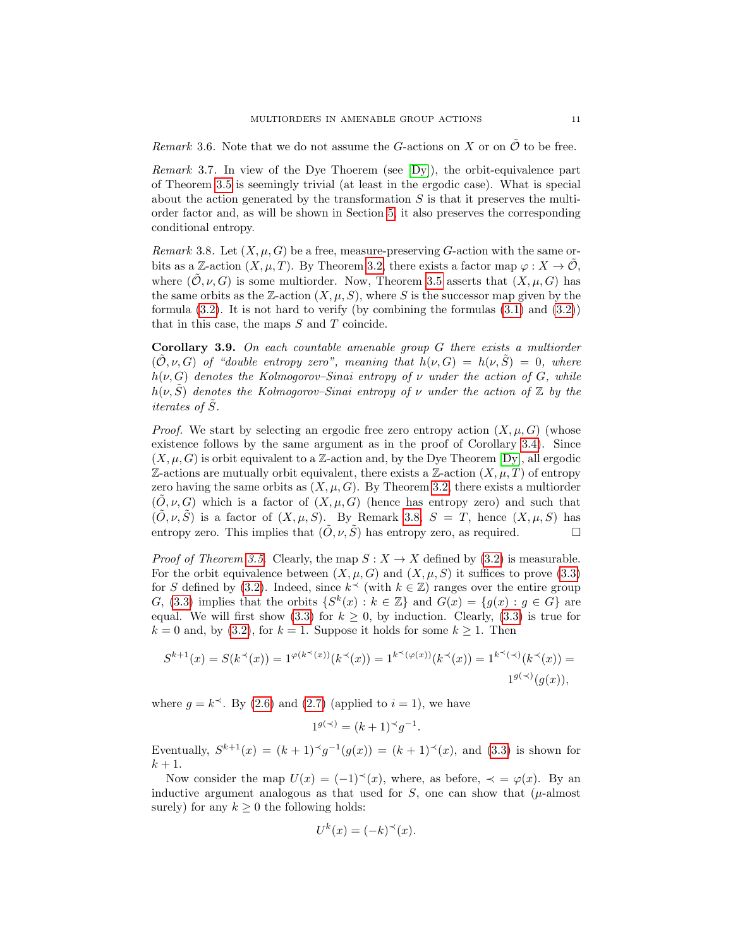Remark 3.6. Note that we do not assume the G-actions on X or on  $\mathcal O$  to be free.

*Remark* 3.7. In view of the Dye Thoerem (see  $[Dy]$ ), the orbit-equivalence part of Theorem [3.5](#page-9-0) is seemingly trivial (at least in the ergodic case). What is special about the action generated by the transformation  $S$  is that it preserves the multiorder factor and, as will be shown in Section [5,](#page-19-0) it also preserves the corresponding conditional entropy.

<span id="page-10-0"></span>Remark 3.8. Let  $(X, \mu, G)$  be a free, measure-preserving G-action with the same orbits as a Z-action  $(X, \mu, T)$ . By Theorem [3.2,](#page-8-1) there exists a factor map  $\varphi : X \to \mathcal{O}$ , where  $(\mathcal{O}, \nu, G)$  is some multiorder. Now, Theorem [3.5](#page-9-0) asserts that  $(X, \mu, G)$  has the same orbits as the Z-action  $(X, \mu, S)$ , where S is the successor map given by the formula  $(3.2)$ . It is not hard to verify (by combining the formulas  $(3.1)$  and  $(3.2)$ ) that in this case, the maps  $S$  and  $T$  coincide.

<span id="page-10-1"></span>Corollary 3.9. On each countable amenable group G there exists a multiorder  $(\mathcal{O}, \nu, G)$  of "double entropy zero", meaning that  $h(\nu, G) = h(\nu, S) = 0$ , where  $h(\nu, G)$  denotes the Kolmogorov–Sinai entropy of  $\nu$  under the action of G, while  $h(\nu, \tilde{S})$  denotes the Kolmogorov–Sinai entropy of  $\nu$  under the action of  $\mathbb Z$  by the iterates of  $\tilde{S}$ .

*Proof.* We start by selecting an ergodic free zero entropy action  $(X, \mu, G)$  (whose existence follows by the same argument as in the proof of Corollary [3.4\)](#page-9-2). Since  $(X, \mu, G)$  is orbit equivalent to a Z-action and, by the Dye Theorem [\[Dy\]](#page-33-6), all ergodic  $\mathbb{Z}$ -actions are mutually orbit equivalent, there exists a  $\mathbb{Z}$ -action  $(X, \mu, T)$  of entropy zero having the same orbits as  $(X, \mu, G)$ . By Theorem [3.2,](#page-8-1) there exists a multiorder  $(\tilde{O}, \nu, G)$  which is a factor of  $(X, \mu, G)$  (hence has entropy zero) and such that  $(\tilde{O}, \nu, \tilde{S})$  is a factor of  $(X, \mu, S)$ . By Remark [3.8,](#page-10-0)  $S = T$ , hence  $(X, \mu, S)$  has entropy zero. This implies that  $(\tilde{O}, \nu, \tilde{S})$  has entropy zero, as required.

*Proof of Theorem [3.5.](#page-9-0)* Clearly, the map  $S: X \to X$  defined by [\(3.2\)](#page-9-4) is measurable. For the orbit equivalence between  $(X, \mu, G)$  and  $(X, \mu, S)$  it suffices to prove [\(3.3\)](#page-9-5) for S defined by [\(3.2\)](#page-9-4). Indeed, since  $k^{\preceq}$  (with  $k \in \mathbb{Z}$ ) ranges over the entire group G, [\(3.3\)](#page-9-5) implies that the orbits  $\{S^k(x) : k \in \mathbb{Z}\}\$  and  $G(x) = \{g(x) : g \in G\}$  are equal. We will first show [\(3.3\)](#page-9-5) for  $k \geq 0$ , by induction. Clearly, (3.3) is true for  $k = 0$  and, by [\(3.2\)](#page-9-4), for  $k = 1$ . Suppose it holds for some  $k \ge 1$ . Then

$$
S^{k+1}(x) = S(k^{\prec}(x)) = 1^{\varphi(k^{\prec}(x))}(k^{\prec}(x)) = 1^{k^{\prec}(\varphi(x))}(k^{\prec}(x)) = 1^{k^{\prec}(\prec)}(k^{\prec}(x)) = 1^{g(\prec)}(g(x)),
$$

where  $g = k^{\prec}$ . By [\(2.6\)](#page-7-1) and [\(2.7\)](#page-7-2) (applied to  $i = 1$ ), we have

$$
1^{g(\prec)} = (k+1)^{\prec} g^{-1}.
$$

Eventually,  $S^{k+1}(x) = (k+1)^{k} g^{-1}(g(x)) = (k+1)^{k} g(x)$ , and [\(3.3\)](#page-9-5) is shown for  $k+1$ .

Now consider the map  $U(x) = (-1)^{-(x)}x$ , where, as before,  $\prec = \varphi(x)$ . By an inductive argument analogous as that used for  $S$ , one can show that ( $\mu$ -almost surely) for any  $k \geq 0$  the following holds:

$$
U^k(x) = (-k)^{\prec}(x).
$$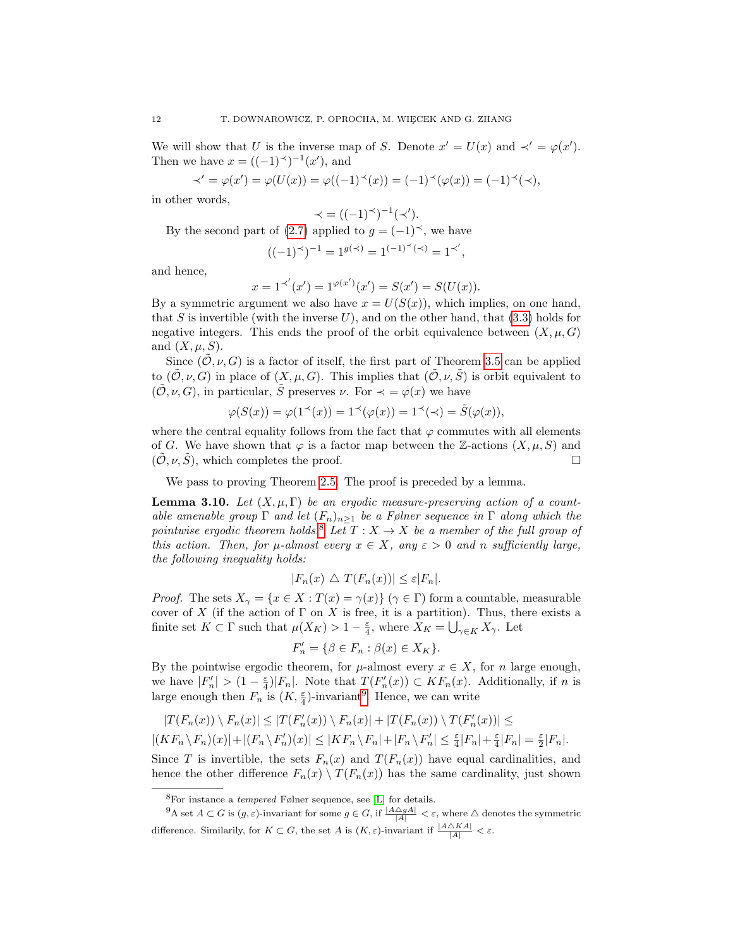We will show that U is the inverse map of S. Denote  $x' = U(x)$  and  $\prec' = \varphi(x')$ . Then we have  $x = ((-1)^{\prec})^{-1}(x')$ , and

$$
\prec'=\varphi(x')=\varphi(U(x))=\varphi((-1)^{\prec}(x))=(-1)^{\prec}(\varphi(x))=(-1)^{\prec}(\prec),
$$

in other words,

$$
\prec = ((-1)^{\prec})^{-1}(\prec').
$$

By the second part of [\(2.7\)](#page-7-2) applied to  $g = (-1)^{\prec}$ , we have

$$
((-1)^{\prec})^{-1} = 1^{g(\prec)} = 1^{(-1)^{\prec}(\prec)} = 1^{\prec'},
$$

and hence,

$$
x = 1^{\prec'}(x') = 1^{\varphi(x')}(x') = S(x') = S(U(x)).
$$

By a symmetric argument we also have  $x = U(S(x))$ , which implies, on one hand, that S is invertible (with the inverse  $U$ ), and on the other hand, that [\(3.3\)](#page-9-5) holds for negative integers. This ends the proof of the orbit equivalence between  $(X, \mu, G)$ and  $(X, \mu, S)$ .

Since  $(\tilde{\mathcal{O}}, \nu, G)$  is a factor of itself, the first part of Theorem [3.5](#page-9-0) can be applied to  $(\tilde{\mathcal{O}}, \nu, G)$  in place of  $(X, \mu, G)$ . This implies that  $(\tilde{\mathcal{O}}, \nu, \tilde{S})$  is orbit equivalent to  $(\tilde{\mathcal{O}}, \nu, G)$ , in particular,  $\tilde{S}$  preserves  $\nu$ . For  $\prec = \varphi(x)$  we have

$$
\varphi(S(x)) = \varphi(1^{\prec}(x)) = 1^{\prec}(\varphi(x)) = 1^{\prec}(\prec) = \tilde{S}(\varphi(x)),
$$

where the central equality follows from the fact that  $\varphi$  commutes with all elements of G. We have shown that  $\varphi$  is a factor map between the Z-actions  $(X, \mu, S)$  and  $(\tilde{\mathcal{O}}, \nu, \tilde{S})$ , which completes the proof.

We pass to proving Theorem [2.5.](#page-5-1) The proof is preceded by a lemma.

<span id="page-11-2"></span>**Lemma 3.10.** Let  $(X, \mu, \Gamma)$  be an ergodic measure-preserving action of a countable amenable group  $\Gamma$  and let  $(F_n)_{n>1}$  be a Følner sequence in  $\Gamma$  along which the pointwise ergodic theorem holds.<sup>[8](#page-11-0)</sup> Let  $T : X \to X$  be a member of the full group of this action. Then, for  $\mu$ -almost every  $x \in X$ , any  $\varepsilon > 0$  and n sufficiently large, the following inequality holds:

$$
|F_n(x) \bigtriangleup T(F_n(x))| \leq \varepsilon |F_n|.
$$

*Proof.* The sets  $X_{\gamma} = \{x \in X : T(x) = \gamma(x)\}\ (\gamma \in \Gamma)$  form a countable, measurable cover of X (if the action of  $\Gamma$  on X is free, it is a partition). Thus, there exists a finite set  $K \subset \Gamma$  such that  $\mu(X_K) > 1 - \frac{\varepsilon}{4}$ , where  $X_K = \bigcup_{\gamma \in K} X_{\gamma}$ . Let

$$
F'_n = \{ \beta \in F_n : \beta(x) \in X_K \}.
$$

By the pointwise ergodic theorem, for  $\mu$ -almost every  $x \in X$ , for n large enough, we have  $|F'_n| > (1 - \frac{\varepsilon}{4})|F_n|$ . Note that  $T(F'_n(x)) \subset KF_n(x)$ . Additionally, if n is large enough then  $F_n$  is  $(K, \frac{\varepsilon}{4})$ -invariant<sup>[9](#page-11-1)</sup>. Hence, we can write

$$
|T(F_n(x)) \setminus F_n(x)| \le |T(F'_n(x)) \setminus F_n(x)| + |T(F_n(x)) \setminus T(F'_n(x))| \le
$$
  

$$
|(KF_n \setminus F_n)(x)| + |(F_n \setminus F'_n)(x)| \le |KF_n \setminus F_n| + |F_n \setminus F'_n| \le \frac{\varepsilon}{4}|F_n| + \frac{\varepsilon}{4}|F_n| = \frac{\varepsilon}{2}|F_n|.
$$

Since T is invertible, the sets  $F_n(x)$  and  $T(F_n(x))$  have equal cardinalities, and hence the other difference  $F_n(x) \setminus T(F_n(x))$  has the same cardinality, just shown

<span id="page-11-1"></span><span id="page-11-0"></span> ${}^{8}$ For instance a *tempered* Følner sequence, see [\[L\]](#page-33-7) for details.

 ${}^{9}A$  set  $A \subset G$  is  $(g, \varepsilon)$ -invariant for some  $g \in G$ , if  $\frac{|A \triangle gA|}{|A|} < \varepsilon$ , where  $\triangle$  denotes the symmetric difference. Similarily, for  $K \subset G$ , the set A is  $(K, \varepsilon)$ -invariant if  $\frac{|A \triangle K A|}{|A|} < \varepsilon$ .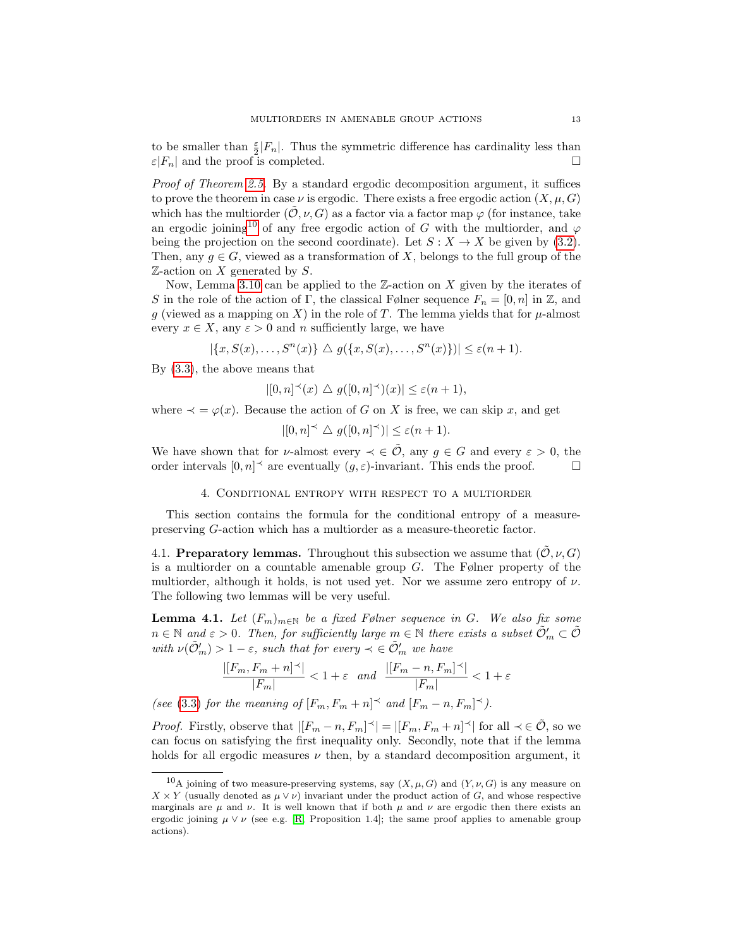to be smaller than  $\frac{\varepsilon}{2}|F_n|$ . Thus the symmetric difference has cardinality less than  $\varepsilon|F_n|$  and the proof is completed.

Proof of Theorem [2.5.](#page-5-1) By a standard ergodic decomposition argument, it suffices to prove the theorem in case  $\nu$  is ergodic. There exists a free ergodic action  $(X, \mu, G)$ which has the multiorder  $(\tilde{\mathcal{O}}, \nu, G)$  as a factor via a factor map  $\varphi$  (for instance, take an ergodic joining<sup>[10](#page-12-2)</sup> of any free ergodic action of G with the multiorder, and  $\varphi$ being the projection on the second coordinate). Let  $S: X \to X$  be given by [\(3.2\)](#page-9-4). Then, any  $g \in G$ , viewed as a transformation of X, belongs to the full group of the  $\mathbb{Z}\text{-action}$  on X generated by S.

Now, Lemma [3.10](#page-11-2) can be applied to the  $\mathbb{Z}$ -action on X given by the iterates of S in the role of the action of Γ, the classical Følner sequence  $F_n = [0, n]$  in Z, and g (viewed as a mapping on X) in the role of T. The lemma yields that for  $\mu$ -almost every  $x \in X$ , any  $\varepsilon > 0$  and n sufficiently large, we have

 $|\{x, S(x), \ldots, S^n(x)\}| \triangleq g(\{x, S(x), \ldots, S^n(x)\})| \leq \varepsilon(n+1).$ 

By [\(3.3\)](#page-9-5), the above means that

 $|[0,n]^\prec(x) \bigtriangleup g([0,n]^\prec)(x)| \leq \varepsilon(n+1),$ 

where  $\prec = \varphi(x)$ . Because the action of G on X is free, we can skip x, and get

$$
|[0,n]^\prec \bigtriangleup g([0,n]^\prec)| \leq \varepsilon(n+1).
$$

We have shown that for *v*-almost every  $\prec \in \tilde{\mathcal{O}}$ , any  $g \in G$  and every  $\varepsilon > 0$ , the order intervals  $[0, n]^\prec$  are eventually  $(g, \varepsilon)$ -invariant. This ends the proof.

## 4. Conditional entropy with respect to a multiorder

<span id="page-12-0"></span>This section contains the formula for the conditional entropy of a measurepreserving G-action which has a multiorder as a measure-theoretic factor.

<span id="page-12-1"></span>4.1. Preparatory lemmas. Throughout this subsection we assume that  $(\mathcal{O}, \nu, G)$ is a multiorder on a countable amenable group  $G$ . The Følner property of the multiorder, although it holds, is not used yet. Nor we assume zero entropy of  $\nu$ . The following two lemmas will be very useful.

<span id="page-12-3"></span>**Lemma 4.1.** Let  $(F_m)_{m \in \mathbb{N}}$  be a fixed Følner sequence in G. We also fix some  $n \in \mathbb{N}$  and  $\varepsilon > 0$ . Then, for sufficiently large  $m \in \mathbb{N}$  there exists a subset  $\tilde{\mathcal{O}}'_m \subset \tilde{\mathcal{O}}$ with  $\nu(\tilde{\mathcal{O}}'_m) > 1 - \varepsilon$ , such that for every  $\prec \in \tilde{\mathcal{O}}'_m$  we have

$$
\frac{|[F_m, F_m + n]^\prec|}{|F_m|} < 1 + \varepsilon \quad and \quad \frac{|[F_m - n, F_m]^\prec|}{|F_m|} < 1 + \varepsilon
$$

(see [\(3.3\)](#page-9-5) for the meaning of  $[F_m, F_m + n] \preceq$  and  $[F_m - n, F_m] \preceq$ ).

*Proof.* Firstly, observe that  $|[F_m - n, F_m]^\prec| = |[F_m, F_m + n]^\prec|$  for all  $\prec \in \tilde{\mathcal{O}}$ , so we can focus on satisfying the first inequality only. Secondly, note that if the lemma holds for all ergodic measures  $\nu$  then, by a standard decomposition argument, it

<span id="page-12-2"></span><sup>&</sup>lt;sup>10</sup>A joining of two measure-preserving systems, say  $(X, \mu, G)$  and  $(Y, \nu, G)$  is any measure on  $X \times Y$  (usually denoted as  $\mu \vee \nu$ ) invariant under the product action of G, and whose respective marginals are  $\mu$  and  $\nu$ . It is well known that if both  $\mu$  and  $\nu$  are ergodic then there exists an ergodic joining  $\mu \vee \nu$  (see e.g. [\[R,](#page-34-3) Proposition 1.4]; the same proof applies to amenable group actions).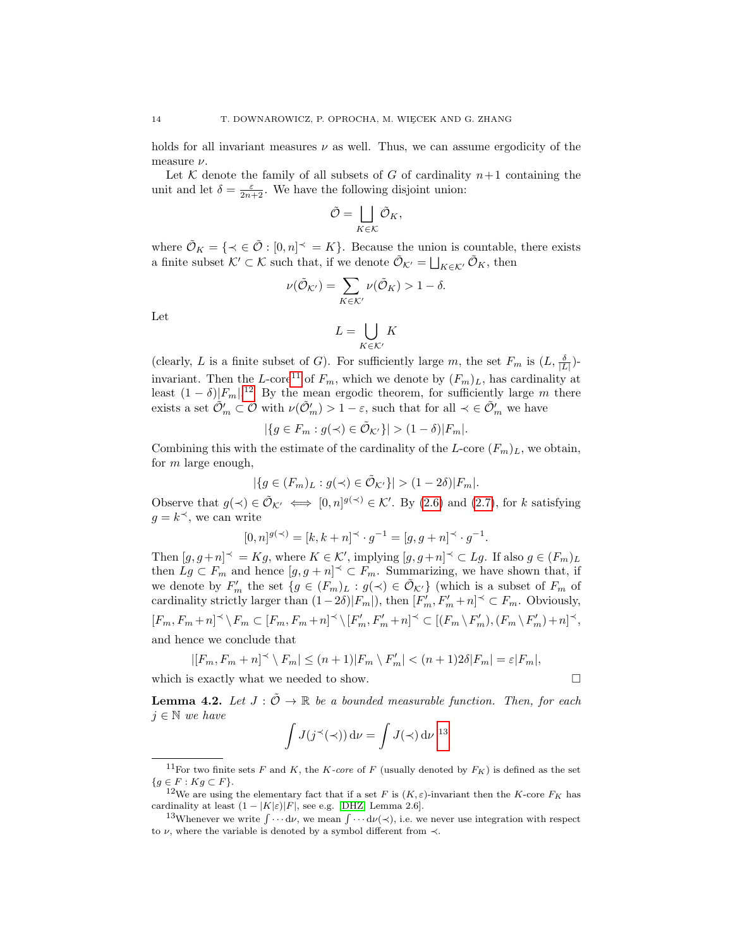holds for all invariant measures  $\nu$  as well. Thus, we can assume ergodicity of the measure  $\nu$ .

Let K denote the family of all subsets of G of cardinality  $n+1$  containing the unit and let  $\delta = \frac{\varepsilon}{2n+2}$ . We have the following disjoint union:

$$
\tilde{\mathcal{O}} = \bigsqcup_{K \in \mathcal{K}} \tilde{\mathcal{O}}_K,
$$

where  $\tilde{\mathcal{O}}_K = \{ \prec \in \tilde{\mathcal{O}} : [0, n] \prec = K \}$ . Because the union is countable, there exists a finite subset  $\mathcal{K}' \subset \mathcal{K}$  such that, if we denote  $\tilde{\mathcal{O}}_{\mathcal{K}'} = \bigsqcup_{K \in \mathcal{K}'} \tilde{\mathcal{O}}_K$ , then

$$
\nu(\tilde{\mathcal{O}}_{\mathcal{K}'}) = \sum_{K \in \mathcal{K}'} \nu(\tilde{\mathcal{O}}_K) > 1 - \delta.
$$

Let

$$
L = \bigcup_{K \in \mathcal{K}'} K
$$

(clearly, L is a finite subset of G). For sufficiently large m, the set  $F_m$  is  $(L, \frac{\delta}{|L|})$ -invariant. Then the L-core<sup>[11](#page-13-0)</sup> of  $F_m$ , which we denote by  $(F_m)_L$ , has cardinality at least  $(1 - \delta)|F_m|$ .<sup>[12](#page-13-1)</sup> By the mean ergodic theorem, for sufficiently large m there exists a set  $\tilde{\mathcal{O}}'_m \subset \tilde{\mathcal{O}}$  with  $\nu(\tilde{\mathcal{O}}'_m) > 1 - \varepsilon$ , such that for all  $\prec \in \tilde{\mathcal{O}}'_m$  we have

$$
|\{g \in F_m : g(\prec) \in \tilde{\mathcal{O}}_{\mathcal{K}'}\}| > (1 - \delta)|F_m|.
$$

Combining this with the estimate of the cardinality of the L-core  $(F_m)_L$ , we obtain, for  $m$  large enough,

$$
|\{g \in (F_m)_L : g(\prec) \in \tilde{\mathcal{O}}_{\mathcal{K}'}\}| > (1 - 2\delta)|F_m|.
$$

Observe that  $g(\prec) \in \tilde{\mathcal{O}}_{\mathcal{K}'} \iff [0,n]^{g(\prec)} \in \mathcal{K}'$ . By [\(2.6\)](#page-7-1) and [\(2.7\)](#page-7-2), for k satisfying  $g = k^{\prec}$ , we can write

$$
[0, n]^{g(\prec)} = [k, k + n]^\prec \cdot g^{-1} = [g, g + n]^\prec \cdot g^{-1}.
$$

Then  $[g, g+n]^\prec = Kg$ , where  $K \in \mathcal{K}'$ , implying  $[g, g+n]^\prec \subset Lg$ . If also  $g \in (F_m)_L$ then  $L_g \subset F_m$  and hence  $[g, g + n] \leq F_m$ . Summarizing, we have shown that, if we denote by  $F'_m$  the set  $\{g \in (F_m)_L : g(\prec) \in \tilde{\mathcal{O}}_{\mathcal{K}'}\}\$  (which is a subset of  $F_m$  of cardinality strictly larger than  $(1-2\delta)|F_m|$ ), then  $[F'_m, F'_m+n] \preceq \subset F_m$ . Obviously,  $[F_m,F_m+n]^\prec\backslash\,F_m\subset [F_m,F_m+n]^\prec\backslash\,[F_m',F_m'+n]^\prec\subset [(F_m\backslash\,F_m'),(F_m\backslash\,F_m')+n]^\prec,$ and hence we conclude that

$$
|[F_m, F_m + n]^{\prec} \setminus F_m| \le (n+1)|F_m \setminus F'_m| < (n+1)2\delta|F_m| = \varepsilon|F_m|,
$$
 is exactly what we need to show

which is exactly what we needed to show.

<span id="page-13-3"></span>**Lemma 4.2.** Let  $J : \mathcal{O} \to \mathbb{R}$  be a bounded measurable function. Then, for each  $j \in \mathbb{N}$  we have

$$
\int J(j^{\prec}(\prec)) \, \mathrm{d}\nu = \int J(\prec) \, \mathrm{d}\nu^{-13}
$$

$$
\qquad \qquad \Box
$$

<span id="page-13-0"></span><sup>&</sup>lt;sup>11</sup>For two finite sets F and K, the K-core of F (usually denoted by  $F_K$ ) is defined as the set  ${g \in F : Kg \subset F}.$ 

<span id="page-13-1"></span><sup>&</sup>lt;sup>12</sup>We are using the elementary fact that if a set F is  $(K, \varepsilon)$ -invariant then the K-core  $F_K$  has cardinality at least  $(1 - |K|\varepsilon)|F|$ , see e.g. [\[DHZ,](#page-33-5) Lemma 2.6].

<span id="page-13-2"></span><sup>&</sup>lt;sup>13</sup>Whenever we write  $\int \cdots d\nu$ , we mean  $\int \cdots d\nu(\prec)$ , i.e. we never use integration with respect to  $\nu$ , where the variable is denoted by a symbol different from  $\prec$ .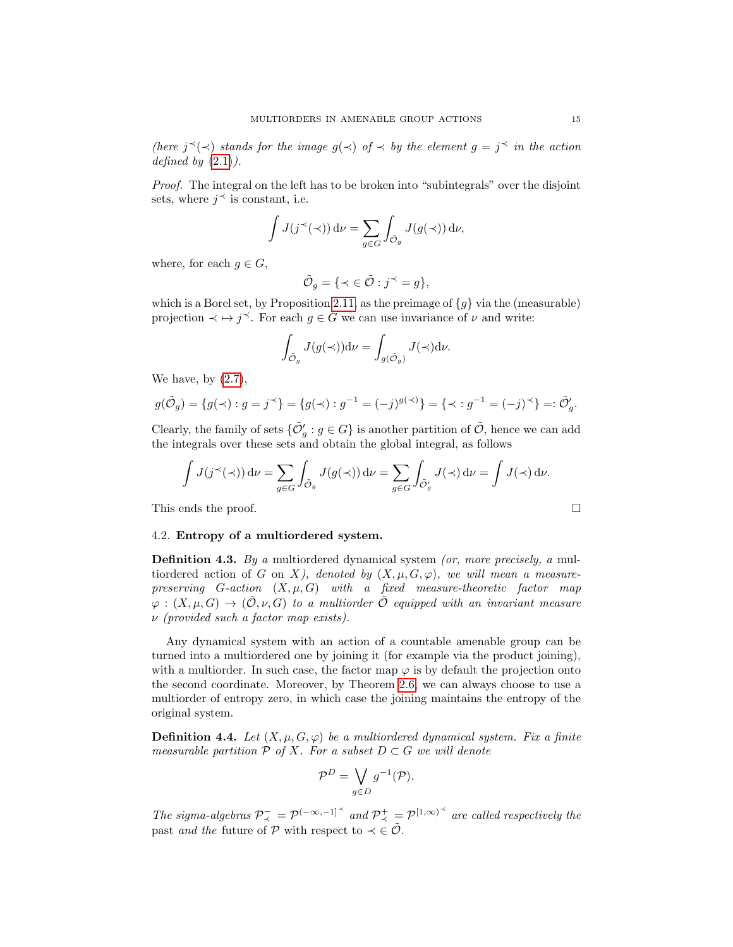(here  $j^{\prec}(\prec)$  stands for the image  $g(\prec)$  of  $\prec$  by the element  $g = j^{\prec}$  in the action defined by  $(2.1)$ .

Proof. The integral on the left has to be broken into "subintegrals" over the disjoint sets, where  $j^{\prec}$  is constant, i.e.

$$
\int J(j^{\prec}(\prec)) \, \mathrm{d}\nu = \sum_{g \in G} \int_{\tilde{\mathcal{O}}_g} J(g(\prec)) \, \mathrm{d}\nu,
$$

where, for each  $g \in G$ ,

$$
\tilde{\mathcal{O}}_g = \{ \prec \in \tilde{\mathcal{O}} : j^{\prec} = g \},
$$

which is a Borel set, by Proposition [2.11,](#page-6-1) as the preimage of  $\{g\}$  via the (measurable) projection  $\prec \mapsto j^{\prec}$ . For each  $g \in G$  we can use invariance of  $\nu$  and write:

$$
\int_{\tilde{\mathcal{O}}_g} J(g(\prec)) \mathrm{d} \nu = \int_{g(\tilde{\mathcal{O}}_g)} J(\prec) \mathrm{d} \nu.
$$

We have, by  $(2.7)$ ,

$$
g(\tilde{\mathcal{O}}_g) = \{ g(\prec) : g = j^{\prec} \} = \{ g(\prec) : g^{-1} = (-j)^{g(\prec)} \} = \{ \prec : g^{-1} = (-j)^{\prec} \} =: \tilde{\mathcal{O}}'_g.
$$

Clearly, the family of sets  $\{\tilde{\mathcal{O}}'_g : g \in G\}$  is another partition of  $\tilde{\mathcal{O}}$ , hence we can add the integrals over these sets and obtain the global integral, as follows

$$
\int J(j^{\prec}(\prec)) d\nu = \sum_{g \in G} \int_{\tilde{\mathcal{O}}_g} J(g(\prec)) d\nu = \sum_{g \in G} \int_{\tilde{\mathcal{O}}'_g} J(\prec) d\nu = \int J(\prec) d\nu.
$$

This ends the proof.

#### <span id="page-14-0"></span>4.2. Entropy of a multiordered system.

Definition 4.3. By a multiordered dynamical system (or, more precisely, a multiordered action of G on X), denoted by  $(X, \mu, G, \varphi)$ , we will mean a measurepreserving  $G$ -action  $(X, \mu, G)$  with a fixed measure-theoretic factor map  $\varphi: (X, \mu, G) \to (\mathcal{O}, \nu, G)$  to a multiorder  $\mathcal{O}$  equipped with an invariant measure  $\nu$  (provided such a factor map exists).

Any dynamical system with an action of a countable amenable group can be turned into a multiordered one by joining it (for example via the product joining), with a multiorder. In such case, the factor map  $\varphi$  is by default the projection onto the second coordinate. Moreover, by Theorem [2.6,](#page-5-2) we can always choose to use a multiorder of entropy zero, in which case the joining maintains the entropy of the original system.

**Definition 4.4.** Let  $(X, \mu, G, \varphi)$  be a multiordered dynamical system. Fix a finite measurable partition  $P$  of X. For a subset  $D \subset G$  we will denote

$$
\mathcal{P}^D = \bigvee_{g \in D} g^{-1}(\mathcal{P}).
$$

The sigma-algebras  $\mathcal{P}^-_{\prec} = \mathcal{P}^{(-\infty,-1]^{\prec}}$  and  $\mathcal{P}^+_{\prec} = \mathcal{P}^{[1,\infty)^{\prec}}$  are called respectively the past and the future of P with respect to  $\prec \in \tilde{\mathcal{O}}$ .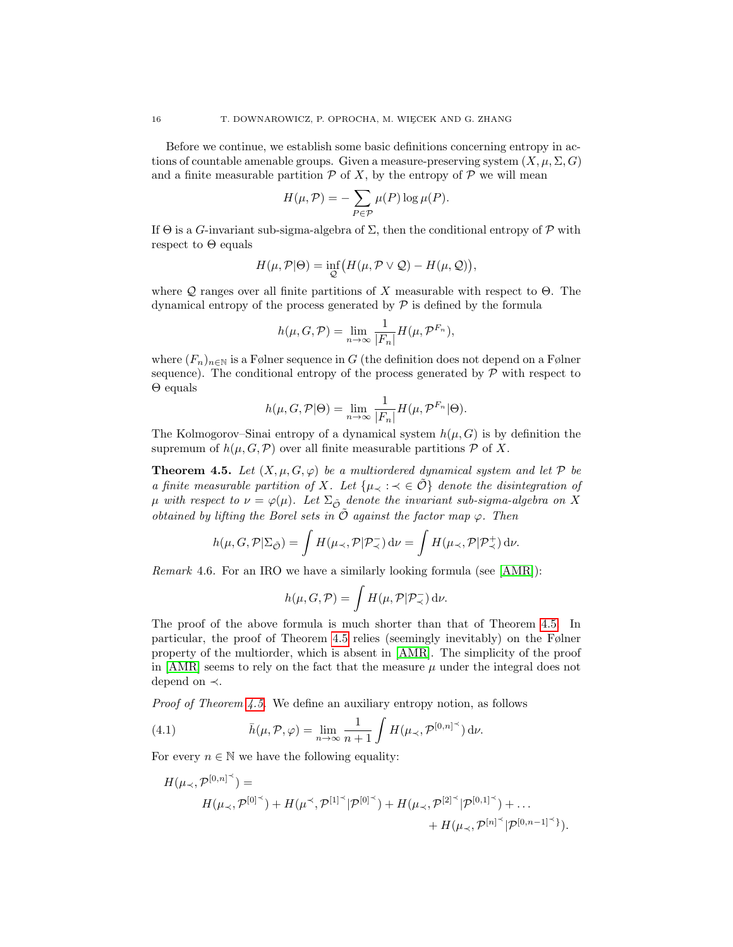Before we continue, we establish some basic definitions concerning entropy in actions of countable amenable groups. Given a measure-preserving system  $(X, \mu, \Sigma, G)$ and a finite measurable partition  $P$  of X, by the entropy of  $P$  we will mean

$$
H(\mu, \mathcal{P}) = -\sum_{P \in \mathcal{P}} \mu(P) \log \mu(P).
$$

If  $\Theta$  is a G-invariant sub-sigma-algebra of  $\Sigma$ , then the conditional entropy of  $\mathcal P$  with respect to  $\Theta$  equals

$$
H(\mu, \mathcal{P}|\Theta) = \inf_{\mathcal{Q}} \bigl( H(\mu, \mathcal{P} \vee \mathcal{Q}) - H(\mu, \mathcal{Q}) \bigr),
$$

where Q ranges over all finite partitions of X measurable with respect to  $\Theta$ . The dynamical entropy of the process generated by  $\mathcal P$  is defined by the formula

$$
h(\mu, G, \mathcal{P}) = \lim_{n \to \infty} \frac{1}{|F_n|} H(\mu, \mathcal{P}^{F_n}),
$$

where  $(F_n)_{n\in\mathbb{N}}$  is a Følner sequence in G (the definition does not depend on a Følner sequence). The conditional entropy of the process generated by  $P$  with respect to Θ equals

$$
h(\mu, G, \mathcal{P}|\Theta) = \lim_{n \to \infty} \frac{1}{|F_n|} H(\mu, \mathcal{P}^{F_n}|\Theta).
$$

The Kolmogorov–Sinai entropy of a dynamical system  $h(\mu, G)$  is by definition the supremum of  $h(\mu, G, \mathcal{P})$  over all finite measurable partitions  $\mathcal P$  of X.

<span id="page-15-0"></span>**Theorem 4.5.** Let  $(X, \mu, G, \varphi)$  be a multiordered dynamical system and let P be a finite measurable partition of X. Let  $\{\mu_\prec : \prec \in \tilde{\mathcal{O}}\}$  denote the disintegration of  $\mu$  with respect to  $\nu = \varphi(\mu)$ . Let  $\Sigma_{\tilde{\mathcal{O}}}$  denote the invariant sub-sigma-algebra on X obtained by lifting the Borel sets in  $\tilde{\mathcal{O}}$  against the factor map  $\varphi$ . Then

$$
h(\mu, G, \mathcal{P}|\Sigma_{\tilde{\mathcal{O}}}) = \int H(\mu_{\prec}, \mathcal{P}|\mathcal{P}_{\prec}^{-}) d\nu = \int H(\mu_{\prec}, \mathcal{P}|\mathcal{P}_{\prec}^{+}) d\nu.
$$

<span id="page-15-2"></span>Remark 4.6. For an IRO we have a similarly looking formula (see [\[AMR\]](#page-33-3)):

$$
h(\mu, G, \mathcal{P}) = \int H(\mu, \mathcal{P} | \mathcal{P}_{\prec}^{-}) d\nu.
$$

The proof of the above formula is much shorter than that of Theorem [4.5.](#page-15-0) In particular, the proof of Theorem [4.5](#page-15-0) relies (seemingly inevitably) on the Følner property of the multiorder, which is absent in [\[AMR\]](#page-33-3). The simplicity of the proof in  $[AMR]$  seems to rely on the fact that the measure  $\mu$  under the integral does not depend on ≺.

Proof of Theorem [4.5.](#page-15-0) We define an auxiliary entropy notion, as follows

<span id="page-15-1"></span>(4.1) 
$$
\bar{h}(\mu, \mathcal{P}, \varphi) = \lim_{n \to \infty} \frac{1}{n+1} \int H(\mu_{\prec}, \mathcal{P}^{[0,n]^\prec}) d\nu.
$$

For every  $n \in \mathbb{N}$  we have the following equality:

$$
H(\mu_{\prec}, \mathcal{P}^{[0,n]^\prec}) =
$$
  

$$
H(\mu_{\prec}, \mathcal{P}^{[0]^\prec}) + H(\mu^{\prec}, \mathcal{P}^{[1]^\prec} | \mathcal{P}^{[0]^\prec}) + H(\mu_{\prec}, \mathcal{P}^{[2]^\prec} | \mathcal{P}^{[0,1]^\prec}) + \dots
$$
  

$$
+ H(\mu_{\prec}, \mathcal{P}^{[n]^\prec} | \mathcal{P}^{[0,n-1]^\prec}) .
$$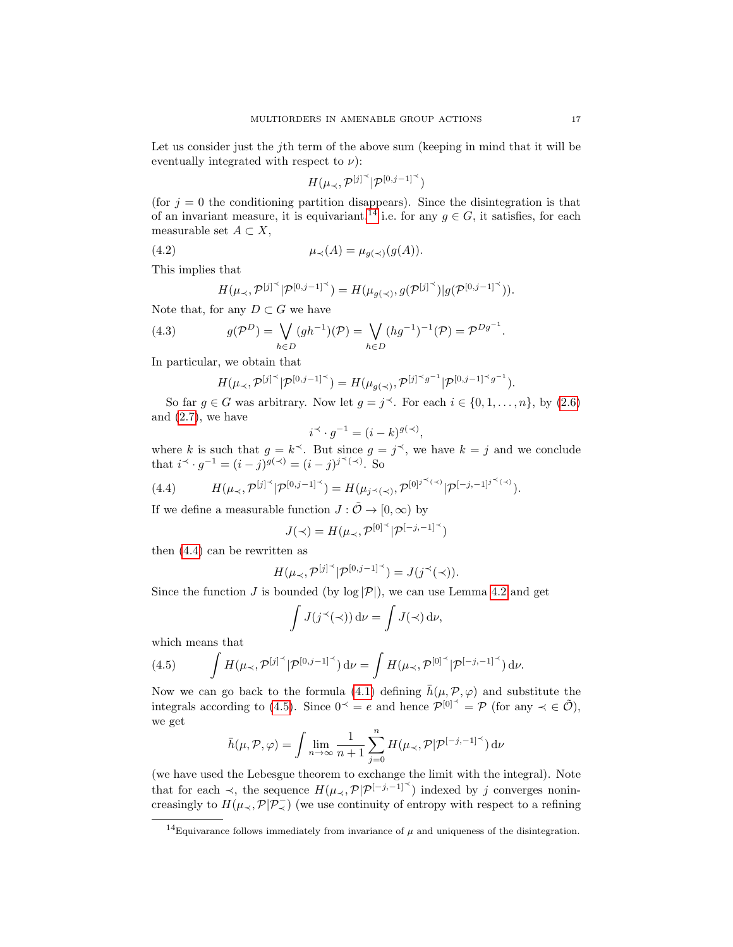Let us consider just the j<sup>th</sup> term of the above sum (keeping in mind that it will be eventually integrated with respect to  $\nu$ :

<span id="page-16-3"></span>
$$
H(\mu_\prec,{\mathcal P}^{[j]^\prec}|{\mathcal P}^{[0,j-1]^\prec})
$$

(for  $j = 0$  the conditioning partition disappears). Since the disintegration is that of an invariant measure, it is equivariant,<sup>[14](#page-16-0)</sup> i.e. for any  $g \in G$ , it satisfies, for each measurable set  $A \subset X$ ,

(4.2) 
$$
\mu_{\prec}(A) = \mu_{g(\prec)}(g(A)).
$$

This implies that

<span id="page-16-4"></span>
$$
H(\mu_{\prec}, \mathcal{P}^{[j]^\prec} | \mathcal{P}^{[0,j-1]^\prec}) = H(\mu_{g(\prec)}, g(\mathcal{P}^{[j]^\prec}) | g(\mathcal{P}^{[0,j-1]^\prec})).
$$

Note that, for any  $D \subset G$  we have

(4.3) 
$$
g(\mathcal{P}^D) = \bigvee_{h \in D} (gh^{-1})(\mathcal{P}) = \bigvee_{h \in D} (hg^{-1})^{-1}(\mathcal{P}) = \mathcal{P}^{Dg^{-1}}.
$$

In particular, we obtain that

$$
H(\mu_{\prec}, \mathcal{P}^{[j]^\prec} | \mathcal{P}^{[0,j-1]^\prec}) = H(\mu_{g(\prec)}, \mathcal{P}^{[j]^\prec g^{-1}} | \mathcal{P}^{[0,j-1]^\prec g^{-1}}).
$$

So far  $g \in G$  was arbitrary. Now let  $g = j^{\prec}$ . For each  $i \in \{0, 1, ..., n\}$ , by  $(2.6)$ and  $(2.7)$ , we have

$$
i^{\prec} \cdot g^{-1} = (i - k)^{g(\prec)},
$$

where k is such that  $g = k^{\prec}$ . But since  $g = j^{\prec}$ , we have  $k = j$  and we conclude that  $i^{\prec} \cdot g^{-1} = (i - j)^{g(\prec)} = (i - j)^{j^{\prec}(\prec)}$ . So

<span id="page-16-1"></span>(4.4) 
$$
H(\mu_{\prec}, \mathcal{P}^{[j]^\prec} | \mathcal{P}^{[0,j-1]^\prec}) = H(\mu_{j^\prec(\prec)}, \mathcal{P}^{[0]^{j^\prec(\prec)}} | \mathcal{P}^{[-j,-1]^{j^\prec(\prec)}}).
$$

If we define a measurable function  $J : \tilde{\mathcal{O}} \to [0, \infty)$  by

$$
J(\prec)=H(\mu_\prec,{\mathcal P}^{[0]^\prec}|{\mathcal P}^{[-j,-1]^\prec})
$$

then [\(4.4\)](#page-16-1) can be rewritten as

$$
H(\mu_{\prec}, \mathcal{P}^{[j]^\prec} | \mathcal{P}^{[0,j-1]^\prec}) = J(j^\prec(\prec)).
$$

Since the function J is bounded (by  $log |\mathcal{P}|$ ), we can use Lemma [4.2](#page-13-3) and get

$$
\int J(j^{\prec}(\prec)) \, \mathrm{d}\nu = \int J(\prec) \, \mathrm{d}\nu,
$$

which means that

<span id="page-16-2"></span>(4.5) 
$$
\int H(\mu_{\prec}, \mathcal{P}^{[j]^\prec} | \mathcal{P}^{[0,j-1]^\prec}) d\nu = \int H(\mu_{\prec}, \mathcal{P}^{[0]^\prec} | \mathcal{P}^{[-j,-1]^\prec}) d\nu.
$$

Now we can go back to the formula [\(4.1\)](#page-15-1) defining  $\bar{h}(\mu, \mathcal{P}, \varphi)$  and substitute the integrals according to [\(4.5\)](#page-16-2). Since  $0 \leq e$  and hence  $\mathcal{P}^{[0] \leq \mathcal{P}}$  (for any  $\prec \in \tilde{\mathcal{O}}$ ), we get

$$
\bar h(\mu,\mathcal{P},\varphi)=\int \lim_{n\to\infty}\frac{1}{n+1}\sum_{j=0}^nH(\mu_{\prec},\mathcal{P}|\mathcal{P}^{[-j,-1]^\prec})\,\mathrm{d}\nu
$$

(we have used the Lebesgue theorem to exchange the limit with the integral). Note that for each  $\prec$ , the sequence  $H(\mu_{\prec}, \mathcal{P}|\mathcal{P}^{[-j,-1]^{\prec}})$  indexed by j converges nonincreasingly to  $H(\mu_{\prec}, \mathcal{P} | \mathcal{P}_{\prec}^-)$  (we use continuity of entropy with respect to a refining

<span id="page-16-0"></span><sup>&</sup>lt;sup>14</sup>Equivarance follows immediately from invariance of  $\mu$  and uniqueness of the disintegration.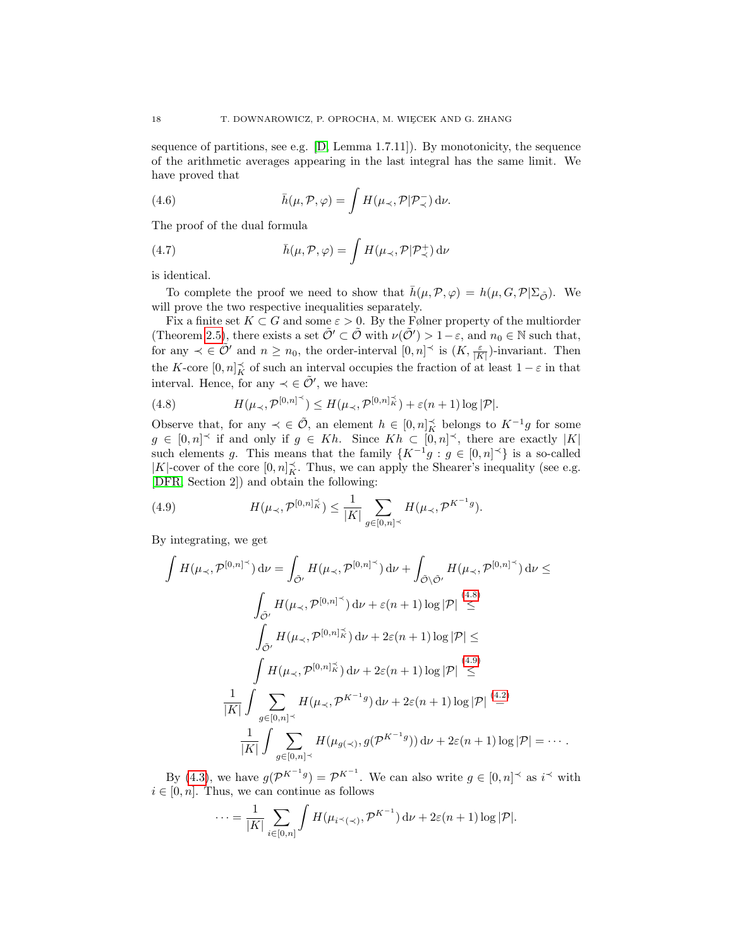sequence of partitions, see e.g.  $[D, Lemma 1.7.11]$ . By monotonicity, the sequence of the arithmetic averages appearing in the last integral has the same limit. We have proved that

(4.6) 
$$
\bar{h}(\mu, \mathcal{P}, \varphi) = \int H(\mu_{\prec}, \mathcal{P} | \mathcal{P}_{\prec}^{-}) d\nu.
$$

The proof of the dual formula

(4.7) 
$$
\bar{h}(\mu, \mathcal{P}, \varphi) = \int H(\mu_{\prec}, \mathcal{P} | \mathcal{P}_{\prec}^+) d\nu
$$

is identical.

To complete the proof we need to show that  $\bar{h}(\mu,\mathcal{P},\varphi) = h(\mu,G,\mathcal{P}|\Sigma_{\tilde{\mathcal{O}}})$ . We will prove the two respective inequalities separately.

Fix a finite set  $K \subset G$  and some  $\varepsilon > 0$ . By the Følner property of the multiorder (Theorem [2.5\)](#page-5-1), there exists a set  $\tilde{\mathcal{O}}' \subset \tilde{\mathcal{O}}$  with  $\nu(\tilde{\mathcal{O}}') > 1 - \varepsilon$ , and  $n_0 \in \mathbb{N}$  such that, for any  $\prec \in \tilde{\mathcal{O}}'$  and  $n \geq n_0$ , the order-interval  $[0, n] \preceq$  is  $(K, \frac{\varepsilon}{|K|})$ -invariant. Then the K-core  $[0,n]_K^{\prec}$  of such an interval occupies the fraction of at least  $1-\varepsilon$  in that interval. Hence, for any  $\prec \in \tilde{\mathcal{O}}'$ , we have:

<span id="page-17-0"></span>(4.8) 
$$
H(\mu_{\prec}, \mathcal{P}^{[0,n]^\prec}) \leq H(\mu_{\prec}, \mathcal{P}^{[0,n]^\prec_K}) + \varepsilon(n+1) \log |\mathcal{P}|.
$$

Observe that, for any  $\prec \in \tilde{\mathcal{O}}$ , an element  $h \in [0,n]_K^{\prec}$  belongs to  $K^{-1}g$  for some  $g \in [0,n]^\prec$  if and only if  $g \in Kh$ . Since  $Kh \subset [0,n]^\prec$ , there are exactly  $|K|$ such elements g. This means that the family  $\{K^{-1}g : g \in [0,n] \leq \}$  is a so-called  $|K|\text{-cover of the core }[0,n]^\prec_K.$  Thus, we can apply the Shearer's inequality (see e.g. [\[DFR,](#page-33-9) Section 2]) and obtain the following:

<span id="page-17-1"></span>(4.9) 
$$
H(\mu_{\prec}, \mathcal{P}^{[0,n]_K^{\prec}}) \leq \frac{1}{|K|} \sum_{g \in [0,n]^{\prec}} H(\mu_{\prec}, \mathcal{P}^{K^{-1}g}).
$$

By integrating, we get

Z H(µ≺,P [0,n] ≺ ) dν = Z O˜<sup>0</sup> H(µ≺,P [0,n] ≺ ) dν + Z O\˜ O˜<sup>0</sup> H(µ≺,P [0,n] ≺ ) dν ≤ Z O˜<sup>0</sup> H(µ≺,P [0,n] ≺ ) dν + ε(n + 1) log |P| [\(4.8\)](#page-17-0) ≤ Z O˜<sup>0</sup> H(µ≺,P [0,n] ≺ <sup>K</sup> ) dν + 2ε(n + 1) log |P| ≤ Z H(µ≺,P [0,n] ≺ <sup>K</sup> ) dν + 2ε(n + 1) log |P| [\(4.9\)](#page-17-1) ≤ 1 |K| Z X g∈[0,n]<sup>≺</sup> H(µ≺,P K−<sup>1</sup> g ) dν + 2ε(n + 1) log |P| [\(4.2\)](#page-16-3) = 1 |K| Z X g∈[0,n]<sup>≺</sup> H(µg(≺) , g(P K−<sup>1</sup> g )) dν + 2ε(n + 1) log |P| = · · · .

By [\(4.3\)](#page-16-4), we have  $g(\mathcal{P}^{K^{-1}g}) = \mathcal{P}^{K^{-1}}$ . We can also write  $g \in [0, n]^\prec$  as  $i^\prec$  with  $i \in [0, n]$ . Thus, we can continue as follows

$$
\cdots = \frac{1}{|K|} \sum_{i \in [0,n]} \int H(\mu_{i \leq (\prec)}, \mathcal{P}^{K^{-1}}) \, \mathrm{d}\nu + 2\varepsilon (n+1) \log |\mathcal{P}|.
$$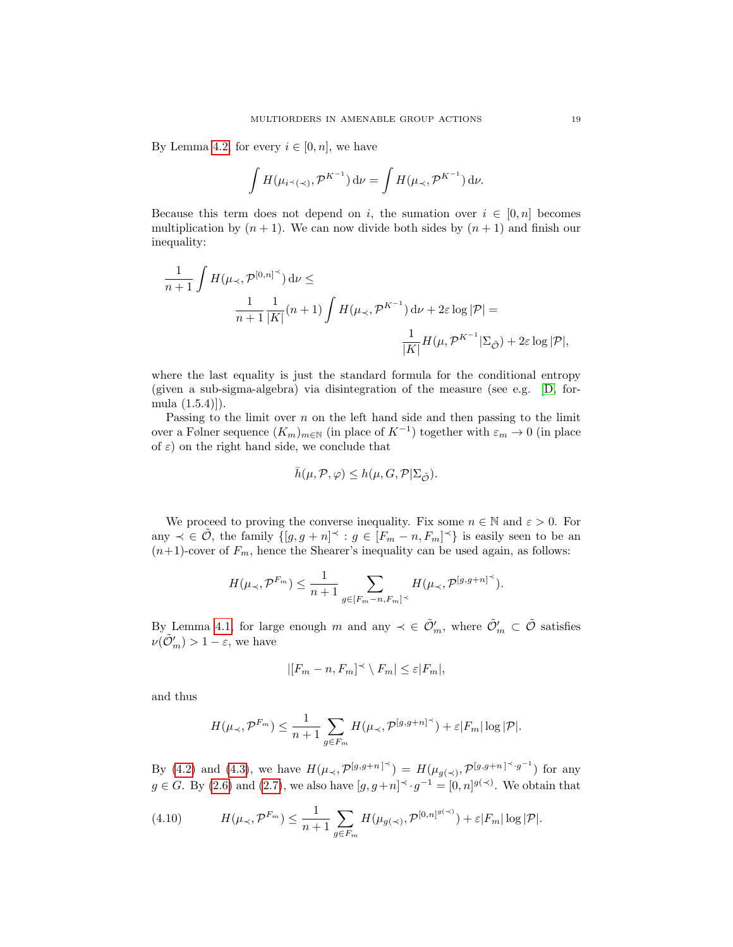By Lemma [4.2,](#page-13-3) for every  $i \in [0, n]$ , we have

$$
\int H(\mu_{i \prec (\prec)}, \mathcal{P}^{K^{-1}}) d\nu = \int H(\mu_{\prec}, \mathcal{P}^{K^{-1}}) d\nu.
$$

Because this term does not depend on i, the sumation over  $i \in [0, n]$  becomes multiplication by  $(n + 1)$ . We can now divide both sides by  $(n + 1)$  and finish our inequality:

$$
\frac{1}{n+1} \int H(\mu_{\prec}, \mathcal{P}^{[0,n]^{\prec}}) d\nu \le
$$

$$
\frac{1}{n+1} \frac{1}{|K|} (n+1) \int H(\mu_{\prec}, \mathcal{P}^{K^{-1}}) d\nu + 2\varepsilon \log |\mathcal{P}| =
$$

$$
\frac{1}{|K|} H(\mu, \mathcal{P}^{K^{-1}} | \Sigma_{\tilde{\mathcal{O}}}) + 2\varepsilon \log |\mathcal{P}|,
$$

where the last equality is just the standard formula for the conditional entropy (given a sub-sigma-algebra) via disintegration of the measure (see e.g. [\[D,](#page-33-8) formula (1.5.4)]).

Passing to the limit over  $n$  on the left hand side and then passing to the limit over a Følner sequence  $(K_m)_{m\in\mathbb{N}}$  (in place of  $K^{-1}$ ) together with  $\varepsilon_m\to 0$  (in place of  $\varepsilon$ ) on the right hand side, we conclude that

$$
\bar h(\mu,\mathcal P,\varphi)\leq h(\mu,G,\mathcal P|\Sigma_{\tilde{\mathcal O}}).
$$

We proceed to proving the converse inequality. Fix some  $n \in \mathbb{N}$  and  $\varepsilon > 0$ . For any  $\prec \in \tilde{\mathcal{O}}$ , the family  $\{[g, g + n] \prec : g \in [F_m - n, F_m] \prec \}$  is easily seen to be an  $(n+1)$ -cover of  $F_m$ , hence the Shearer's inequality can be used again, as follows:

$$
H(\mu_\prec, \mathcal{P}^{F_m}) \leq \frac{1}{n+1} \sum_{g \in [F_m - n, F_m]^\prec} H(\mu_\prec, \mathcal{P}^{[g, g+n]^\prec}).
$$

By Lemma [4.1,](#page-12-3) for large enough m and any  $\prec \in \tilde{\mathcal{O}}'_m$ , where  $\tilde{\mathcal{O}}'_m \subset \tilde{\mathcal{O}}$  satisfies  $\nu(\tilde{\mathcal{O}}'_{m}) > 1 - \varepsilon$ , we have

$$
|[F_m - n, F_m]^\prec \setminus F_m| \le \varepsilon |F_m|,
$$

and thus

$$
H(\mu_\prec, \mathcal{P}^{F_m}) \leq \frac{1}{n+1} \sum_{g \in F_m} H(\mu_\prec, \mathcal{P}^{[g,g+n]^\prec}) + \varepsilon |F_m| \log |\mathcal{P}|.
$$

By [\(4.2\)](#page-16-3) and [\(4.3\)](#page-16-4), we have  $H(\mu_{\prec}, \mathcal{P}^{[g,g+n]^{\prec}}) = H(\mu_{g(\prec)}, \mathcal{P}^{[g,g+n]^{\prec} \cdot g^{-1}})$  for any  $g \in G$ . By [\(2.6\)](#page-7-1) and [\(2.7\)](#page-7-2), we also have  $[g, g+n]^\prec g^{-1} = [0, n]^{g(\prec)}$ . We obtain that

<span id="page-18-0"></span>(4.10) 
$$
H(\mu_{\prec}, \mathcal{P}^{F_m}) \leq \frac{1}{n+1} \sum_{g \in F_m} H(\mu_{g(\prec)}, \mathcal{P}^{[0,n]^{g(\prec)}}) + \varepsilon |F_m| \log |\mathcal{P}|.
$$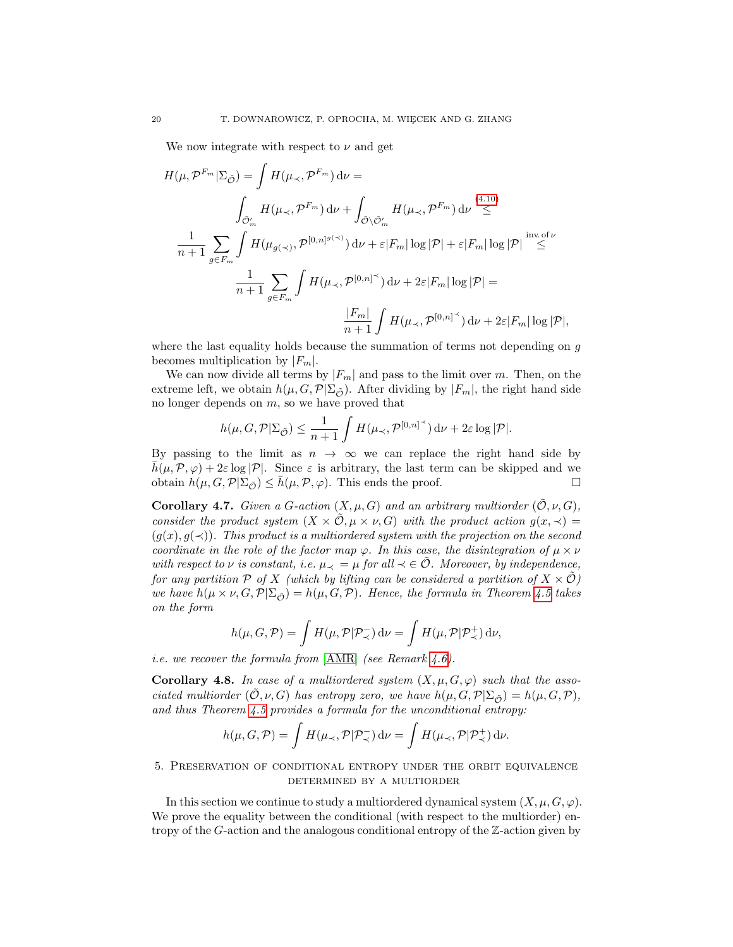We now integrate with respect to  $\nu$  and get

$$
H(\mu, \mathcal{P}^{F_m} | \Sigma_{\tilde{\mathcal{O}}}) = \int H(\mu_{\prec}, \mathcal{P}^{F_m}) d\nu =
$$
\n
$$
\int_{\tilde{\mathcal{O}}'_m} H(\mu_{\prec}, \mathcal{P}^{F_m}) d\nu + \int_{\tilde{\mathcal{O}} \backslash \tilde{\mathcal{O}}'_m} H(\mu_{\prec}, \mathcal{P}^{F_m}) d\nu \stackrel{(4.10)}{\leq}
$$
\n
$$
\frac{1}{n+1} \sum_{g \in F_m} \int H(\mu_{g(\prec)}, \mathcal{P}^{[0,n]^{g(\prec)}}) d\nu + \varepsilon |F_m| \log |\mathcal{P}| + \varepsilon |F_m| \log |\mathcal{P}| \stackrel{\text{inv. of } \nu}{\leq}
$$
\n
$$
\frac{1}{n+1} \sum_{g \in F_m} \int H(\mu_{\prec}, \mathcal{P}^{[0,n]^{\prec}}) d\nu + 2\varepsilon |F_m| \log |\mathcal{P}| =
$$
\n
$$
\frac{|F_m|}{n+1} \int H(\mu_{\prec}, \mathcal{P}^{[0,n]^{\prec}}) d\nu + 2\varepsilon |F_m| \log |\mathcal{P}|,
$$

where the last equality holds because the summation of terms not depending on g becomes multiplication by  $|F_m|$ .

We can now divide all terms by  $|F_m|$  and pass to the limit over m. Then, on the extreme left, we obtain  $h(\mu, G, \mathcal{P}|\Sigma_{\tilde{\mathcal{O}}})$ . After dividing by  $|F_m|$ , the right hand side no longer depends on m, so we have proved that

$$
h(\mu, G, \mathcal{P}|\Sigma_{\tilde{\mathcal{O}}}) \leq \frac{1}{n+1} \int H(\mu_{\prec}, \mathcal{P}^{[0,n]^\prec}) \, \mathrm{d}\nu + 2\varepsilon \log |\mathcal{P}|.
$$

By passing to the limit as  $n \to \infty$  we can replace the right hand side by  $\bar{h}(\mu,\mathcal{P},\varphi) + 2\varepsilon \log |\mathcal{P}|$ . Since  $\varepsilon$  is arbitrary, the last term can be skipped and we obtain  $h(\mu, G, \mathcal{P} | \Sigma_{\tilde{\mathcal{O}}}) \leq \bar{h}(\mu, \mathcal{P}, \varphi)$ . This ends the proof.

<span id="page-19-1"></span>**Corollary 4.7.** Given a G-action  $(X, \mu, G)$  and an arbitrary multiorder  $(\tilde{\mathcal{O}}, \nu, G)$ , consider the product system  $(X \times \mathcal{O}, \mu \times \nu, G)$  with the product action  $g(x, \prec)$  $(g(x), g(\prec))$ . This product is a multiordered system with the projection on the second coordinate in the role of the factor map  $\varphi$ . In this case, the disintegration of  $\mu \times \nu$ with respect to  $\nu$  is constant, i.e.  $\mu_{\prec} = \mu$  for all  $\prec \in \mathcal{O}$ . Moreover, by independence, for any partition P of X (which by lifting can be considered a partition of  $X \times \tilde{\mathcal{O}}$ ) we have  $h(\mu \times \nu, G, \mathcal{P} | \Sigma_{\tilde{\mathcal{O}}}) = h(\mu, G, \mathcal{P})$ . Hence, the formula in Theorem [4.5](#page-15-0) takes on the form

$$
h(\mu, G, \mathcal{P}) = \int H(\mu, \mathcal{P} | \mathcal{P}_{\prec}^{-}) \, \mathrm{d} \nu = \int H(\mu, \mathcal{P} | \mathcal{P}_{\prec}^{+}) \, \mathrm{d} \nu,
$$

*i.e.* we recover the formula from  $[AMR]$  (see Remark [4.6\)](#page-15-2).

**Corollary 4.8.** In case of a multiordered system  $(X, \mu, G, \varphi)$  such that the associated multiorder  $(\mathcal{O}, \nu, G)$  has entropy zero, we have  $h(\mu, G, \mathcal{P} | \Sigma_{\tilde{\mathcal{O}}}) = h(\mu, G, \mathcal{P})$ , and thus Theorem [4.5](#page-15-0) provides a formula for the unconditional entropy:

$$
h(\mu, G, \mathcal{P}) = \int H(\mu_{\prec}, \mathcal{P} | \mathcal{P}_{\prec}^{-}) d\nu = \int H(\mu_{\prec}, \mathcal{P} | \mathcal{P}_{\prec}^{+}) d\nu.
$$

<span id="page-19-0"></span>5. Preservation of conditional entropy under the orbit equivalence determined by a multiorder

In this section we continue to study a multiordered dynamical system  $(X, \mu, G, \varphi)$ . We prove the equality between the conditional (with respect to the multiorder) entropy of the G-action and the analogous conditional entropy of the Z-action given by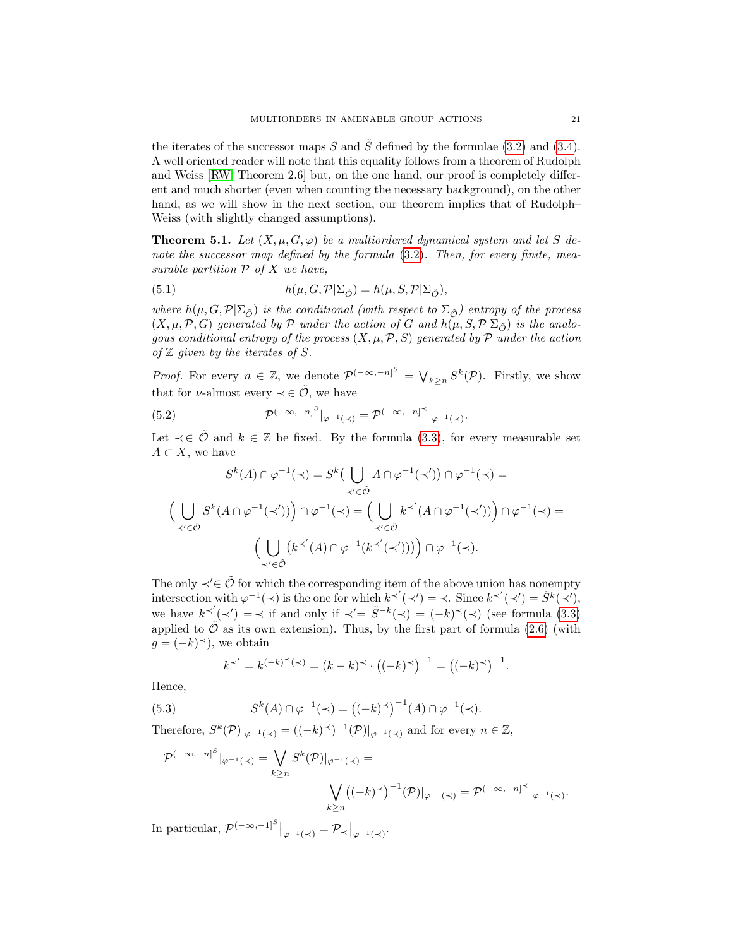the iterates of the successor maps S and  $\tilde{S}$  defined by the formulae [\(3.2\)](#page-9-4) and [\(3.4\)](#page-9-6). A well oriented reader will note that this equality follows from a theorem of Rudolph and Weiss [\[RW,](#page-34-0) Theorem 2.6] but, on the one hand, our proof is completely different and much shorter (even when counting the necessary background), on the other hand, as we will show in the next section, our theorem implies that of Rudolph– Weiss (with slightly changed assumptions).

<span id="page-20-0"></span>**Theorem 5.1.** Let  $(X, \mu, G, \varphi)$  be a multiordered dynamical system and let S denote the successor map defined by the formula  $(3.2)$ . Then, for every finite, measurable partition  $P$  of  $X$  we have,

(5.1) 
$$
h(\mu, G, \mathcal{P}|\Sigma_{\tilde{O}}) = h(\mu, S, \mathcal{P}|\Sigma_{\tilde{O}}),
$$

where  $h(\mu, G, \mathcal{P}|\Sigma_{\tilde{O}})$  is the conditional (with respect to  $\Sigma_{\tilde{O}}$ ) entropy of the process  $(X, \mu, \mathcal{P}, G)$  generated by  $\mathcal P$  under the action of G and  $h(\mu, S, \mathcal{P} | \Sigma_{\tilde{O}})$  is the analogous conditional entropy of the process  $(X, \mu, \mathcal{P}, S)$  generated by  $\mathcal P$  under the action of  $\mathbb Z$  given by the iterates of  $S$ .

*Proof.* For every  $n \in \mathbb{Z}$ , we denote  $\mathcal{P}^{(-\infty,-n)^S} = \bigvee_{k \geq n} S^k(\mathcal{P})$ . Firstly, we show that for  $\nu$ -almost every  $\prec \in \tilde{\mathcal{O}}$ , we have

<span id="page-20-1"></span>(5.2) 
$$
\mathcal{P}^{(-\infty,-n]^S}|_{\varphi^{-1}(\prec)} = \mathcal{P}^{(-\infty,-n]^{\prec}}|_{\varphi^{-1}(\prec)}.
$$

Let  $\prec \in \tilde{\mathcal{O}}$  and  $k \in \mathbb{Z}$  be fixed. By the formula [\(3.3\)](#page-9-5), for every measurable set  $A \subset X$ , we have

$$
S^{k}(A) \cap \varphi^{-1}(\prec) = S^{k}\left(\bigcup_{\prec' \in \tilde{\mathcal{O}}} A \cap \varphi^{-1}(\prec')\right) \cap \varphi^{-1}(\prec) =
$$
  

$$
\left(\bigcup_{\prec' \in \tilde{\mathcal{O}}} S^{k}(A \cap \varphi^{-1}(\prec'))\right) \cap \varphi^{-1}(\prec) = \left(\bigcup_{\prec' \in \tilde{\mathcal{O}}} k^{\prec'}(A \cap \varphi^{-1}(\prec'))\right) \cap \varphi^{-1}(\prec) =
$$
  

$$
\left(\bigcup_{\prec' \in \tilde{\mathcal{O}}} \left(k^{\prec'}(A) \cap \varphi^{-1}(k^{\prec'}(\prec'))\right)\right) \cap \varphi^{-1}(\prec).
$$

The only  $\prec' \in \tilde{\mathcal{O}}$  for which the corresponding item of the above union has nonempty intersection with  $\varphi^{-1}(\prec)$  is the one for which  $k^{\prec'}(\prec') = \prec$ . Since  $k^{\prec'}(\prec') = \tilde{S}^k(\prec'),$ we have  $k^{\prec'}(\prec') = \prec$  if and only if  $\prec' = \tilde{S}^{-k}(\prec) = (-k)^{\prec}(\prec)$  (see formula [\(3.3\)](#page-9-5) applied to  $\hat{\mathcal{O}}$  as its own extension). Thus, by the first part of formula [\(2.6\)](#page-7-1) (with  $g = (-k)^\prec$ , we obtain

$$
k^{\prec'} = k^{(-k)^{\prec}(\prec)} = (k - k)^{\prec} \cdot ((-k)^{\prec})^{-1} = ((-k)^{\prec})^{-1}.
$$

Hence,

(5.3) 
$$
S^{k}(A) \cap \varphi^{-1}(\prec) = ((-k)^{\prec})^{-1}(A) \cap \varphi^{-1}(\prec).
$$

Therefore,  $S^k(\mathcal{P})|_{\varphi^{-1}(\prec)} = ((-k)^{\prec})^{-1}(\mathcal{P})|_{\varphi^{-1}(\prec)}$  and for every  $n \in \mathbb{Z}$ ,

$$
\mathcal{P}^{(-\infty,-n]^S}|_{\varphi^{-1}(\prec)} = \bigvee_{k\geq n} S^k(\mathcal{P})|_{\varphi^{-1}(\prec)} = \bigvee_{k\geq n} ((-k)^{\prec})^{-1}(\mathcal{P})|_{\varphi^{-1}(\prec)} = \mathcal{P}^{(-\infty,-n]^{\prec}}|_{\varphi^{-1}(\prec)}.
$$

In particular,  $\mathcal{P}^{(-\infty,-1]^S}|_{\varphi^{-1}(\prec)} = \mathcal{P}^-_{\prec}|_{\varphi^{-1}(\prec)}$ .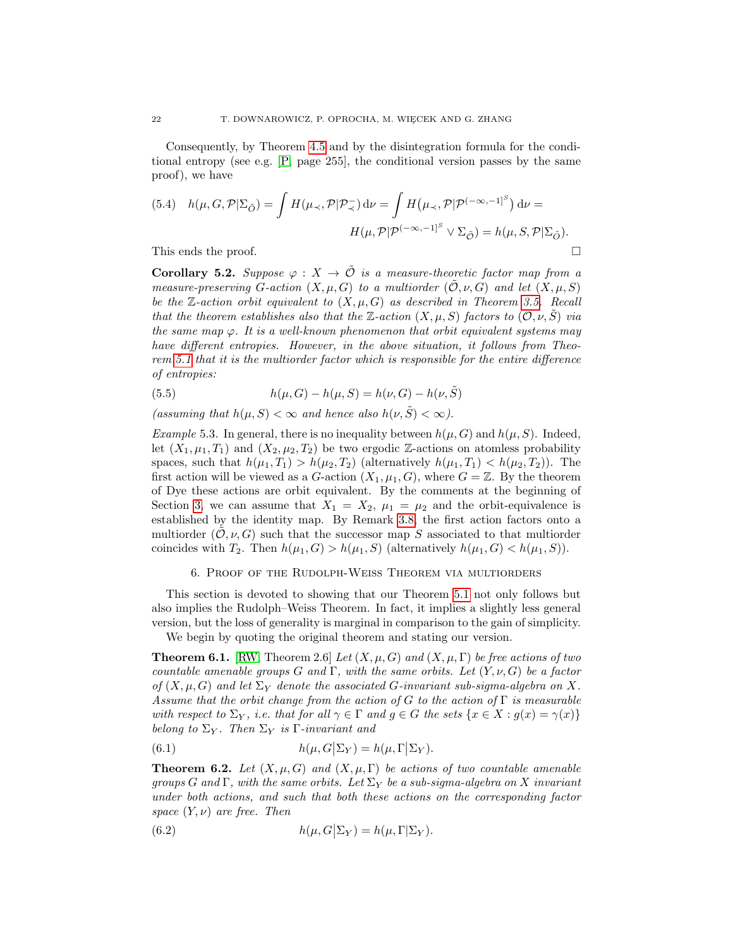Consequently, by Theorem [4.5](#page-15-0) and by the disintegration formula for the conditional entropy (see e.g. [\[P,](#page-34-4) page 255], the conditional version passes by the same proof), we have

(5.4) 
$$
h(\mu, G, \mathcal{P} | \Sigma_{\tilde{O}}) = \int H(\mu_{\prec}, \mathcal{P} | \mathcal{P}_{\prec}) d\nu = \int H(\mu_{\prec}, \mathcal{P} | \mathcal{P}^{(-\infty, -1]^S}) d\nu = H(\mu, \mathcal{P} | \mathcal{P}^{(-\infty, -1]^S} \vee \Sigma_{\tilde{O}}) = h(\mu, S, \mathcal{P} | \Sigma_{\tilde{O}}).
$$
This ends the proof.

<span id="page-21-1"></span>**Corollary 5.2.** Suppose  $\varphi : X \to \tilde{\mathcal{O}}$  is a measure-theoretic factor map from a measure-preserving G-action  $(X, \mu, G)$  to a multiorder  $(\mathcal{O}, \nu, G)$  and let  $(X, \mu, S)$ be the Z-action orbit equivalent to  $(X, \mu, G)$  as described in Theorem [3.5.](#page-9-0) Recall that the theorem establishes also that the Z-action  $(X, \mu, S)$  factors to  $(\tilde{\mathcal{O}}, \nu, \tilde{S})$  via the same map  $\varphi$ . It is a well-known phenomenon that orbit equivalent systems may have different entropies. However, in the above situation, it follows from Theorem [5.1](#page-20-0) that it is the multiorder factor which is responsible for the entire difference of entropies:

(5.5) 
$$
h(\mu, G) - h(\mu, S) = h(\nu, G) - h(\nu, \tilde{S})
$$

(assuming that  $h(\mu, S) < \infty$  and hence also  $h(\nu, \tilde{S}) < \infty$ ).

Example 5.3. In general, there is no inequality between  $h(\mu, G)$  and  $h(\mu, S)$ . Indeed, let  $(X_1, \mu_1, T_1)$  and  $(X_2, \mu_2, T_2)$  be two ergodic Z-actions on atomless probability spaces, such that  $h(\mu_1, T_1) > h(\mu_2, T_2)$  (alternatively  $h(\mu_1, T_1) < h(\mu_2, T_2)$ ). The first action will be viewed as a G-action  $(X_1, \mu_1, G)$ , where  $G = \mathbb{Z}$ . By the theorem of Dye these actions are orbit equivalent. By the comments at the beginning of Section [3,](#page-7-0) we can assume that  $X_1 = X_2$ ,  $\mu_1 = \mu_2$  and the orbit-equivalence is established by the identity map. By Remark [3.8,](#page-10-0) the first action factors onto a multiorder  $(0, \nu, G)$  such that the successor map S associated to that multiorder coincides with  $T_2$ . Then  $h(\mu_1, G) > h(\mu_1, S)$  (alternatively  $h(\mu_1, G) < h(\mu_1, S)$ ).

## 6. Proof of the Rudolph-Weiss Theorem via multiorders

<span id="page-21-0"></span>This section is devoted to showing that our Theorem [5.1](#page-20-0) not only follows but also implies the Rudolph–Weiss Theorem. In fact, it implies a slightly less general version, but the loss of generality is marginal in comparison to the gain of simplicity.

We begin by quoting the original theorem and stating our version.

<span id="page-21-2"></span>**Theorem 6.1.** [\[RW,](#page-34-0) Theorem 2.6] Let  $(X, \mu, G)$  and  $(X, \mu, \Gamma)$  be free actions of two countable amenable groups G and  $\Gamma$ , with the same orbits. Let  $(Y, \nu, G)$  be a factor of  $(X, \mu, G)$  and let  $\Sigma_Y$  denote the associated G-invariant sub-sigma-algebra on X. Assume that the orbit change from the action of G to the action of  $\Gamma$  is measurable with respect to  $\Sigma_Y$ , i.e. that for all  $\gamma \in \Gamma$  and  $g \in G$  the sets  $\{x \in X : g(x) = \gamma(x)\}\$ belong to  $\Sigma_Y$ . Then  $\Sigma_Y$  is Γ-invariant and

(6.1) 
$$
h(\mu, G|\Sigma_Y) = h(\mu, \Gamma|\Sigma_Y).
$$

<span id="page-21-3"></span>**Theorem 6.2.** Let  $(X, \mu, G)$  and  $(X, \mu, \Gamma)$  be actions of two countable amenable groups G and Γ, with the same orbits. Let  $\Sigma_Y$  be a sub-sigma-algebra on X invariant under both actions, and such that both these actions on the corresponding factor space  $(Y, \nu)$  are free. Then

(6.2) 
$$
h(\mu, G|\Sigma_Y) = h(\mu, \Gamma|\Sigma_Y).
$$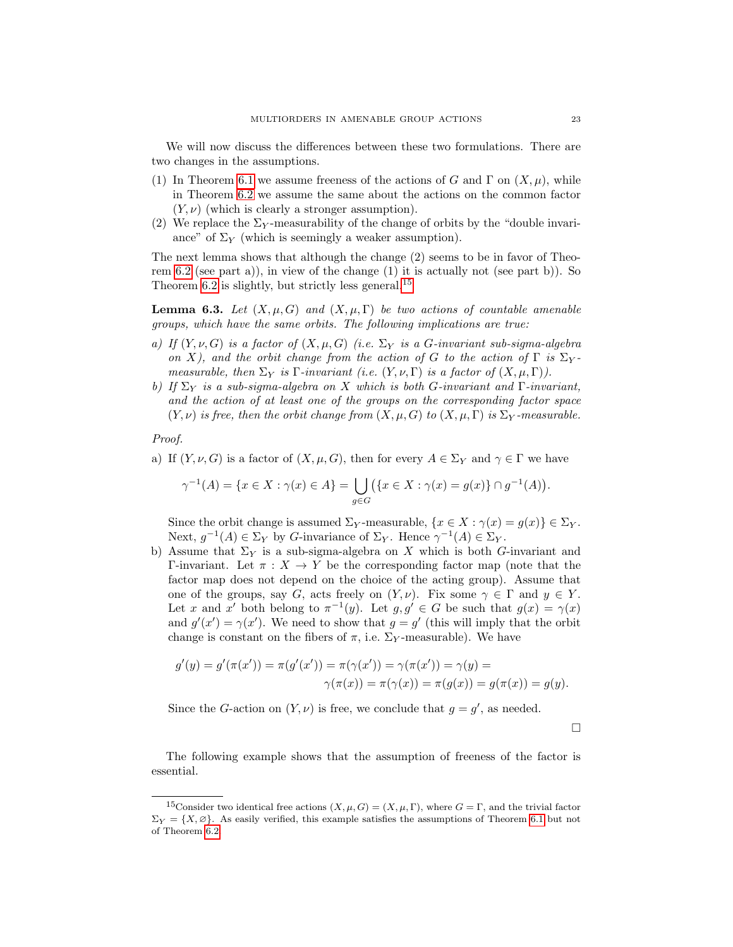We will now discuss the differences between these two formulations. There are two changes in the assumptions.

- (1) In Theorem [6.1](#page-21-2) we assume freeness of the actions of G and  $\Gamma$  on  $(X,\mu)$ , while in Theorem [6.2](#page-21-3) we assume the same about the actions on the common factor  $(Y, \nu)$  (which is clearly a stronger assumption).
- (2) We replace the  $\Sigma_Y$ -measurability of the change of orbits by the "double invariance" of  $\Sigma_Y$  (which is seemingly a weaker assumption).

The next lemma shows that although the change (2) seems to be in favor of Theorem  $6.2$  (see part a)), in view of the change  $(1)$  it is actually not (see part b)). So Theorem [6.2](#page-21-3) is slightly, but strictly less general.<sup>[15](#page-22-0)</sup>

<span id="page-22-1"></span>**Lemma 6.3.** Let  $(X, \mu, G)$  and  $(X, \mu, \Gamma)$  be two actions of countable amenable groups, which have the same orbits. The following implications are true:

- a) If  $(Y, \nu, G)$  is a factor of  $(X, \mu, G)$  (i.e.  $\Sigma_Y$  is a G-invariant sub-sigma-algebra on X), and the orbit change from the action of G to the action of  $\Gamma$  is  $\Sigma_Y$ . measurable, then  $\Sigma_Y$  is  $\Gamma$ -invariant (i.e.  $(Y, \nu, \Gamma)$  is a factor of  $(X, \mu, \Gamma)$ ).
- b) If  $\Sigma_Y$  is a sub-sigma-algebra on X which is both G-invariant and Γ-invariant, and the action of at least one of the groups on the corresponding factor space  $(Y, \nu)$  is free, then the orbit change from  $(X, \mu, G)$  to  $(X, \mu, \Gamma)$  is  $\Sigma_Y$ -measurable.

Proof.

a) If  $(Y, \nu, G)$  is a factor of  $(X, \mu, G)$ , then for every  $A \in \Sigma_Y$  and  $\gamma \in \Gamma$  we have

$$
\gamma^{-1}(A) = \{ x \in X : \gamma(x) \in A \} = \bigcup_{g \in G} (\{ x \in X : \gamma(x) = g(x) \} \cap g^{-1}(A)).
$$

Since the orbit change is assumed  $\Sigma_Y$ -measurable,  $\{x \in X : \gamma(x) = g(x)\} \in \Sigma_Y$ . Next,  $g^{-1}(A) \in \Sigma_Y$  by G-invariance of  $\Sigma_Y$ . Hence  $\gamma^{-1}(A) \in \Sigma_Y$ .

b) Assume that  $\Sigma_Y$  is a sub-sigma-algebra on X which is both G-invariant and Γ-invariant. Let π : X → Y be the corresponding factor map (note that the factor map does not depend on the choice of the acting group). Assume that one of the groups, say G, acts freely on  $(Y, \nu)$ . Fix some  $\gamma \in \Gamma$  and  $y \in Y$ . Let x and x' both belong to  $\pi^{-1}(y)$ . Let  $g, g' \in G$  be such that  $g(x) = \gamma(x)$ and  $g'(x') = \gamma(x')$ . We need to show that  $g = g'$  (this will imply that the orbit change is constant on the fibers of  $\pi$ , i.e.  $\Sigma_Y$ -measurable). We have

$$
g'(y) = g'(\pi(x')) = \pi(g'(x')) = \pi(\gamma(x')) = \gamma(\pi(x')) = \gamma(y) = \\\gamma(\pi(x)) = \pi(\gamma(x)) = \pi(g(x)) = g(\pi(x)) = g(y).
$$

Since the G-action on  $(Y, \nu)$  is free, we conclude that  $g = g'$ , as needed.

 $\Box$ 

The following example shows that the assumption of freeness of the factor is essential.

<span id="page-22-0"></span><sup>&</sup>lt;sup>15</sup>Consider two identical free actions  $(X, \mu, G) = (X, \mu, \Gamma)$ , where  $G = \Gamma$ , and the trivial factor  $\Sigma_Y = \{X, \varnothing\}$ . As easily verified, this example satisfies the assumptions of Theorem [6.1](#page-21-2) but not of Theorem [6.2.](#page-21-3)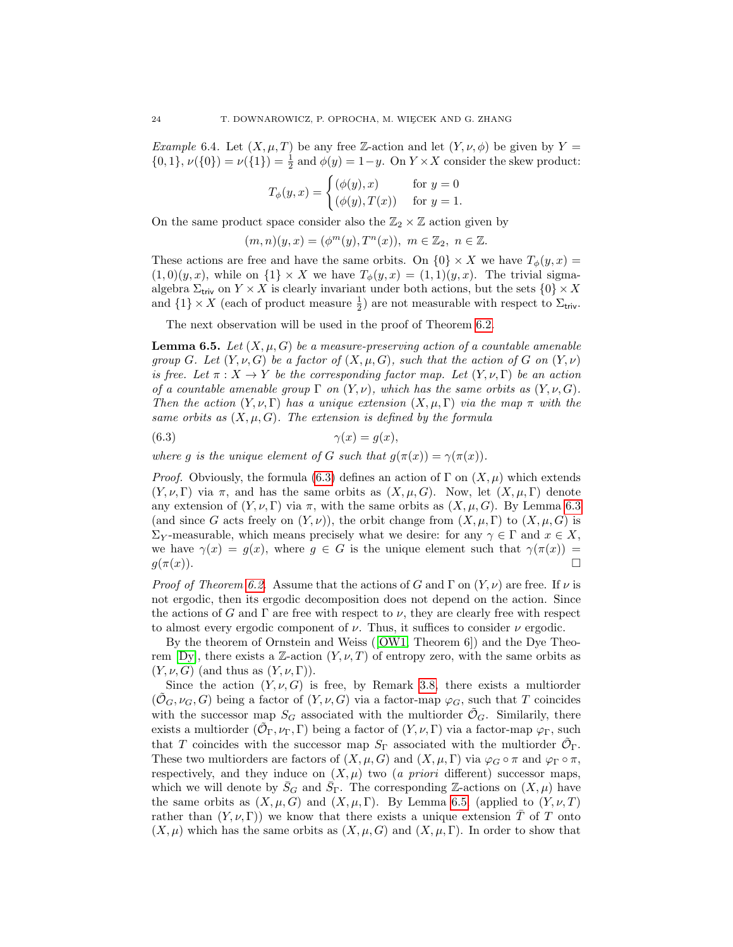*Example* 6.4. Let  $(X, \mu, T)$  be any free Z-action and let  $(Y, \nu, \phi)$  be given by Y =  $\{0,1\}, \nu(\{0\}) = \nu(\{1\}) = \frac{1}{2}$  and  $\phi(y) = 1 - y$ . On  $Y \times X$  consider the skew product:

$$
T_{\phi}(y,x) = \begin{cases} (\phi(y),x) & \text{for } y = 0\\ (\phi(y),T(x)) & \text{for } y = 1. \end{cases}
$$

On the same product space consider also the  $\mathbb{Z}_2 \times \mathbb{Z}$  action given by

$$
(m, n)(y, x) = (\phi^m(y), T^n(x)), \ m \in \mathbb{Z}_2, \ n \in \mathbb{Z}.
$$

These actions are free and have the same orbits. On  $\{0\} \times X$  we have  $T_{\phi}(y, x) =$  $(1,0)(y,x)$ , while on  $\{1\} \times X$  we have  $T_{\phi}(y,x) = (1,1)(y,x)$ . The trivial sigmaalgebra  $\Sigma_{\text{triv}}$  on  $Y \times X$  is clearly invariant under both actions, but the sets  $\{0\} \times X$ and  $\{1\} \times X$  (each of product measure  $\frac{1}{2}$ ) are not measurable with respect to  $\Sigma_{\mathsf{triv}}$ .

The next observation will be used in the proof of Theorem [6.2.](#page-21-3)

<span id="page-23-1"></span>**Lemma 6.5.** Let  $(X, \mu, G)$  be a measure-preserving action of a countable amenable group G. Let  $(Y, \nu, G)$  be a factor of  $(X, \mu, G)$ , such that the action of G on  $(Y, \nu)$ is free. Let  $\pi: X \to Y$  be the corresponding factor map. Let  $(Y, \nu, \Gamma)$  be an action of a countable amenable group  $\Gamma$  on  $(Y, \nu)$ , which has the same orbits as  $(Y, \nu, G)$ . Then the action  $(Y, \nu, \Gamma)$  has a unique extension  $(X, \mu, \Gamma)$  via the map  $\pi$  with the same orbits as  $(X, \mu, G)$ . The extension is defined by the formula

<span id="page-23-0"></span>
$$
(6.3) \qquad \qquad \gamma(x) = g(x),
$$

where g is the unique element of G such that  $g(\pi(x)) = \gamma(\pi(x))$ .

*Proof.* Obviously, the formula [\(6.3\)](#page-23-0) defines an action of  $\Gamma$  on  $(X, \mu)$  which extends  $(Y, \nu, \Gamma)$  via  $\pi$ , and has the same orbits as  $(X, \mu, G)$ . Now, let  $(X, \mu, \Gamma)$  denote any extension of  $(Y, \nu, \Gamma)$  via  $\pi$ , with the same orbits as  $(X, \mu, G)$ . By Lemma [6.3](#page-22-1) (and since G acts freely on  $(Y, \nu)$ ), the orbit change from  $(X, \mu, \Gamma)$  to  $(X, \mu, G)$  is  $\Sigma_Y$ -measurable, which means precisely what we desire: for any  $\gamma \in \Gamma$  and  $x \in X$ , we have  $\gamma(x) = g(x)$ , where  $g \in G$  is the unique element such that  $\gamma(\pi(x)) =$  $g(\pi(x)).$ 

*Proof of Theorem [6.2.](#page-21-3)* Assume that the actions of G and  $\Gamma$  on  $(Y, \nu)$  are free. If  $\nu$  is not ergodic, then its ergodic decomposition does not depend on the action. Since the actions of G and  $\Gamma$  are free with respect to  $\nu$ , they are clearly free with respect to almost every ergodic component of  $\nu$ . Thus, it suffices to consider  $\nu$  ergodic.

By the theorem of Ornstein and Weiss([\[OW1,](#page-34-2) Theorem 6]) and the Dye Theo-rem [\[Dy\]](#page-33-6), there exists a Z-action  $(Y, \nu, T)$  of entropy zero, with the same orbits as  $(Y, \nu, G)$  (and thus as  $(Y, \nu, \Gamma)$ ).

Since the action  $(Y, \nu, G)$  is free, by Remark [3.8,](#page-10-0) there exists a multiorder  $(\mathcal{O}_G, \nu_G, G)$  being a factor of  $(Y, \nu, G)$  via a factor-map  $\varphi_G$ , such that T coincides with the successor map  $S_G$  associated with the multiorder  $\mathcal{O}_G$ . Similarily, there exists a multiorder  $(\tilde{\mathcal{O}}_{\Gamma}, \nu_{\Gamma}, \Gamma)$  being a factor of  $(Y, \nu, \Gamma)$  via a factor-map  $\varphi_{\Gamma}$ , such that T coincides with the successor map  $S_{\Gamma}$  associated with the multiorder  $\tilde{\mathcal{O}}_{\Gamma}$ . These two multiorders are factors of  $(X, \mu, G)$  and  $(X, \mu, \Gamma)$  via  $\varphi_G \circ \pi$  and  $\varphi_{\Gamma} \circ \pi$ , respectively, and they induce on  $(X, \mu)$  two (a priori different) successor maps, which we will denote by  $\bar{S}_G$  and  $\bar{S}_{\Gamma}$ . The corresponding Z-actions on  $(X,\mu)$  have the same orbits as  $(X, \mu, G)$  and  $(X, \mu, \Gamma)$ . By Lemma [6.5,](#page-23-1) (applied to  $(Y, \nu, T)$ rather than  $(Y, \nu, \Gamma)$  we know that there exists a unique extension T of T onto  $(X, \mu)$  which has the same orbits as  $(X, \mu, G)$  and  $(X, \mu, \Gamma)$ . In order to show that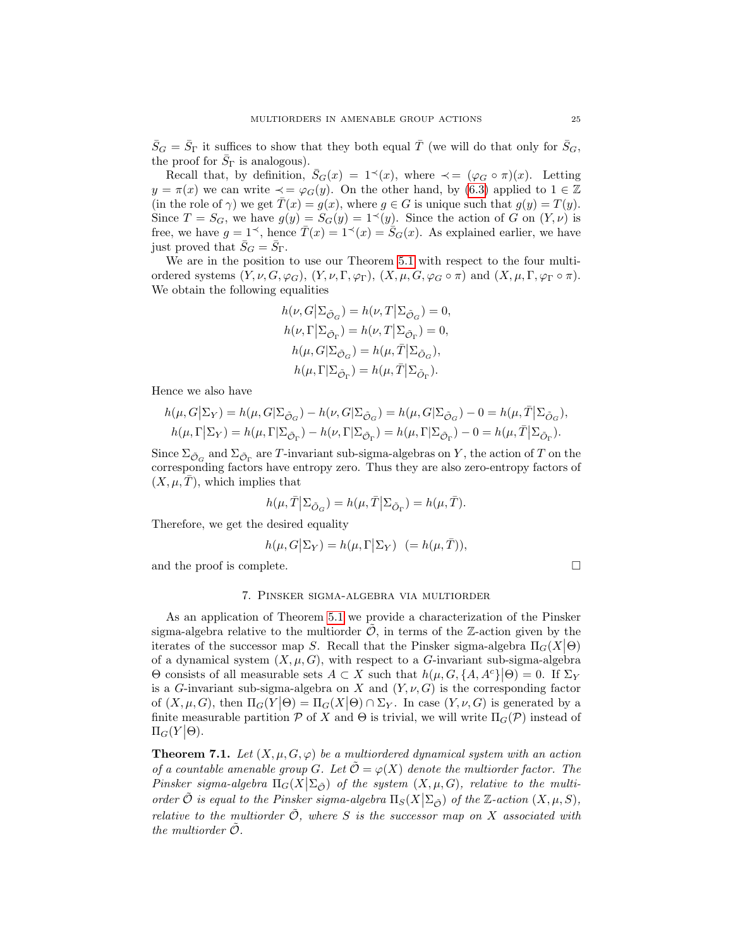$\bar{S}_G = \bar{S}_\Gamma$  it suffices to show that they both equal  $\bar{T}$  (we will do that only for  $\bar{S}_G$ , the proof for  $\bar{S}_{\Gamma}$  is analogous).

Recall that, by definition,  $\bar{S}_G(x) = 1^{\prec}(x)$ , where  $\prec = (\varphi_G \circ \pi)(x)$ . Letting  $y = \pi(x)$  we can write  $\prec = \varphi_G(y)$ . On the other hand, by [\(6.3\)](#page-23-0) applied to  $1 \in \mathbb{Z}$ (in the role of  $\gamma$ ) we get  $\overline{T}(x) = g(x)$ , where  $g \in G$  is unique such that  $g(y) = T(y)$ . Since  $T = S_G$ , we have  $g(y) = S_G(y) = 1 \leq (y)$ . Since the action of G on  $(Y, \nu)$  is free, we have  $g = 1^{\checkmark}$ , hence  $\bar{T}(x) = 1^{\checkmark}(x) = \bar{S}_G(x)$ . As explained earlier, we have just proved that  $\bar{S}_G = \bar{S}_{\Gamma}$ .

We are in the position to use our Theorem [5.1](#page-20-0) with respect to the four multiordered systems  $(Y, \nu, G, \varphi_G), (Y, \nu, \Gamma, \varphi_{\Gamma}), (X, \mu, G, \varphi_G \circ \pi)$  and  $(X, \mu, \Gamma, \varphi_{\Gamma} \circ \pi)$ . We obtain the following equalities

$$
\begin{split} &h(\nu,G\big|\Sigma_{\tilde{\mathcal{O}}_G})=h(\nu,T\big|\Sigma_{\tilde{\mathcal{O}}_G})=0,\\ &h(\nu,\Gamma\big|\Sigma_{\tilde{\mathcal{O}}_\Gamma})=h(\nu,T\big|\Sigma_{\tilde{\mathcal{O}}_\Gamma})=0,\\ &h(\mu,G|\Sigma_{\tilde{\mathcal{O}}_G})=h(\mu,\bar{T}\big|\Sigma_{\tilde{\mathcal{O}}_G}),\\ &h(\mu,\Gamma|\Sigma_{\tilde{\mathcal{O}}_\Gamma})=h(\mu,\bar{T}\big|\Sigma_{\tilde{\mathcal{O}}_\Gamma}). \end{split}
$$

Hence we also have

$$
\begin{split} h(\mu,G\big|\Sigma_Y) &= h(\mu,G|\Sigma_{\tilde{\mathcal{O}}_G}) - h(\nu,G|\Sigma_{\tilde{\mathcal{O}}_G}) = h(\mu,G|\Sigma_{\tilde{\mathcal{O}}_G}) - 0 = h(\mu,\bar{T}\big|\Sigma_{\tilde{\mathcal{O}}_G}),\\ h(\mu,\Gamma\big|\Sigma_Y) &= h(\mu,\Gamma|\Sigma_{\tilde{\mathcal{O}}_\Gamma}) - h(\nu,\Gamma|\Sigma_{\tilde{\mathcal{O}}_\Gamma}) = h(\mu,\Gamma|\Sigma_{\tilde{\mathcal{O}}_\Gamma}) - 0 = h(\mu,\bar{T}\big|\Sigma_{\tilde{\mathcal{O}}_\Gamma}). \end{split}
$$

Since  $\Sigma_{\tilde{\mathcal{O}}_G}$  and  $\Sigma_{\tilde{\mathcal{O}}_\Gamma}$  are T-invariant sub-sigma-algebras on Y, the action of T on the corresponding factors have entropy zero. Thus they are also zero-entropy factors of  $(X, \mu, T)$ , which implies that

$$
h(\mu, \overline{T} | \Sigma_{\tilde{O}_G}) = h(\mu, \overline{T} | \Sigma_{\tilde{O}_{\Gamma}}) = h(\mu, \overline{T}).
$$

Therefore, we get the desired equality

$$
h(\mu, G|\Sigma_Y) = h(\mu, \Gamma|\Sigma_Y) \ \ (= h(\mu, \overline{T})),
$$

and the proof is complete.

#### 7. Pinsker sigma-algebra via multiorder

<span id="page-24-0"></span>As an application of Theorem [5.1](#page-20-0) we provide a characterization of the Pinsker sigma-algebra relative to the multiorder  $\hat{\mathcal{O}}$ , in terms of the Z-action given by the iterates of the successor map S. Recall that the Pinsker sigma-algebra  $\Pi_G(X|\Theta)$ of a dynamical system  $(X, \mu, G)$ , with respect to a G-invariant sub-sigma-algebra  $Θ$  consists of all measurable sets  $A \subset X$  such that  $h(μ, G, {A, A<sup>c</sup>}|Θ) = 0$ . If Σ<sub>Y</sub> is a G-invariant sub-sigma-algebra on X and  $(Y, \nu, G)$  is the corresponding factor of  $(X, \mu, G)$ , then  $\Pi_G(Y|\Theta) = \Pi_G(X|\Theta) \cap \Sigma_Y$ . In case  $(Y, \nu, G)$  is generated by a finite measurable partition P of X and  $\Theta$  is trivial, we will write  $\Pi_G(\mathcal{P})$  instead of  $\Pi_G(Y|\Theta)$ .

<span id="page-24-1"></span>**Theorem 7.1.** Let  $(X, \mu, G, \varphi)$  be a multiordered dynamical system with an action of a countable amenable group G. Let  $\tilde{\mathcal{O}} = \varphi(X)$  denote the multiorder factor. The Pinsker sigma-algebra  $\Pi_G(X|\Sigma_{\tilde{\mathcal{O}}})$  of the system  $(X,\mu,G)$ , relative to the multiorder  $\tilde{\mathcal{O}}$  is equal to the Pinsker sigma-algebra  $\Pi_S(X|\Sigma_{\tilde{\mathcal{O}}})$  of the Z-action  $(X,\mu,S)$ , relative to the multiorder  $\tilde{\mathcal{O}}$ , where S is the successor map on X associated with the multiorder  $\ddot{\mathcal{O}}$ .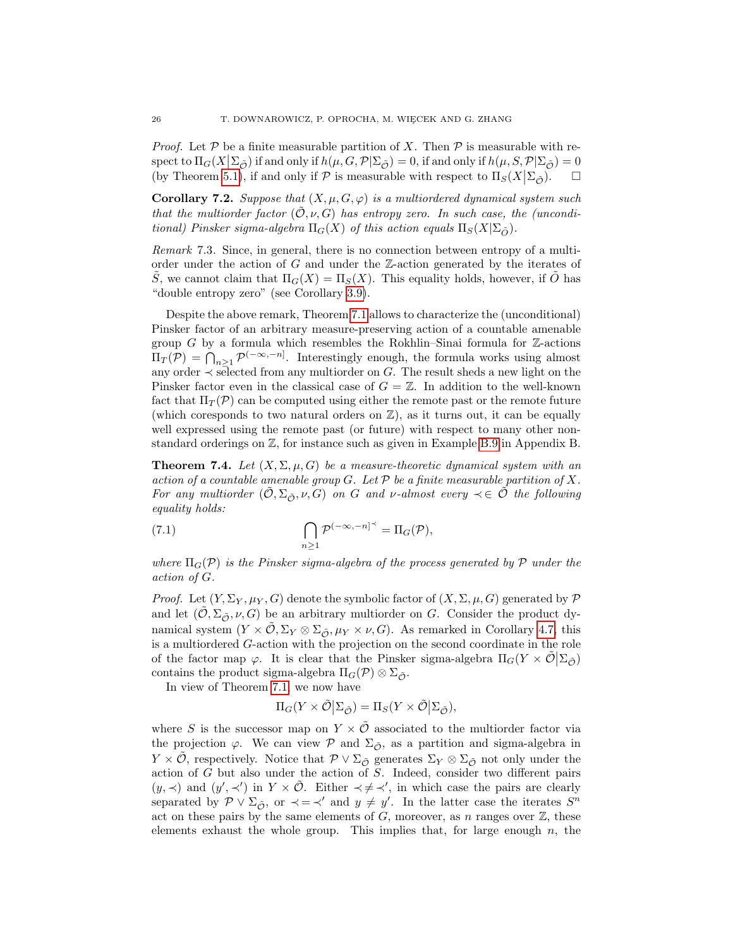*Proof.* Let  $P$  be a finite measurable partition of X. Then  $P$  is measurable with respect to  $\Pi_G(X|\Sigma_{\tilde{\mathcal{O}}})$  if and only if  $h(\mu, G, \mathcal{P}|\Sigma_{\tilde{\mathcal{O}}}) = 0$ , if and only if  $h(\mu, S, \mathcal{P}|\Sigma_{\tilde{\mathcal{O}}}) = 0$ (by Theorem [5.1\)](#page-20-0), if and only if  $P$  is measurable with respect to  $\Pi_S(X|\Sigma_{\tilde{\mathcal{O}}})$ .  $\Box$ 

**Corollary 7.2.** Suppose that  $(X, \mu, G, \varphi)$  is a multiordered dynamical system such that the multiorder factor  $(0, \nu, G)$  has entropy zero. In such case, the (unconditional) Pinsker sigma-algebra  $\Pi_G(X)$  of this action equals  $\Pi_S(X|\Sigma_{\tilde{O}})$ .

Remark 7.3. Since, in general, there is no connection between entropy of a multiorder under the action of G and under the Z-action generated by the iterates of S, we cannot claim that  $\Pi_G(X) = \Pi_S(X)$ . This equality holds, however, if O has "double entropy zero" (see Corollary [3.9\)](#page-10-1).

Despite the above remark, Theorem [7.1](#page-24-1) allows to characterize the (unconditional) Pinsker factor of an arbitrary measure-preserving action of a countable amenable group G by a formula which resembles the Rokhlin–Sinai formula for  $\mathbb Z$ -actions  $\Pi_T(\mathcal{P}) = \bigcap_{n \geq 1} \mathcal{P}^{(-\infty, -n]}$ . Interestingly enough, the formula works using almost any order  $\prec$  selected from any multiorder on G. The result sheds a new light on the Pinsker factor even in the classical case of  $G = \mathbb{Z}$ . In addition to the well-known fact that  $\Pi_T(\mathcal{P})$  can be computed using either the remote past or the remote future (which coresponds to two natural orders on  $\mathbb{Z}$ ), as it turns out, it can be equally well expressed using the remote past (or future) with respect to many other nonstandard orderings on Z, for instance such as given in Example [B.9](#page-32-0) in Appendix B.

<span id="page-25-0"></span>**Theorem 7.4.** Let  $(X, \Sigma, \mu, G)$  be a measure-theoretic dynamical system with an action of a countable amenable group  $G$ . Let  $\mathcal P$  be a finite measurable partition of X. For any multiorder  $(\tilde{\mathcal{O}}, \Sigma_{\tilde{\mathcal{O}}}, \nu, G)$  on G and v-almost every  $\prec \in \tilde{\mathcal{O}}$  the following equality holds:

(7.1) 
$$
\bigcap_{n\geq 1} \mathcal{P}^{(-\infty,-n]^{\prec}} = \Pi_G(\mathcal{P}),
$$

where  $\Pi_G(\mathcal{P})$  is the Pinsker sigma-algebra of the process generated by P under the action of G.

*Proof.* Let  $(Y, \Sigma_Y, \mu_Y, G)$  denote the symbolic factor of  $(X, \Sigma, \mu, G)$  generated by P and let  $(\mathcal{O}, \Sigma_{\tilde{\mathcal{O}}}, \nu, G)$  be an arbitrary multiorder on G. Consider the product dynamical system  $(Y \times \mathcal{O}, \Sigma_Y \otimes \Sigma_{\mathcal{O}}, \mu_Y \times \nu, G)$ . As remarked in Corollary [4.7,](#page-19-1) this is a multiordered G-action with the projection on the second coordinate in the role of the factor map  $\varphi$ . It is clear that the Pinsker sigma-algebra  $\Pi_G(Y \times \tilde{\mathcal{O}} | \Sigma_{\tilde{\mathcal{O}}})$ contains the product sigma-algebra  $\Pi_G(\mathcal{P}) \otimes \Sigma_{\tilde{\mathcal{P}}}$ .

In view of Theorem [7.1,](#page-24-1) we now have

$$
\Pi_G(Y \times \tilde{\mathcal{O}} | \Sigma_{\tilde{\mathcal{O}}}) = \Pi_S(Y \times \tilde{\mathcal{O}} | \Sigma_{\tilde{\mathcal{O}}}),
$$

where S is the successor map on  $Y \times \tilde{\mathcal{O}}$  associated to the multiorder factor via the projection  $\varphi$ . We can view  $\mathcal P$  and  $\Sigma_{\tilde{\mathcal{O}}}$ , as a partition and sigma-algebra in  $Y \times \mathcal{O}$ , respectively. Notice that  $\mathcal{P} \vee \Sigma_{\tilde{\mathcal{O}}}$  generates  $\Sigma_Y \otimes \Sigma_{\tilde{\mathcal{O}}}$  not only under the action of G but also under the action of S. Indeed, consider two different pairs  $(y, \prec)$  and  $(y', \prec')$  in  $Y \times \tilde{\mathcal{O}}$ . Either  $\prec \neq \prec'$ , in which case the pairs are clearly separated by  $\mathcal{P} \vee \Sigma_{\tilde{\mathcal{O}}}$ , or  $\prec = \prec'$  and  $y \neq y'$ . In the latter case the iterates  $S^n$ act on these pairs by the same elements of  $G$ , moreover, as n ranges over  $\mathbb{Z}$ , these elements exhaust the whole group. This implies that, for large enough  $n$ , the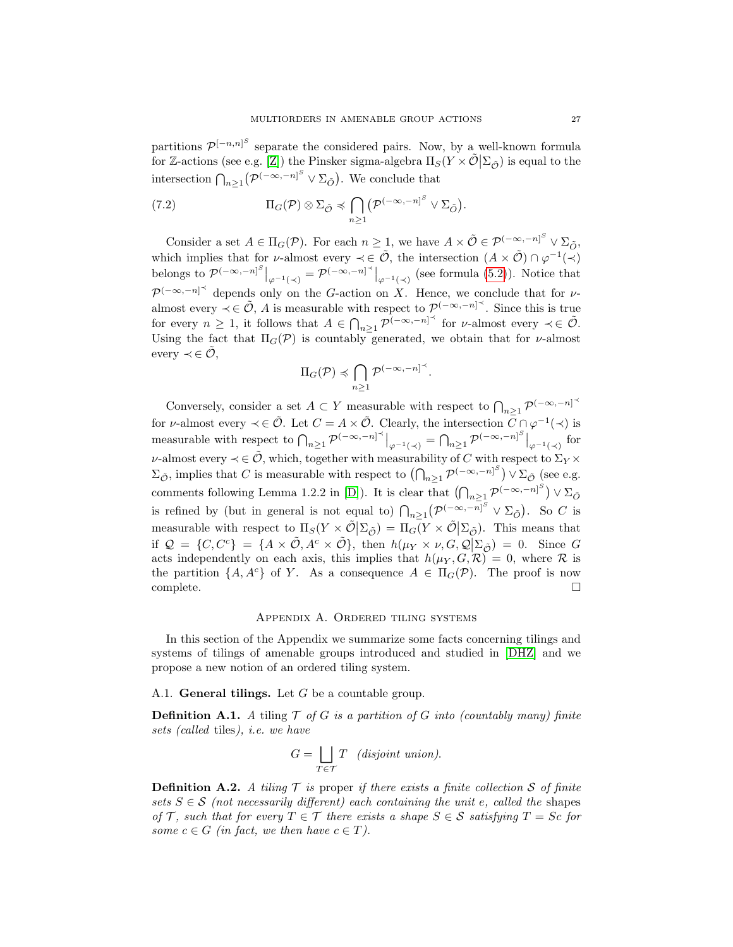partitions  $\mathcal{P}^{[-n,n]^S}$  separate the considered pairs. Now, by a well-known formula for Z-actions (see e.g. [\[Z\]](#page-34-5)) the Pinsker sigma-algebra  $\Pi_S(Y \times \tilde{\mathcal{O}} | \Sigma_{\tilde{\mathcal{O}}})$  is equal to the intersection  $\bigcap_{n\geq 1} \left( \mathcal{P}^{(-\infty,-n]^S} \vee \Sigma_{\tilde{O}} \right)$ . We conclude that

(7.2) 
$$
\Pi_G(\mathcal{P}) \otimes \Sigma_{\tilde{\mathcal{O}}} \preccurlyeq \bigcap_{n \geq 1} \left( \mathcal{P}^{(-\infty, -n]^S} \vee \Sigma_{\tilde{\mathcal{O}}} \right).
$$

Consider a set  $A \in \Pi_G(\mathcal{P})$ . For each  $n \geq 1$ , we have  $A \times \tilde{\mathcal{O}} \in \mathcal{P}^{(-\infty,-n]^S} \vee \Sigma_{\tilde{\mathcal{O}}}$ , which implies that for *v*-almost every  $\prec \in \tilde{\mathcal{O}}$ , the intersection  $(A \times \tilde{\mathcal{O}}) \cap \varphi^{-1}(\prec)$ belongs to  $\mathcal{P}^{(-\infty,-n]^S}|_{\varphi^{-1}(\prec)} = \mathcal{P}^{(-\infty,-n]^{\prec}}|_{\varphi^{-1}(\prec)}$  (see formula [\(5.2\)](#page-20-1)). Notice that  $\mathcal{P}^{(-\infty,-n]^{\prec}}$  depends only on the G-action on X. Hence, we conclude that for valmost every  $\prec \in \tilde{\mathcal{O}}$ , A is measurable with respect to  $\mathcal{P}^{(-\infty,-n]^{\prec}}$ . Since this is true for every  $n \geq 1$ , it follows that  $A \in \bigcap_{n \geq 1} \mathcal{P}^{(-\infty,-n]^{\prec}}$  for  $\nu$ -almost every  $\prec \in \tilde{\mathcal{O}}$ . Using the fact that  $\Pi_G(\mathcal{P})$  is countably generated, we obtain that for *v*-almost every  $\prec \in \tilde{\mathcal{O}},$ 

$$
\Pi_G(\mathcal{P}) \preccurlyeq \bigcap_{n \geq 1} \mathcal{P}^{(-\infty, -n]^\prec}.
$$

Conversely, consider a set  $A \subset Y$  measurable with respect to  $\bigcap_{n\geq 1} \mathcal{P}^{(-\infty,-n]^{\prec}}$ for v-almost every  $\prec \in \tilde{\mathcal{O}}$ . Let  $C = A \times \tilde{\mathcal{O}}$ . Clearly, the intersection  $\overline{C} \cap \varphi^{-1}(\prec)$  is measurable with respect to  $\bigcap_{n\geq 1} \mathcal{P}^{(-\infty,-n]^{\prec}}\big|_{\varphi^{-1}(\prec)} = \bigcap_{n\geq 1} \mathcal{P}^{(-\infty,-n]^S}\big|_{\varphi^{-1}(\prec)}$  for v-almost every  $\prec \in \tilde{\mathcal{O}}$ , which, together with measurability of C with respect to  $\Sigma_Y \times$  $\Sigma_{\tilde{\mathcal{O}}}$ , implies that C is measurable with respect to  $(\bigcap_{n\geq 1} \mathcal{P}^{(-\infty,-n]^S}) \vee \Sigma_{\tilde{\mathcal{O}}}$  (see e.g. comments following Lemma 1.2.2 in [\[D\]](#page-33-8)). It is clear that  $(\bigcap_{n\geq 1} \mathcal{P}^{(-\infty,-n]^S}) \vee \Sigma_{\tilde{O}}$ is refined by (but in general is not equal to)  $\bigcap_{n\geq 1} (\mathcal{P}^{(-\infty,-n]^S} \vee \Sigma_{\tilde{O}})$ . So C is measurable with respect to  $\Pi_S(Y \times \tilde{\mathcal{O}} | \Sigma_{\tilde{\mathcal{O}}}) = \Pi_G(Y \times \tilde{\mathcal{O}} | \Sigma_{\tilde{\mathcal{O}}}).$  This means that if  $\mathcal{Q} = \{C, C^c\} = \{A \times \tilde{\mathcal{O}}, A^c \times \tilde{\mathcal{O}}\}$ , then  $h(\mu_Y \times \nu, G, \mathcal{Q}|\Sigma_{\tilde{\mathcal{O}}}) = 0$ . Since G acts independently on each axis, this implies that  $h(\mu_Y, G, \mathcal{R}) = 0$ , where  $\mathcal R$  is the partition  $\{A, A^c\}$  of Y. As a consequence  $A \in \Pi_G(\mathcal{P})$ . The proof is now  $\Box$ complete.  $\Box$ 

### Appendix A. Ordered tiling systems

<span id="page-26-0"></span>In this section of the Appendix we summarize some facts concerning tilings and systems of tilings of amenable groups introduced and studied in [\[DHZ\]](#page-33-5) and we propose a new notion of an ordered tiling system.

A.1. **General tilings.** Let  $G$  be a countable group.

**Definition A.1.** A tiling  $\mathcal{T}$  of G is a partition of G into (countably many) finite sets (called tiles), i.e. we have

$$
G = \bigsqcup_{T \in \mathcal{T}} T \quad \text{(disjoint union)}.
$$

**Definition A.2.** A tiling  $\mathcal T$  is proper if there exists a finite collection S of finite sets  $S \in \mathcal{S}$  (not necessarily different) each containing the unit e, called the shapes of T, such that for every  $T \in \mathcal{T}$  there exists a shape  $S \in \mathcal{S}$  satisfying  $T = Sc$  for some  $c \in G$  (in fact, we then have  $c \in T$ ).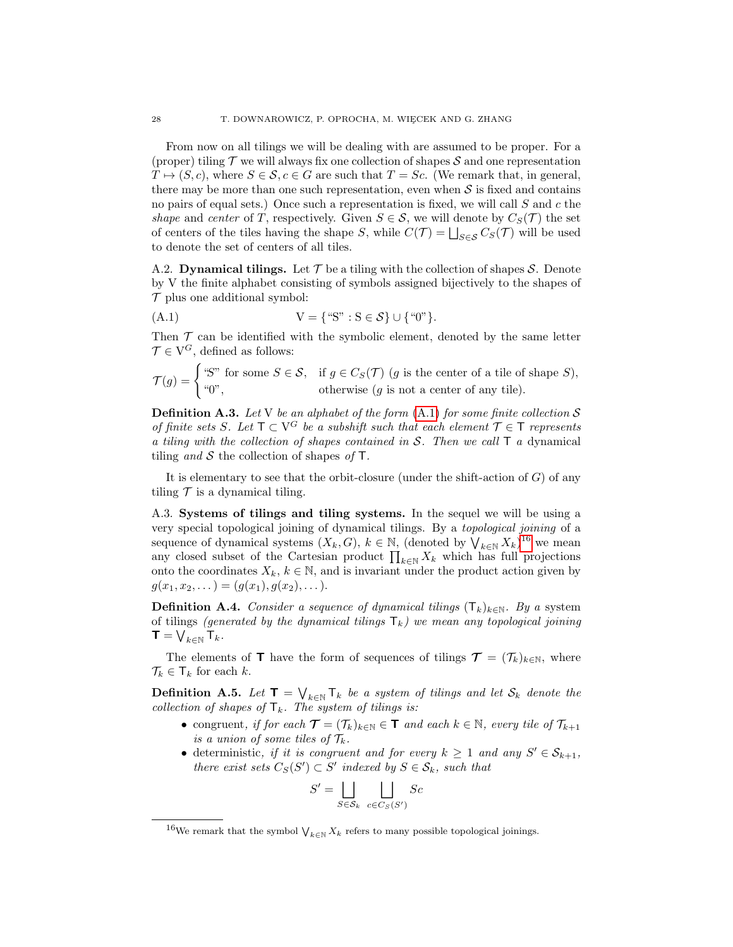From now on all tilings we will be dealing with are assumed to be proper. For a (proper) tiling  $\mathcal T$  we will always fix one collection of shapes  $\mathcal S$  and one representation  $T \mapsto (S, c)$ , where  $S \in \mathcal{S}$ ,  $c \in G$  are such that  $T = Sc$ . (We remark that, in general, there may be more than one such representation, even when  $\mathcal S$  is fixed and contains no pairs of equal sets.) Once such a representation is fixed, we will call  $S$  and  $c$  the shape and center of T, respectively. Given  $S \in \mathcal{S}$ , we will denote by  $C_S(\mathcal{T})$  the set of centers of the tiles having the shape S, while  $C(\mathcal{T}) = \bigsqcup_{S \in \mathcal{S}} C_S(\mathcal{T})$  will be used to denote the set of centers of all tiles.

A.2. Dynamical tilings. Let  $\mathcal T$  be a tiling with the collection of shapes  $\mathcal S$ . Denote by V the finite alphabet consisting of symbols assigned bijectively to the shapes of  $\mathcal T$  plus one additional symbol:

<span id="page-27-0"></span>(A.1) 
$$
V = \{``S": S \in \mathcal{S}\} \cup \{``0"\}.
$$

Then  $\mathcal T$  can be identified with the symbolic element, denoted by the same letter  $\mathcal{T} \in V^G$ , defined as follows:

$$
\mathcal{T}(g) = \begin{cases} \text{``S'' for some } S \in \mathcal{S}, & \text{if } g \in C_{S}(\mathcal{T}) \text{ (}g \text{ is the center of a tile of shape } S\text{),} \\ \text{``0''}, & \text{otherwise (}g \text{ is not a center of any tile).} \end{cases}
$$

**Definition A.3.** Let V be an alphabet of the form  $(A.1)$  for some finite collection S of finite sets S. Let  $\mathsf{T} \subset \mathsf{V}^G$  be a subshift such that each element  $\mathcal{T} \in \mathsf{T}$  represents a tiling with the collection of shapes contained in  $S$ . Then we call  $\mathsf T$  a dynamical tiling and S the collection of shapes of  $\mathsf{T}$ .

It is elementary to see that the orbit-closure (under the shift-action of  $G$ ) of any tiling  $\mathcal T$  is a dynamical tiling.

A.3. Systems of tilings and tiling systems. In the sequel we will be using a very special topological joining of dynamical tilings. By a topological joining of a sequence of dynamical systems  $(X_k, G)$ ,  $k \in \mathbb{N}$ , (denoted by  $\bigvee_{k \in \mathbb{N}} X_k$ )<sup>[16](#page-27-1)</sup> we mean any closed subset of the Cartesian product  $\prod_{k\in\mathbb{N}} X_k$  which has full projections onto the coordinates  $X_k, k \in \mathbb{N}$ , and is invariant under the product action given by  $g(x_1, x_2, \dots) = (g(x_1), g(x_2), \dots).$ 

**Definition A.4.** Consider a sequence of dynamical tilings  $(T_k)_{k \in \mathbb{N}}$ . By a system of tilings (generated by the dynamical tilings  $T_k$ ) we mean any topological joining  $\textsf{T}=\bigvee_{k\in\mathbb{N}}\textsf{T}_{k}.$ 

The elements of **T** have the form of sequences of tilings  $\mathcal{T} = (\mathcal{T}_k)_{k \in \mathbb{N}}$ , where  $\mathcal{T}_k \in \mathsf{T}_k$  for each k.

**Definition A.5.** Let  $\mathbf{T} = \bigvee_{k \in \mathbb{N}} \mathsf{T}_k$  be a system of tilings and let  $\mathcal{S}_k$  denote the collection of shapes of  $\mathsf{T}_k$ . The system of tilings is:

- congruent, if for each  $\mathcal{T} = (\mathcal{T}_k)_{k \in \mathbb{N}} \in \mathbf{T}$  and each  $k \in \mathbb{N}$ , every tile of  $\mathcal{T}_{k+1}$ is a union of some tiles of  $\mathcal{T}_k$ .
- deterministic, if it is congruent and for every  $k \geq 1$  and any  $S' \in S_{k+1}$ , there exist sets  $C_S(S') \subset S'$  indexed by  $S \in \mathcal{S}_k$ , such that

$$
S' = \bigsqcup_{S \in \mathcal{S}_k} \bigsqcup_{c \in C_S(S')} Sc
$$

<span id="page-27-1"></span><sup>&</sup>lt;sup>16</sup>We remark that the symbol  $\bigvee_{k\in\mathbb{N}} X_k$  refers to many possible topological joinings.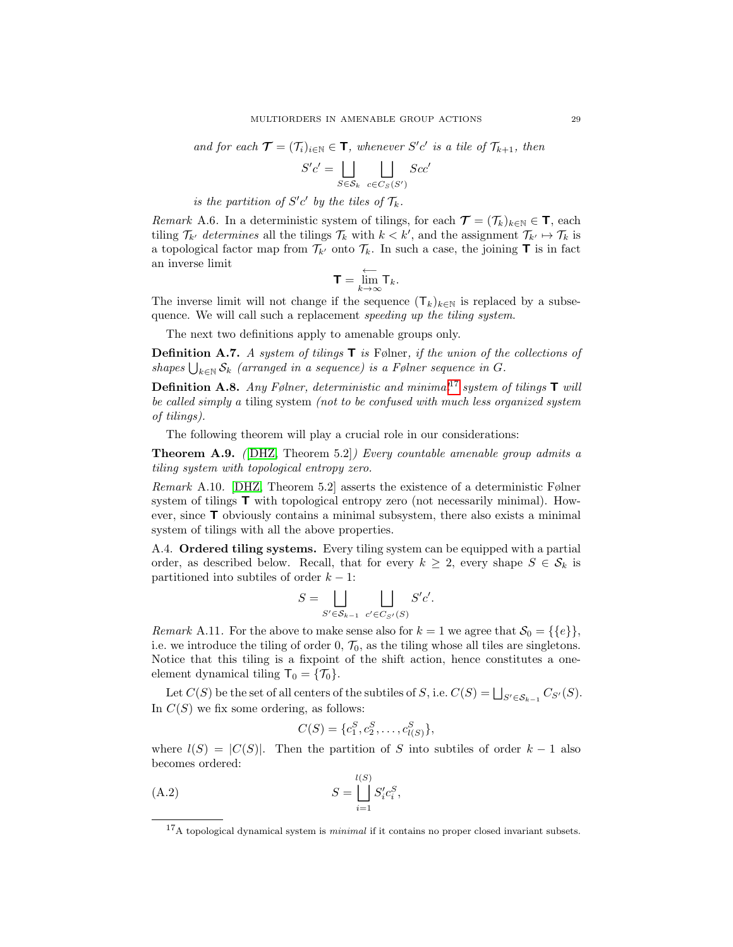and for each  $\mathcal{T} = (\mathcal{T}_i)_{i \in \mathbb{N}} \in \mathbf{T}$ , whenever  $S'c'$  is a tile of  $\mathcal{T}_{k+1}$ , then

$$
S'c' = \bigsqcup_{S \in \mathcal{S}_k} \bigsqcup_{c \in C_S(S')} Scc'
$$

is the partition of  $S'c'$  by the tiles of  $\mathcal{T}_k$ .

Remark A.6. In a deterministic system of tilings, for each  $\mathcal{T} = (\mathcal{T}_k)_{k \in \mathbb{N}} \in \mathbf{T}$ , each tiling  $\mathcal{T}_{k'}$  determines all the tilings  $\mathcal{T}_k$  with  $k < k'$ , and the assignment  $\mathcal{T}_{k'} \mapsto \mathcal{T}_k$  is a topological factor map from  $\mathcal{T}_{k'}$  onto  $\mathcal{T}_k$ . In such a case, the joining **T** is in fact an inverse limit

$$
\mathbf{T} = \overleftarrow{\lim}_{k \to \infty} \mathsf{T}_k.
$$

The inverse limit will not change if the sequence  $(T_k)_{k\in\mathbb{N}}$  is replaced by a subsequence. We will call such a replacement speeding up the tiling system.

The next two definitions apply to amenable groups only.

**Definition A.7.** A system of tilings  $\mathbf{T}$  is Følner, if the union of the collections of shapes  $\bigcup_{k\in\mathbb{N}}\mathcal{S}_k$  (arranged in a sequence) is a Følner sequence in G.

**Definition A.8.** Any Følner, deterministic and minimal<sup>[17](#page-28-0)</sup> system of tilings  $\mathbf{T}$  will be called simply a tiling system (not to be confused with much less organized system of tilings).

The following theorem will play a crucial role in our considerations:

**Theorem A.9.** (DHZ, Theorem 5.2)) Every countable amenable group admits a tiling system with topological entropy zero.

Remark A.10. [\[DHZ,](#page-33-5) Theorem 5.2] asserts the existence of a deterministic Følner system of tilings  $\mathsf{T}$  with topological entropy zero (not necessarily minimal). However, since T obviously contains a minimal subsystem, there also exists a minimal system of tilings with all the above properties.

A.4. Ordered tiling systems. Every tiling system can be equipped with a partial order, as described below. Recall, that for every  $k \geq 2$ , every shape  $S \in \mathcal{S}_k$  is partitioned into subtiles of order  $k - 1$ :

$$
S = \bigsqcup_{S' \in \mathcal{S}_{k-1}} \bigsqcup_{c' \in C_{S'}(S)} S'c'.
$$

Remark A.11. For the above to make sense also for  $k = 1$  we agree that  $\mathcal{S}_0 = \{\{e\}\},\$ i.e. we introduce the tiling of order 0,  $\mathcal{T}_0$ , as the tiling whose all tiles are singletons. Notice that this tiling is a fixpoint of the shift action, hence constitutes a oneelement dynamical tiling  $\mathsf{T}_0 = {\mathcal{T}_0}.$ 

Let  $C(S)$  be the set of all centers of the subtiles of S, i.e.  $C(S) = \bigsqcup_{S' \in S_{k-1}} C_{S'}(S)$ . In  $C(S)$  we fix some ordering, as follows:

<span id="page-28-1"></span>
$$
C(S) = \{c_1^S, c_2^S, \dots, c_{l(S)}^S\},\
$$

where  $l(S) = |C(S)|$ . Then the partition of S into subtiles of order  $k - 1$  also becomes ordered:

(A.2) 
$$
S = \bigsqcup_{i=1}^{l(S)} S'_{i} c_{i}^{S},
$$

<span id="page-28-0"></span> $17A$  topological dynamical system is *minimal* if it contains no proper closed invariant subsets.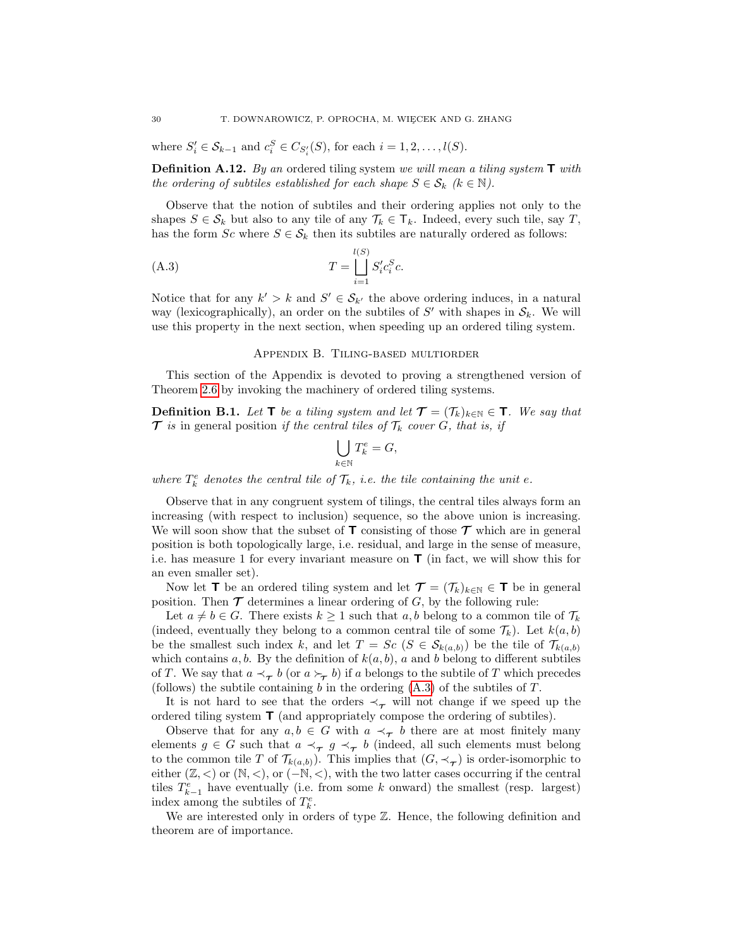where  $S_i' \in S_{k-1}$  and  $c_i^S \in C_{S_i'}(S)$ , for each  $i = 1, 2, \ldots, l(S)$ .

**Definition A.12.** By an ordered tiling system we will mean a tiling system  $\mathsf{T}$  with the ordering of subtiles established for each shape  $S \in \mathcal{S}_k$  ( $k \in \mathbb{N}$ ).

Observe that the notion of subtiles and their ordering applies not only to the shapes  $S \in \mathcal{S}_k$  but also to any tile of any  $\mathcal{T}_k \in \mathcal{T}_k$ . Indeed, every such tile, say T, has the form  $Sc$  where  $S \in \mathcal{S}_k$  then its subtiles are naturally ordered as follows:

(A.3) 
$$
T = \bigsqcup_{i=1}^{l(S)} S'_{i} c_{i}^{S} c.
$$

Notice that for any  $k' > k$  and  $S' \in S_{k'}$  the above ordering induces, in a natural way (lexicographically), an order on the subtiles of  $S'$  with shapes in  $\mathcal{S}_k$ . We will use this property in the next section, when speeding up an ordered tiling system.

### <span id="page-29-1"></span>Appendix B. Tiling-based multiorder

<span id="page-29-0"></span>This section of the Appendix is devoted to proving a strengthened version of Theorem [2.6](#page-5-2) by invoking the machinery of ordered tiling systems.

**Definition B.1.** Let **T** be a tiling system and let  $\mathcal{T} = (\mathcal{T}_k)_{k \in \mathbb{N}} \in \mathbf{T}$ . We say that  $\mathcal T$  is in general position if the central tiles of  $\mathcal T_k$  cover G, that is, if

$$
\bigcup_{k \in \mathbb{N}} T_k^e = G,
$$

where  $T_k^e$  denotes the central tile of  $\mathcal{T}_k$ , i.e. the tile containing the unit e.

Observe that in any congruent system of tilings, the central tiles always form an increasing (with respect to inclusion) sequence, so the above union is increasing. We will soon show that the subset of  $\mathsf T$  consisting of those  $\mathcal T$  which are in general position is both topologically large, i.e. residual, and large in the sense of measure, i.e. has measure 1 for every invariant measure on  $\mathsf{T}$  (in fact, we will show this for an even smaller set).

Now let **T** be an ordered tiling system and let  $\mathcal{T} = (\mathcal{T}_k)_{k \in \mathbb{N}} \in \mathcal{T}$  be in general position. Then  $\mathcal T$  determines a linear ordering of  $G$ , by the following rule:

Let  $a \neq b \in G$ . There exists  $k \geq 1$  such that a, b belong to a common tile of  $\mathcal{T}_k$ (indeed, eventually they belong to a common central tile of some  $\mathcal{T}_k$ ). Let  $k(a, b)$ be the smallest such index k, and let  $T = Sc$   $(S \in S_{k(a,b)})$  be the tile of  $\mathcal{T}_{k(a,b)}$ which contains  $a, b$ . By the definition of  $k(a, b)$ , a and b belong to different subtiles of T. We say that  $a \prec_{\tau} b$  (or  $a \succ_{\tau} b$ ) if a belongs to the subtile of T which precedes (follows) the subtile containing b in the ordering  $(A.3)$  of the subtiles of T.

It is not hard to see that the orders  $\prec_{\tau}$  will not change if we speed up the ordered tiling system T (and appropriately compose the ordering of subtiles).

Observe that for any  $a, b \in G$  with  $a \prec_{\tau} b$  there are at most finitely many elements  $g \in G$  such that  $a \prec_{\tau} g \prec_{\tau} b$  (indeed, all such elements must belong to the common tile T of  $\mathcal{T}_{k(a,b)}$ . This implies that  $(G, \prec_{\tau})$  is order-isomorphic to either  $(\mathbb{Z}, <)$  or  $(\mathbb{N}, <)$ , or  $(-\mathbb{N}, <)$ , with the two latter cases occurring if the central tiles  $T_{k-1}^e$  have eventually (i.e. from some k onward) the smallest (resp. largest) index among the subtiles of  $T_k^e$ .

We are interested only in orders of type  $\mathbb{Z}$ . Hence, the following definition and theorem are of importance.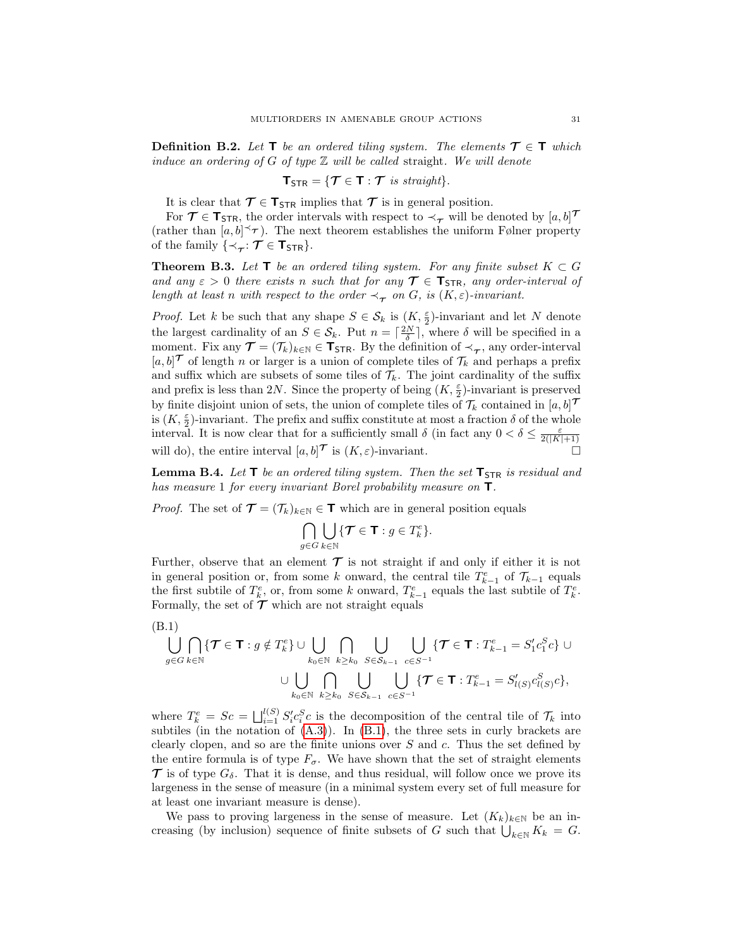**Definition B.2.** Let  $\mathbf{T}$  be an ordered tiling system. The elements  $\mathcal{T} \in \mathbf{T}$  which induce an ordering of G of type  $\mathbb Z$  will be called straight. We will denote

$$
T_{\text{STR}} = \{ \mathcal{T} \in T : \mathcal{T} \text{ is straight} \}.
$$

It is clear that  $\mathcal{T} \in \mathbf{T}_{\text{STR}}$  implies that  $\mathcal{T}$  is in general position.

For  $\mathcal{T} \in \mathsf{T}_{\mathsf{STR}}$ , the order intervals with respect to  $\prec_{\mathcal{T}}$  will be denoted by  $[a, b]^{\mathcal{T}}$ (rather than  $[a, b] \prec \tau$ ). The next theorem establishes the uniform Følner property of the family  $\{\prec_{\tau} : \mathcal{T} \in \mathsf{T}_{\mathsf{STR}}\}.$ 

<span id="page-30-2"></span>**Theorem B.3.** Let  $\mathbf{T}$  be an ordered tiling system. For any finite subset  $K \subset G$ and any  $\varepsilon > 0$  there exists n such that for any  $\tau \in \mathbf{T}_{STR}$ , any order-interval of length at least n with respect to the order  $\prec_{\tau}$  on G, is  $(K, \varepsilon)$ -invariant.

*Proof.* Let k be such that any shape  $S \in \mathcal{S}_k$  is  $(K, \frac{\varepsilon}{2})$ -invariant and let N denote the largest cardinality of an  $S \in \mathcal{S}_k$ . Put  $n = \lceil \frac{2N}{\delta} \rceil$ , where  $\delta$  will be specified in a moment. Fix any  $\mathcal{T} = (\mathcal{T}_k)_{k \in \mathbb{N}} \in \mathbf{T}_{\text{STR}}$ . By the definition of  $\prec_{\mathcal{T}}$ , any order-interval  $[a, b]^{\mathcal{T}}$  of length n or larger is a union of complete tiles of  $\mathcal{T}_k$  and perhaps a prefix and suffix which are subsets of some tiles of  $\mathcal{T}_k$ . The joint cardinality of the suffix and prefix is less than 2N. Since the property of being  $(K, \frac{\varepsilon}{2})$ -invariant is preserved by finite disjoint union of sets, the union of complete tiles of  $\mathcal{T}_k$  contained in  $[a, b]^{\mathcal{T}}$ is  $(K, \frac{\varepsilon}{2})$ -invariant. The prefix and suffix constitute at most a fraction  $\delta$  of the whole interval. It is now clear that for a sufficiently small  $\delta$  (in fact any  $0 < \delta \leq \frac{\varepsilon}{2(|K|+1)}$ will do), the entire interval  $[a, b]^{\mathcal{T}}$  is  $(K, \varepsilon)$ -invariant.

<span id="page-30-1"></span>**Lemma B.4.** Let  $T$  be an ordered tiling system. Then the set  $T_{STR}$  is residual and has measure 1 for every invariant Borel probability measure on  $\mathsf{T}.$ 

*Proof.* The set of  $\mathcal{T} = (\mathcal{T}_k)_{k \in \mathbb{N}} \in \mathbf{T}$  which are in general position equals

$$
\bigcap_{g\in G}\bigcup_{k\in\mathbb{N}}\{\mathcal{T}\in\mathbf{T}:g\in T_k^e\}.
$$

Further, observe that an element  $\mathcal T$  is not straight if and only if either it is not in general position or, from some k onward, the central tile  $T_{k-1}^e$  of  $\mathcal{T}_{k-1}$  equals the first subtile of  $T_k^e$ , or, from some k onward,  $T_{k-1}^e$  equals the last subtile of  $T_k^e$ . Formally, the set of  $\mathcal T$  which are not straight equals

<span id="page-30-0"></span>(B.1)  
\n
$$
\bigcup_{g\in G} \bigcap_{k\in \mathbb{N}} \{\mathcal{T} \in \mathbf{T} : g \notin T_k^e\} \cup \bigcup_{k_0 \in \mathbb{N}} \bigcap_{k \geq k_0} \bigcup_{S \in S_{k-1}} \bigcup_{c \in S^{-1}} \{\mathcal{T} \in \mathbf{T} : T_{k-1}^e = S_1' c_1^S c\} \cup \bigcup_{k_0 \in \mathbb{N}} \bigcap_{k \geq k_0} \bigcup_{S \in S_{k-1}} \bigcup_{c \in S^{-1}} \{\mathcal{T} \in \mathbf{T} : T_{k-1}^e = S_{l(S)}' c_{l(S)}^S c\},
$$

where  $T_k^e = Sc = \bigsqcup_{i=1}^{l(S)} S_i' c_i^S c$  is the decomposition of the central tile of  $\mathcal{T}_k$  into subtiles (in the notation of  $(A.3)$ ). In  $(B.1)$ , the three sets in curly brackets are clearly clopen, and so are the finite unions over  $S$  and  $c$ . Thus the set defined by the entire formula is of type  $F_{\sigma}$ . We have shown that the set of straight elements  $\mathcal T$  is of type  $G_\delta$ . That it is dense, and thus residual, will follow once we prove its largeness in the sense of measure (in a minimal system every set of full measure for at least one invariant measure is dense).

We pass to proving largeness in the sense of measure. Let  $(K_k)_{k\in\mathbb{N}}$  be an increasing (by inclusion) sequence of finite subsets of G such that  $\bigcup_{k\in\mathbb{N}} K_k = G$ .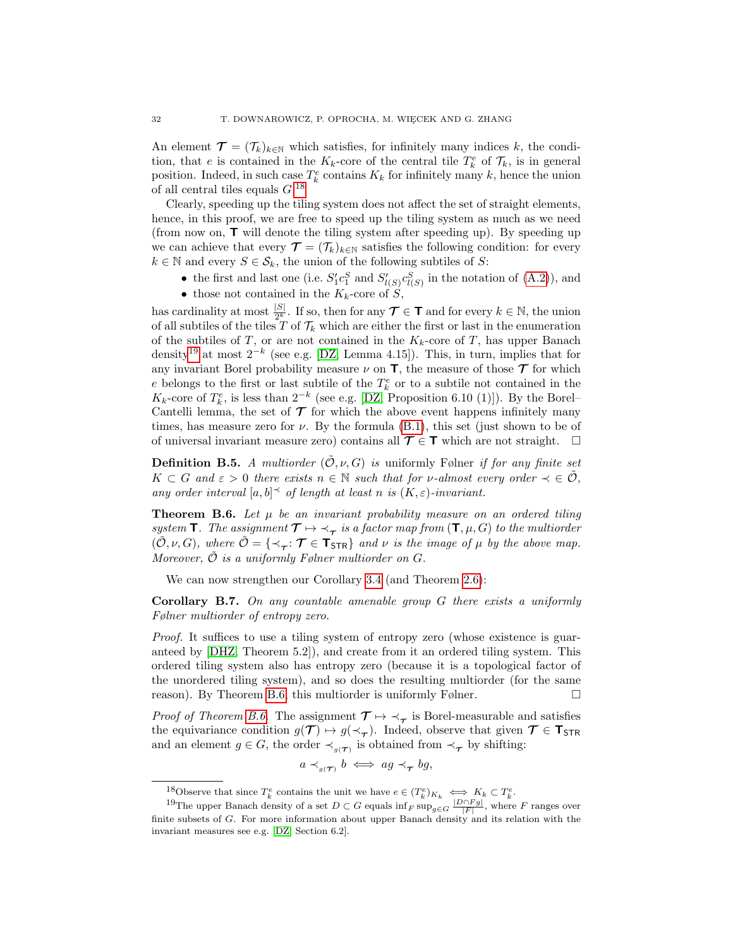An element  $\mathcal{T} = (\mathcal{T}_k)_{k \in \mathbb{N}}$  which satisfies, for infinitely many indices k, the condition, that e is contained in the  $K_k$ -core of the central tile  $T_k^e$  of  $\mathcal{T}_k$ , is in general position. Indeed, in such case  $T_k^e$  contains  $K_k$  for infinitely many k, hence the union of all central tiles equals  $G^{18}$  $G^{18}$  $G^{18}$ 

Clearly, speeding up the tiling system does not affect the set of straight elements, hence, in this proof, we are free to speed up the tiling system as much as we need (from now on,  $\mathbf{T}$  will denote the tiling system after speeding up). By speeding up we can achieve that every  $\mathcal{T} = (\mathcal{T}_k)_{k \in \mathbb{N}}$  satisfies the following condition: for every  $k \in \mathbb{N}$  and every  $S \in \mathcal{S}_k$ , the union of the following subtiles of S:

- the first and last one (i.e.  $S'_1 c_1^S$  and  $S'_{l(S)} c_{l(S)}^S$  in the notation of [\(A.2\)](#page-28-1)), and
- those not contained in the  $K_k$ -core of  $S$ ,

has cardinality at most  $\frac{|S|}{2^k}$ . If so, then for any  $\mathcal{T} \in \mathcal{T}$  and for every  $k \in \mathbb{N}$ , the union of all subtiles of the tiles T of  $\mathcal{T}_k$  which are either the first or last in the enumeration of the subtiles of T, or are not contained in the  $K_k$ -core of T, has upper Banach density<sup>[19](#page-31-2)</sup> at most  $2^{-k}$  (see e.g. [\[DZ,](#page-33-10) Lemma 4.15]). This, in turn, implies that for any invariant Borel probability measure  $\nu$  on **T**, the measure of those  $\mathcal T$  for which e belongs to the first or last subtile of the  $T_k^e$  or to a subtile not contained in the  $K_k$ -core of  $T_k^e$ , is less than  $2^{-k}$  (see e.g. [\[DZ,](#page-33-10) Proposition 6.10 (1)]). By the Borel– Cantelli lemma, the set of  $\mathcal T$  for which the above event happens infinitely many times, has measure zero for  $\nu$ . By the formula [\(B.1\)](#page-30-0), this set (just shown to be of of universal invariant measure zero) contains all  $\mathcal{T} \in \mathsf{T}$  which are not straight.  $\square$ 

**Definition B.5.** A multiorder  $(\tilde{\mathcal{O}}, \nu, G)$  is uniformly Følner if for any finite set  $K \subset G$  and  $\varepsilon > 0$  there exists  $n \in \mathbb{N}$  such that for *v*-almost every order  $\prec \in \tilde{\mathcal{O}}$ , any order interval  $[a, b] \preceq$  of length at least n is  $(K, \varepsilon)$ -invariant.

<span id="page-31-3"></span>**Theorem B.6.** Let  $\mu$  be an invariant probability measure on an ordered tiling system **T**. The assignment  $\mathcal{T} \mapsto \mathcal{L}_{\mathcal{T}}$  is a factor map from  $(\mathbf{T}, \mu, G)$  to the multiorder  $(\tilde{\mathcal{O}}, \nu, G)$ , where  $\tilde{\mathcal{O}} = {\{\prec_{\tau}: \tau \in \mathsf{T}_{\mathsf{STR}}\}}$  and  $\nu$  is the image of  $\mu$  by the above map. Moreover,  $\tilde{\mathcal{O}}$  is a uniformly Følner multiorder on G.

We can now strengthen our Corollary [3.4](#page-9-2) (and Theorem [2.6\)](#page-5-2):

<span id="page-31-0"></span>Corollary B.7. On any countable amenable group G there exists a uniformly Følner multiorder of entropy zero.

Proof. It suffices to use a tiling system of entropy zero (whose existence is guaranteed by [\[DHZ,](#page-33-5) Theorem 5.2]), and create from it an ordered tiling system. This ordered tiling system also has entropy zero (because it is a topological factor of the unordered tiling system), and so does the resulting multiorder (for the same reason). By Theorem [B.6,](#page-31-3) this multiorder is uniformly Følner.  $\Box$ 

*Proof of Theorem [B.6.](#page-31-3)* The assignment  $\mathcal{T} \mapsto \mathcal{F}$  is Borel-measurable and satisfies the equivariance condition  $g(\mathcal{T}) \mapsto g(\prec_{\mathcal{T}})$ . Indeed, observe that given  $\mathcal{T} \in \mathbf{T}_{\text{STR}}$ and an element  $g \in G$ , the order  $\prec_{g(\mathcal{T})}$  is obtained from  $\prec_{\mathcal{T}}$  by shifting:

$$
a \prec_{g(\mathcal{T})} b \iff ag \prec_{\mathcal{T}} bg,
$$

<span id="page-31-2"></span><span id="page-31-1"></span><sup>&</sup>lt;sup>18</sup>Observe that since  $T_k^e$  contains the unit we have  $e \in (T_k^e)_{K_k} \iff K_k \subset T_k^e$ .

<sup>&</sup>lt;sup>19</sup>The upper Banach density of a set  $D \subset G$  equals  $\inf_F \sup_{g \in G} \frac{|D \cap F_g|}{|F|}$ , where F ranges over finite subsets of G. For more information about upper Banach density and its relation with the invariant measures see e.g. [\[DZ,](#page-33-10) Section 6.2].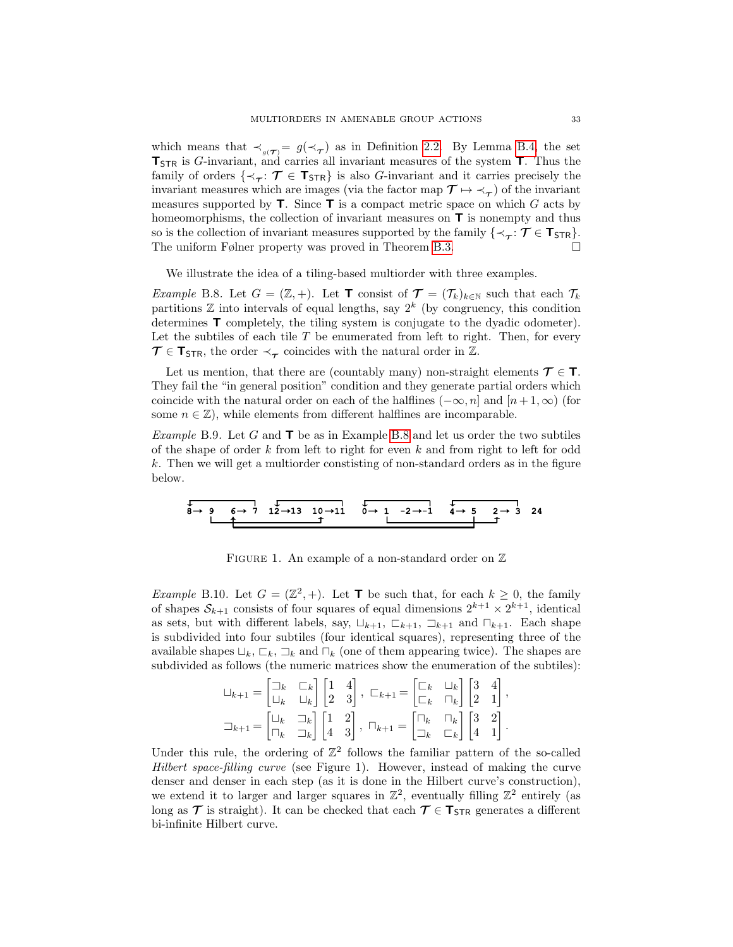which means that  $\prec_{g(\mathcal{T})} = g(\prec_{\mathcal{T}})$  as in Definition [2.2.](#page-4-2) By Lemma [B.4,](#page-30-1) the set  $T_{STR}$  is G-invariant, and carries all invariant measures of the system  $T$ . Thus the family of orders  $\{\prec_{\tau}: \tau \in \mathsf{T}_{\mathsf{STR}}\}$  is also G-invariant and it carries precisely the invariant measures which are images (via the factor map  $\mathcal{T} \mapsto \prec_{\mathcal{T}}$ ) of the invariant measures supported by  $\mathsf{T}$ . Since  $\mathsf{T}$  is a compact metric space on which  $G$  acts by homeomorphisms, the collection of invariant measures on  $\mathsf T$  is nonempty and thus so is the collection of invariant measures supported by the family  $\{\prec_{\tau}: \mathcal{T} \in \mathsf{T}_{\mathsf{STR}}\}$ . The uniform Følner property was proved in Theorem [B.3.](#page-30-2)

We illustrate the idea of a tiling-based multiorder with three examples.

<span id="page-32-1"></span>Example B.8. Let  $G = (\mathbb{Z}, +)$ . Let **T** consist of  $\mathcal{T} = (\mathcal{T}_k)_{k \in \mathbb{N}}$  such that each  $\mathcal{T}_k$ partitions  $\mathbb Z$  into intervals of equal lengths, say  $2^k$  (by congruency, this condition determines T completely, the tiling system is conjugate to the dyadic odometer). Let the subtiles of each tile  $T$  be enumerated from left to right. Then, for every  $\mathcal{T} \in \mathsf{T}_{\mathsf{STR}}$ , the order  $\prec_{\mathcal{T}}$  coincides with the natural order in  $\mathbb{Z}$ .

Let us mention, that there are (countably many) non-straight elements  $\mathcal{T} \in \mathbf{T}$ . They fail the "in general position" condition and they generate partial orders which coincide with the natural order on each of the halflines  $(-\infty, n]$  and  $[n+1, \infty)$  (for some  $n \in \mathbb{Z}$ , while elements from different halflines are incomparable.

<span id="page-32-0"></span>Example B.9. Let G and  $\mathsf{T}$  be as in Example [B.8](#page-32-1) and let us order the two subtiles of the shape of order k from left to right for even k and from right to left for odd k. Then we will get a multiorder constisting of non-standard orders as in the figure below.

**8 9 6 7 12 13 10 11 0 1 -2 -1 4 5 2 3 24**

FIGURE 1. An example of a non-standard order on  $\mathbb Z$ 

*Example* B.10. Let  $G = (\mathbb{Z}^2, +)$ . Let **T** be such that, for each  $k \geq 0$ , the family of shapes  $S_{k+1}$  consists of four squares of equal dimensions  $2^{k+1} \times 2^{k+1}$ , identical as sets, but with different labels, say,  $\sqcup_{k+1}$ ,  $\sqsubset_{k+1}$ ,  $\sqsupset_{k+1}$  and  $\sqcap_{k+1}$ . Each shape is subdivided into four subtiles (four identical squares), representing three of the available shapes  $\Box_k$ ,  $\Box_k$ ,  $\Box_k$  and  $\Box_k$  (one of them appearing twice). The shapes are subdivided as follows (the numeric matrices show the enumeration of the subtiles):

$$
\begin{aligned} \sqcup_{k+1} &= \begin{bmatrix} \square_k & \square_k \\ \square_k & \square_k \end{bmatrix} \begin{bmatrix} 1 & 4 \\ 2 & 3 \end{bmatrix}, \ \square_{k+1} = \begin{bmatrix} \square_k & \square_k \\ \square_k & \square_k \end{bmatrix} \begin{bmatrix} 3 & 4 \\ 2 & 1 \end{bmatrix}, \\ \square_{k+1} &= \begin{bmatrix} \square_k & \square_k \\ \square_k & \square_k \end{bmatrix} \begin{bmatrix} 1 & 2 \\ 4 & 3 \end{bmatrix}, \ \square_{k+1} = \begin{bmatrix} \square_k & \square_k \\ \square_k & \square_k \end{bmatrix} \begin{bmatrix} 3 & 2 \\ 4 & 1 \end{bmatrix}. \end{aligned}
$$

Under this rule, the ordering of  $\mathbb{Z}^2$  follows the familiar pattern of the so-called Hilbert space-filling curve (see Figure 1). However, instead of making the curve denser and denser in each step (as it is done in the Hilbert curve's construction), we extend it to larger and larger squares in  $\mathbb{Z}^2$ , eventually filling  $\mathbb{Z}^2$  entirely (as long as  $\mathcal T$  is straight). It can be checked that each  $\mathcal T \in \mathbf T_{STR}$  generates a different bi-infinite Hilbert curve.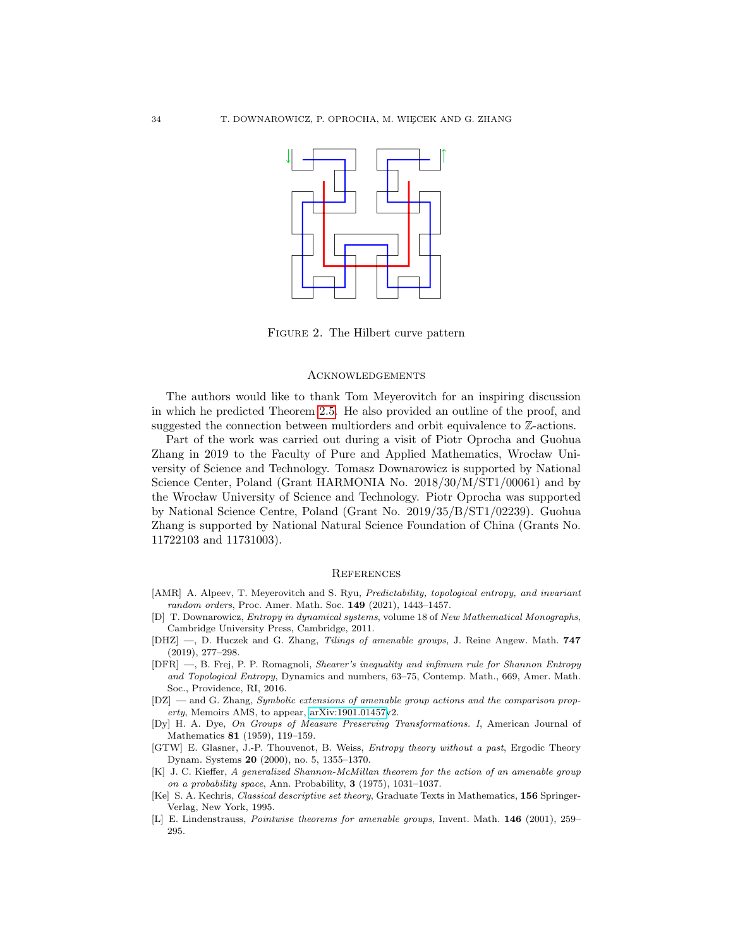

Figure 2. The Hilbert curve pattern

## <span id="page-33-0"></span>Acknowledgements

The authors would like to thank Tom Meyerovitch for an inspiring discussion in which he predicted Theorem [2.5.](#page-5-1) He also provided an outline of the proof, and suggested the connection between multiorders and orbit equivalence to Z-actions.

Part of the work was carried out during a visit of Piotr Oprocha and Guohua Zhang in 2019 to the Faculty of Pure and Applied Mathematics, Wrocław University of Science and Technology. Tomasz Downarowicz is supported by National Science Center, Poland (Grant HARMONIA No. 2018/30/M/ST1/00061) and by the Wrocław University of Science and Technology. Piotr Oprocha was supported by National Science Centre, Poland (Grant No. 2019/35/B/ST1/02239). Guohua Zhang is supported by National Natural Science Foundation of China (Grants No. 11722103 and 11731003).

#### <span id="page-33-1"></span>**REFERENCES**

- <span id="page-33-3"></span>[AMR] A. Alpeev, T. Meyerovitch and S. Ryu, Predictability, topological entropy, and invariant random orders, Proc. Amer. Math. Soc. 149 (2021), 1443-1457.
- <span id="page-33-8"></span>[D] T. Downarowicz, Entropy in dynamical systems, volume 18 of New Mathematical Monographs, Cambridge University Press, Cambridge, 2011.
- <span id="page-33-5"></span>[DHZ] —, D. Huczek and G. Zhang, Tilings of amenable groups, J. Reine Angew. Math. 747 (2019), 277–298.
- <span id="page-33-9"></span>[DFR] —, B. Frej, P. P. Romagnoli, Shearer's inequality and infimum rule for Shannon Entropy and Topological Entropy, Dynamics and numbers, 63–75, Contemp. Math., 669, Amer. Math. Soc., Providence, RI, 2016.
- <span id="page-33-10"></span>[DZ] — and G. Zhang, Symbolic extensions of amenable group actions and the comparison property, Memoirs AMS, to appear, [arXiv:1901.01457v](http://arxiv.org/abs/1901.01457)2.
- <span id="page-33-6"></span>[Dy] H. A. Dye, On Groups of Measure Preserving Transformations. I, American Journal of Mathematics 81 (1959), 119–159.
- [GTW] E. Glasner, J.-P. Thouvenot, B. Weiss, Entropy theory without a past, Ergodic Theory Dynam. Systems 20 (2000), no. 5, 1355–1370.
- <span id="page-33-2"></span>[K] J. C. Kieffer, A generalized Shannon-McMillan theorem for the action of an amenable group on a probability space, Ann. Probability, 3 (1975), 1031–1037.
- <span id="page-33-4"></span>[Ke] S. A. Kechris, Classical descriptive set theory, Graduate Texts in Mathematics, 156 Springer-Verlag, New York, 1995.
- <span id="page-33-7"></span>[L] E. Lindenstrauss, *Pointwise theorems for amenable groups*, Invent. Math. **146** (2001), 259– 295.